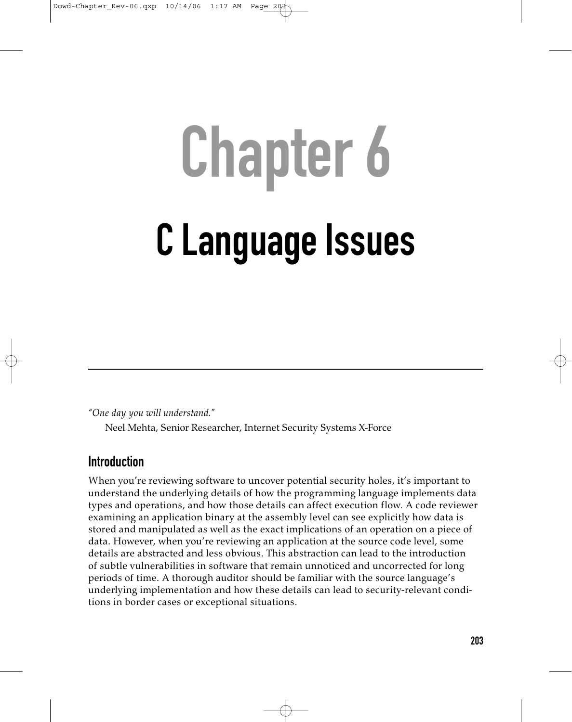*"One day you will understand."*

Neel Mehta, Senior Researcher, Internet Security Systems X-Force

# Introduction

When you're reviewing software to uncover potential security holes, it's important to understand the underlying details of how the programming language implements data types and operations, and how those details can affect execution flow. A code reviewer examining an application binary at the assembly level can see explicitly how data is stored and manipulated as well as the exact implications of an operation on a piece of data. However, when you're reviewing an application at the source code level, some details are abstracted and less obvious. This abstraction can lead to the introduction of subtle vulnerabilities in software that remain unnoticed and uncorrected for long periods of time. A thorough auditor should be familiar with the source language's underlying implementation and how these details can lead to security-relevant conditions in border cases or exceptional situations.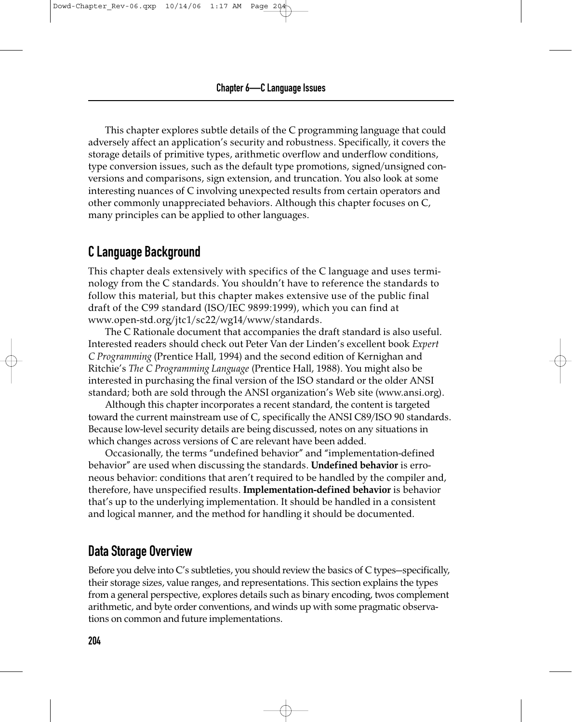Dowd-Chapter\_Rev-06.qxp 10/14/06 1:17 AM Page 204

Chapter 6—C Language Issues

This chapter explores subtle details of the C programming language that could adversely affect an application's security and robustness. Specifically, it covers the storage details of primitive types, arithmetic overflow and underflow conditions, type conversion issues, such as the default type promotions, signed/unsigned conversions and comparisons, sign extension, and truncation. You also look at some interesting nuances of C involving unexpected results from certain operators and other commonly unappreciated behaviors. Although this chapter focuses on C, many principles can be applied to other languages.

# C Language Background

This chapter deals extensively with specifics of the C language and uses terminology from the C standards. You shouldn't have to reference the standards to follow this material, but this chapter makes extensive use of the public final draft of the C99 standard (ISO/IEC 9899:1999), which you can find at www.open-std.org/jtc1/sc22/wg14/www/standards.

The C Rationale document that accompanies the draft standard is also useful. Interested readers should check out Peter Van der Linden's excellent book *Expert C Programming* (Prentice Hall, 1994) and the second edition of Kernighan and Ritchie's *The C Programming Language* (Prentice Hall, 1988). You might also be interested in purchasing the final version of the ISO standard or the older ANSI standard; both are sold through the ANSI organization's Web site (www.ansi.org).

Although this chapter incorporates a recent standard, the content is targeted toward the current mainstream use of C, specifically the ANSI C89/ISO 90 standards. Because low-level security details are being discussed, notes on any situations in which changes across versions of C are relevant have been added.

Occasionally, the terms "undefined behavior" and "implementation-defined behavior" are used when discussing the standards. **Undefined behavior** is erroneous behavior: conditions that aren't required to be handled by the compiler and, therefore, have unspecified results. **Implementation-defined behavior** is behavior that's up to the underlying implementation. It should be handled in a consistent and logical manner, and the method for handling it should be documented.

# Data Storage Overview

Before you delve into C's subtleties, you should review the basics of C types—specifically, their storage sizes, value ranges, and representations. This section explains the types from a general perspective, explores details such as binary encoding, twos complement arithmetic, and byte order conventions, and winds up with some pragmatic observations on common and future implementations.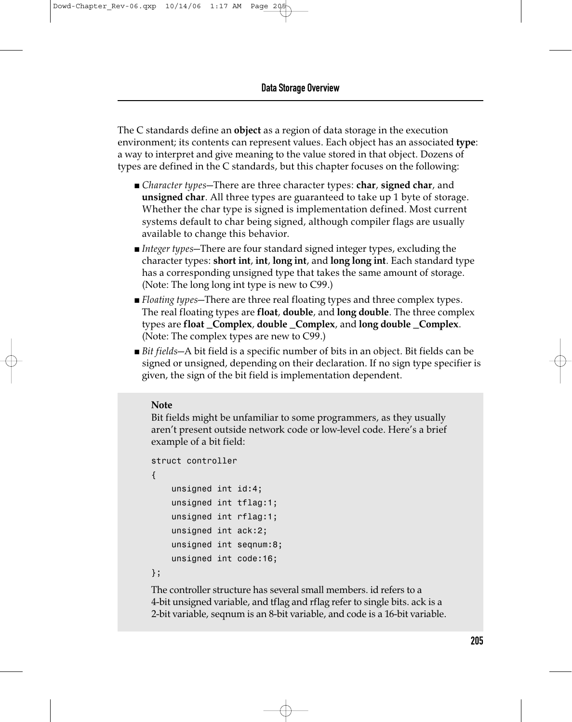Data Storage Overview

The C standards define an **object** as a region of data storage in the execution environment; its contents can represent values. Each object has an associated **type**: a way to interpret and give meaning to the value stored in that object. Dozens of types are defined in the C standards, but this chapter focuses on the following:

- *Character types*—There are three character types: **char**, **signed char**, and **unsigned char**. All three types are guaranteed to take up 1 byte of storage. Whether the char type is signed is implementation defined. Most current systems default to char being signed, although compiler flags are usually available to change this behavior.
- *Integer types*—There are four standard signed integer types, excluding the character types: **short int**, **int**, **long int**, and **long long int**. Each standard type has a corresponding unsigned type that takes the same amount of storage. (Note: The long long int type is new to C99.)
- *Floating types*—There are three real floating types and three complex types. The real floating types are **float**, **double**, and **long double**. The three complex types are **float \_Complex**, **double \_Complex**, and **long double \_Complex**. (Note: The complex types are new to C99.)
- *Bit fields*—A bit field is a specific number of bits in an object. Bit fields can be signed or unsigned, depending on their declaration. If no sign type specifier is given, the sign of the bit field is implementation dependent.

#### **Note**

Bit fields might be unfamiliar to some programmers, as they usually aren't present outside network code or low-level code. Here's a brief example of a bit field:

```
struct controller
{
    unsigned int id:4;
    unsigned int tflag:1;
    unsigned int rflag:1;
    unsigned int ack:2;
    unsigned int seqnum:8;
    unsigned int code:16;
```
};

The controller structure has several small members. id refers to a 4-bit unsigned variable, and tflag and rflag refer to single bits. ack is a 2-bit variable, seqnum is an 8-bit variable, and code is a 16-bit variable.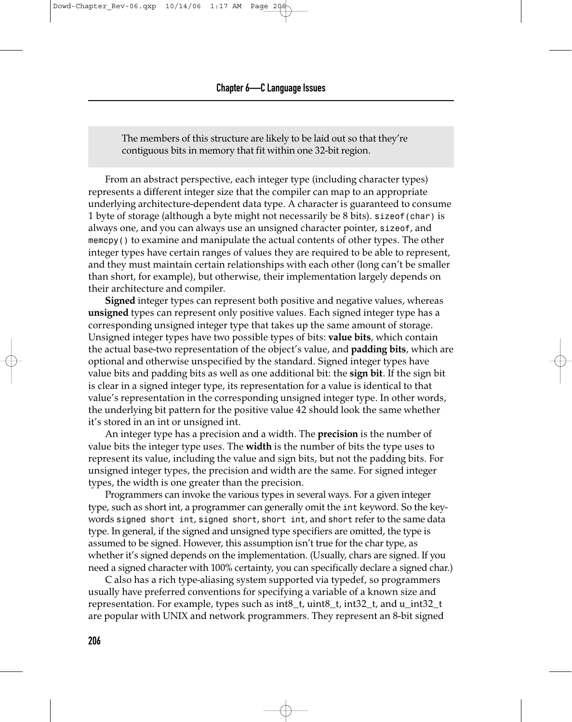The members of this structure are likely to be laid out so that they're contiguous bits in memory that fit within one 32-bit region.

From an abstract perspective, each integer type (including character types) represents a different integer size that the compiler can map to an appropriate underlying architecture-dependent data type. A character is guaranteed to consume 1 byte of storage (although a byte might not necessarily be 8 bits). sizeof(char) is always one, and you can always use an unsigned character pointer, sizeof, and memcpy() to examine and manipulate the actual contents of other types. The other integer types have certain ranges of values they are required to be able to represent, and they must maintain certain relationships with each other (long can't be smaller than short, for example), but otherwise, their implementation largely depends on their architecture and compiler.

**Signed** integer types can represent both positive and negative values, whereas **unsigned** types can represent only positive values. Each signed integer type has a corresponding unsigned integer type that takes up the same amount of storage. Unsigned integer types have two possible types of bits: **value bits**, which contain the actual base-two representation of the object's value, and **padding bits**, which are optional and otherwise unspecified by the standard. Signed integer types have value bits and padding bits as well as one additional bit: the **sign bit**. If the sign bit is clear in a signed integer type, its representation for a value is identical to that value's representation in the corresponding unsigned integer type. In other words, the underlying bit pattern for the positive value 42 should look the same whether it's stored in an int or unsigned int.

An integer type has a precision and a width. The **precision** is the number of value bits the integer type uses. The **width** is the number of bits the type uses to represent its value, including the value and sign bits, but not the padding bits. For unsigned integer types, the precision and width are the same. For signed integer types, the width is one greater than the precision.

Programmers can invoke the various types in several ways. For a given integer type, such as short int, a programmer can generally omit the int keyword. So the keywords signed short int, signed short, short int, and short refer to the same data type. In general, if the signed and unsigned type specifiers are omitted, the type is assumed to be signed. However, this assumption isn't true for the char type, as whether it's signed depends on the implementation. (Usually, chars are signed. If you need a signed character with 100% certainty, you can specifically declare a signed char.)

C also has a rich type-aliasing system supported via typedef, so programmers usually have preferred conventions for specifying a variable of a known size and representation. For example, types such as int8\_t, uint8\_t, int32\_t, and u\_int32\_t are popular with UNIX and network programmers. They represent an 8-bit signed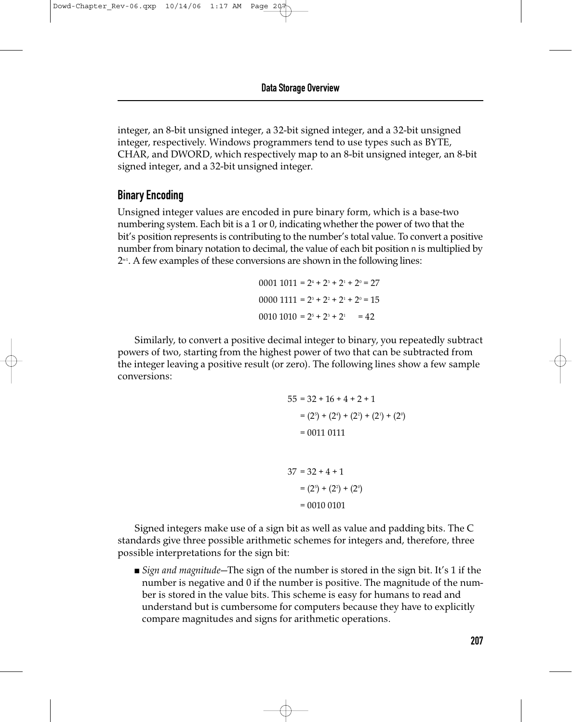Data Storage Overview

integer, an 8-bit unsigned integer, a 32-bit signed integer, and a 32-bit unsigned integer, respectively. Windows programmers tend to use types such as BYTE, CHAR, and DWORD, which respectively map to an 8-bit unsigned integer, an 8-bit signed integer, and a 32-bit unsigned integer.

# Binary Encoding

Unsigned integer values are encoded in pure binary form, which is a base-two numbering system. Each bit is a 1 or 0, indicating whether the power of two that the bit's position represents is contributing to the number's total value. To convert a positive number from binary notation to decimal, the value of each bit position n is multiplied by  $2<sup>n-1</sup>$ . A few examples of these conversions are shown in the following lines:

> 0001 1011 =  $2^4 + 2^3 + 2^1 + 2^0 = 27$ 0000 1111 =  $2^3$  +  $2^2$  +  $2^1$  +  $2^0$  = 15 0010 1010 =  $2^5$  +  $2^3$  +  $2^1$  = 42

Similarly, to convert a positive decimal integer to binary, you repeatedly subtract powers of two, starting from the highest power of two that can be subtracted from the integer leaving a positive result (or zero). The following lines show a few sample conversions:

> $55 = 32 + 16 + 4 + 2 + 1$  $= (2<sup>5</sup>) + (2<sup>4</sup>) + (2<sup>2</sup>) + (2<sup>1</sup>) + (2<sup>0</sup>)$ = 0011 0111  $37 = 32 + 4 + 1$  $= (2<sup>5</sup>) + (2<sup>2</sup>) + (2<sup>0</sup>)$ = 0010 0101

Signed integers make use of a sign bit as well as value and padding bits. The C standards give three possible arithmetic schemes for integers and, therefore, three possible interpretations for the sign bit:

■ *Sign and magnitude*—The sign of the number is stored in the sign bit. It's 1 if the number is negative and 0 if the number is positive. The magnitude of the number is stored in the value bits. This scheme is easy for humans to read and understand but is cumbersome for computers because they have to explicitly compare magnitudes and signs for arithmetic operations.

207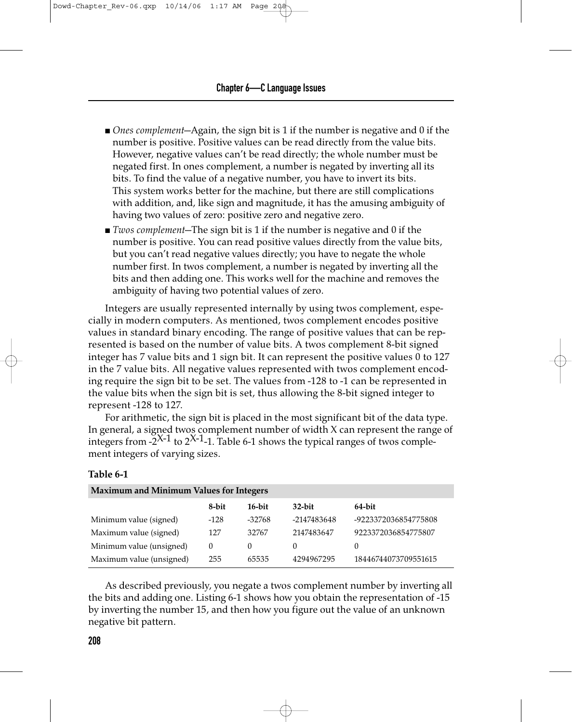#### Dowd-Chapter\_Rev-06.qxp 10/14/06 1:17 AM Page

Chapter 6—C Language Issues

- *Ones complement*—Again, the sign bit is 1 if the number is negative and 0 if the number is positive. Positive values can be read directly from the value bits. However, negative values can't be read directly; the whole number must be negated first. In ones complement, a number is negated by inverting all its bits. To find the value of a negative number, you have to invert its bits. This system works better for the machine, but there are still complications with addition, and, like sign and magnitude, it has the amusing ambiguity of having two values of zero: positive zero and negative zero.
- *Twos complement*—The sign bit is 1 if the number is negative and 0 if the number is positive. You can read positive values directly from the value bits, but you can't read negative values directly; you have to negate the whole number first. In twos complement, a number is negated by inverting all the bits and then adding one. This works well for the machine and removes the ambiguity of having two potential values of zero.

Integers are usually represented internally by using twos complement, especially in modern computers. As mentioned, twos complement encodes positive values in standard binary encoding. The range of positive values that can be represented is based on the number of value bits. A twos complement 8-bit signed integer has 7 value bits and 1 sign bit. It can represent the positive values 0 to 127 in the 7 value bits. All negative values represented with twos complement encoding require the sign bit to be set. The values from -128 to -1 can be represented in the value bits when the sign bit is set, thus allowing the 8-bit signed integer to represent -128 to 127.

For arithmetic, the sign bit is placed in the most significant bit of the data type. In general, a signed twos complement number of width X can represent the range of integers from  $-2^{X-1}$  to  $2^{X-1}-1$ . Table 6-1 shows the typical ranges of twos complement integers of varying sizes.

# **Table 6-1**

| <b>Maximum and Minimum Values for Integers</b> |        |           |             |                      |  |
|------------------------------------------------|--------|-----------|-------------|----------------------|--|
|                                                | 8-bit  | $16$ -bit | $32$ -bit   | 64-bit               |  |
| Minimum value (signed)                         | $-128$ | -32768    | -2147483648 | -9223372036854775808 |  |
| Maximum value (signed)                         | 127    | 32767     | 2147483647  | 9223372036854775807  |  |
| Minimum value (unsigned)                       | 0      | $\theta$  | $\theta$    | $^{(1)}$             |  |
| Maximum value (unsigned)                       | 255    | 65535     | 4294967295  | 18446744073709551615 |  |

As described previously, you negate a twos complement number by inverting all the bits and adding one. Listing 6-1 shows how you obtain the representation of -15 by inverting the number 15, and then how you figure out the value of an unknown negative bit pattern.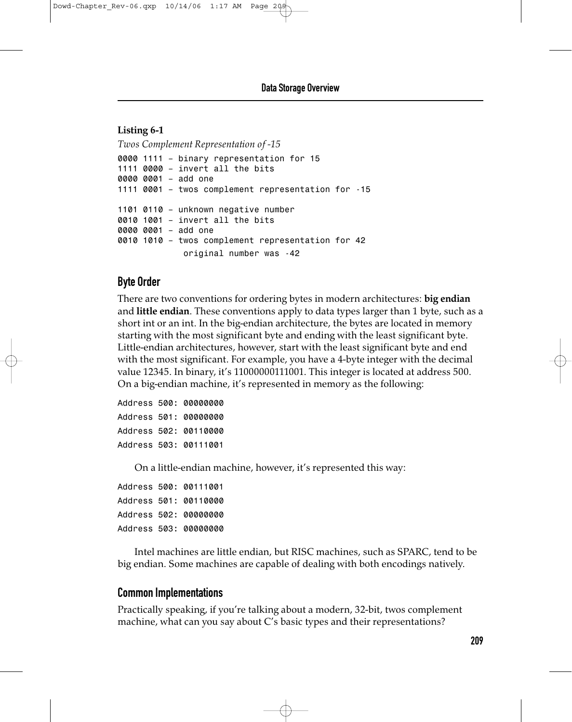Data Storage Overview

# **Listing 6-1**

*Twos Complement Representation of -15*

0000 1111 – binary representation for 15 1111 0000 – invert all the bits 0000 0001 – add one 1111 0001 – twos complement representation for -15 1101 0110 – unknown negative number 0010 1001 – invert all the bits 0000 0001 – add one 0010 1010 – twos complement representation for 42 original number was -42

# Byte Order

There are two conventions for ordering bytes in modern architectures: **big endian** and **little endian**. These conventions apply to data types larger than 1 byte, such as a short int or an int. In the big-endian architecture, the bytes are located in memory starting with the most significant byte and ending with the least significant byte. Little-endian architectures, however, start with the least significant byte and end with the most significant. For example, you have a 4-byte integer with the decimal value 12345. In binary, it's 11000000111001. This integer is located at address 500. On a big-endian machine, it's represented in memory as the following:

```
Address 500: 00000000
Address 501: 00000000
Address 502: 00110000
Address 503: 00111001
```
On a little-endian machine, however, it's represented this way:

```
Address 500: 00111001
Address 501: 00110000
Address 502: 00000000
Address 503: 00000000
```
Intel machines are little endian, but RISC machines, such as SPARC, tend to be big endian. Some machines are capable of dealing with both encodings natively.

# Common Implementations

Practically speaking, if you're talking about a modern, 32-bit, twos complement machine, what can you say about C's basic types and their representations?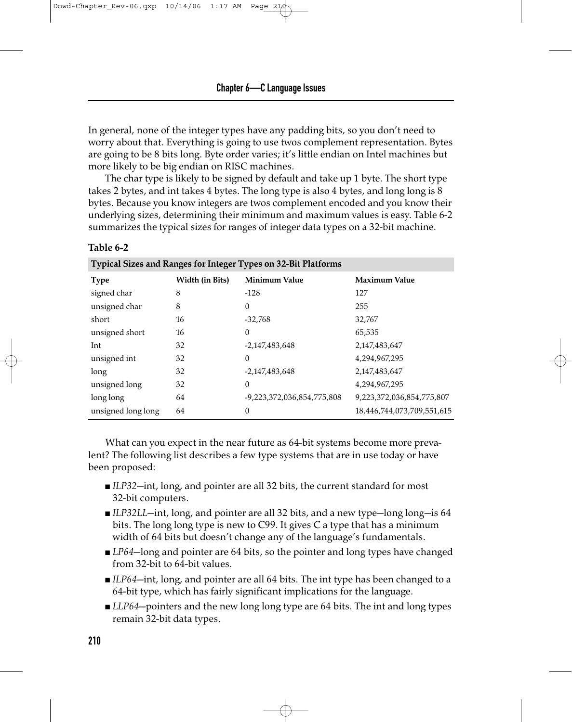In general, none of the integer types have any padding bits, so you don't need to worry about that. Everything is going to use twos complement representation. Bytes are going to be 8 bits long. Byte order varies; it's little endian on Intel machines but more likely to be big endian on RISC machines.

The char type is likely to be signed by default and take up 1 byte. The short type takes 2 bytes, and int takes 4 bytes. The long type is also 4 bytes, and long long is 8 bytes. Because you know integers are twos complement encoded and you know their underlying sizes, determining their minimum and maximum values is easy. Table 6-2 summarizes the typical sizes for ranges of integer data types on a 32-bit machine.

#### **Table 6-2**

| <b>Typical Sizes and Ranges for Integer Types on 32-Bit Platforms</b> |                 |                            |                            |  |  |  |
|-----------------------------------------------------------------------|-----------------|----------------------------|----------------------------|--|--|--|
| <b>Type</b>                                                           | Width (in Bits) | <b>Minimum Value</b>       | <b>Maximum Value</b>       |  |  |  |
| signed char                                                           | 8               | $-128$                     | 127                        |  |  |  |
| unsigned char                                                         | 8               | 0                          | 255                        |  |  |  |
| short                                                                 | 16              | $-32.768$                  | 32,767                     |  |  |  |
| unsigned short                                                        | 16              | 0                          | 65.535                     |  |  |  |
| Int                                                                   | 32              | $-2,147,483,648$           | 2,147,483,647              |  |  |  |
| unsigned int                                                          | 32              | $\boldsymbol{0}$           | 4,294,967,295              |  |  |  |
| long                                                                  | 32              | $-2,147,483,648$           | 2,147,483,647              |  |  |  |
| unsigned long                                                         | 32              | 0                          | 4,294,967,295              |  |  |  |
| long long                                                             | 64              | -9.223.372.036.854.775.808 | 9,223,372,036,854,775,807  |  |  |  |
| unsigned long long                                                    | 64              | 0                          | 18,446,744,073,709,551,615 |  |  |  |
|                                                                       |                 |                            |                            |  |  |  |

What can you expect in the near future as 64-bit systems become more prevalent? The following list describes a few type systems that are in use today or have been proposed:

- *ILP32*—int, long, and pointer are all 32 bits, the current standard for most 32-bit computers.
- *ILP32LL*—int, long, and pointer are all 32 bits, and a new type—long long—is 64 bits. The long long type is new to C99. It gives C a type that has a minimum width of 64 bits but doesn't change any of the language's fundamentals.
- *LP64*—long and pointer are 64 bits, so the pointer and long types have changed from 32-bit to 64-bit values.
- *ILP64*—int, long, and pointer are all 64 bits. The int type has been changed to a 64-bit type, which has fairly significant implications for the language.
- *LLP64*—pointers and the new long long type are 64 bits. The int and long types remain 32-bit data types.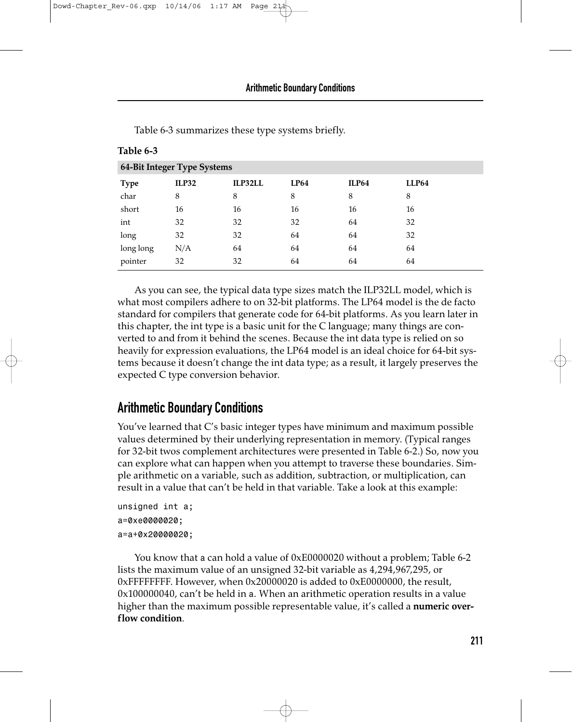#### Arithmetic Boundary Conditions

Table 6-3 summarizes these type systems briefly.

# **Table 6-3**

| 64-Bit Integer Type Systems |              |         |      |       |              |
|-----------------------------|--------------|---------|------|-------|--------------|
| <b>Type</b>                 | <b>ILP32</b> | ILP32LL | LP64 | ILP64 | <b>LLP64</b> |
| char                        | 8            | 8       | 8    | 8     | 8            |
| short                       | 16           | 16      | 16   | 16    | 16           |
| int                         | 32           | 32      | 32   | 64    | 32           |
| long                        | 32           | 32      | 64   | 64    | 32           |
| long long                   | N/A          | 64      | 64   | 64    | 64           |
| pointer                     | 32           | 32      | 64   | 64    | 64           |

As you can see, the typical data type sizes match the ILP32LL model, which is what most compilers adhere to on 32-bit platforms. The LP64 model is the de facto standard for compilers that generate code for 64-bit platforms. As you learn later in this chapter, the int type is a basic unit for the C language; many things are converted to and from it behind the scenes. Because the int data type is relied on so heavily for expression evaluations, the LP64 model is an ideal choice for 64-bit systems because it doesn't change the int data type; as a result, it largely preserves the expected C type conversion behavior.

# Arithmetic Boundary Conditions

You've learned that C's basic integer types have minimum and maximum possible values determined by their underlying representation in memory. (Typical ranges for 32-bit twos complement architectures were presented in Table 6-2.) So, now you can explore what can happen when you attempt to traverse these boundaries. Simple arithmetic on a variable, such as addition, subtraction, or multiplication, can result in a value that can't be held in that variable. Take a look at this example:

```
unsigned int a;
a=0xe0000020;
a=a+0x20000020;
```
You know that a can hold a value of 0xE0000020 without a problem; Table 6-2 lists the maximum value of an unsigned 32-bit variable as 4,294,967,295, or 0xFFFFFFFF. However, when 0x20000020 is added to 0xE0000000, the result, 0x100000040, can't be held in a. When an arithmetic operation results in a value higher than the maximum possible representable value, it's called a **numeric overflow condition**.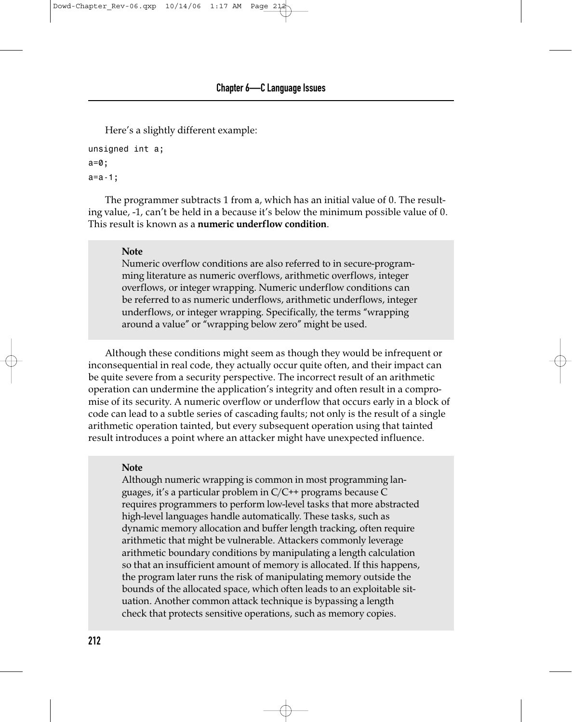Here's a slightly different example:

unsigned int a; a=0; a=a-1;

The programmer subtracts 1 from a, which has an initial value of 0. The resulting value, -1, can't be held in a because it's below the minimum possible value of 0. This result is known as a **numeric underflow condition**.

#### **Note**

Numeric overflow conditions are also referred to in secure-programming literature as numeric overflows, arithmetic overflows, integer overflows, or integer wrapping. Numeric underflow conditions can be referred to as numeric underflows, arithmetic underflows, integer underflows, or integer wrapping. Specifically, the terms "wrapping around a value" or "wrapping below zero" might be used.

Although these conditions might seem as though they would be infrequent or inconsequential in real code, they actually occur quite often, and their impact can be quite severe from a security perspective. The incorrect result of an arithmetic operation can undermine the application's integrity and often result in a compromise of its security. A numeric overflow or underflow that occurs early in a block of code can lead to a subtle series of cascading faults; not only is the result of a single arithmetic operation tainted, but every subsequent operation using that tainted result introduces a point where an attacker might have unexpected influence.

#### **Note**

Although numeric wrapping is common in most programming languages, it's a particular problem in C/C++ programs because C requires programmers to perform low-level tasks that more abstracted high-level languages handle automatically. These tasks, such as dynamic memory allocation and buffer length tracking, often require arithmetic that might be vulnerable. Attackers commonly leverage arithmetic boundary conditions by manipulating a length calculation so that an insufficient amount of memory is allocated. If this happens, the program later runs the risk of manipulating memory outside the bounds of the allocated space, which often leads to an exploitable situation. Another common attack technique is bypassing a length check that protects sensitive operations, such as memory copies.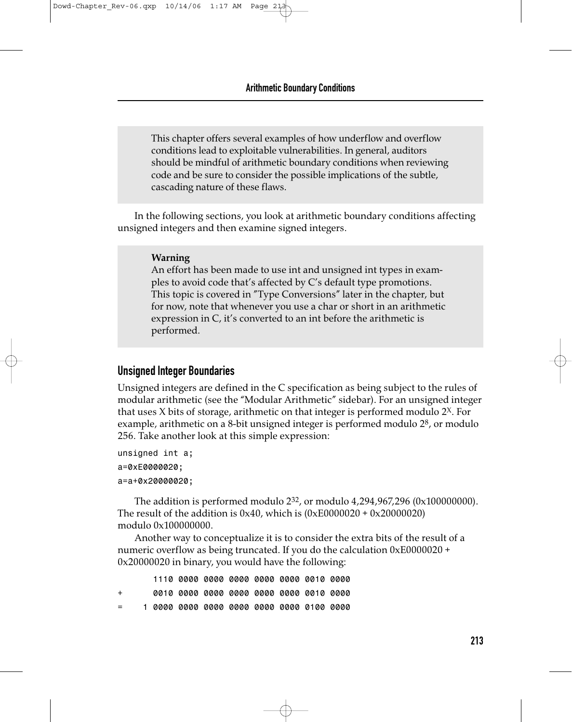#### Arithmetic Boundary Conditions

This chapter offers several examples of how underflow and overflow conditions lead to exploitable vulnerabilities. In general, auditors should be mindful of arithmetic boundary conditions when reviewing code and be sure to consider the possible implications of the subtle, cascading nature of these flaws.

In the following sections, you look at arithmetic boundary conditions affecting unsigned integers and then examine signed integers.

# **Warning**

An effort has been made to use int and unsigned int types in examples to avoid code that's affected by C's default type promotions. This topic is covered in "Type Conversions" later in the chapter, but for now, note that whenever you use a char or short in an arithmetic expression in C, it's converted to an int before the arithmetic is performed.

# Unsigned Integer Boundaries

Unsigned integers are defined in the C specification as being subject to the rules of modular arithmetic (see the "Modular Arithmetic" sidebar). For an unsigned integer that uses X bits of storage, arithmetic on that integer is performed modulo  $2^{\chi}$ . For example, arithmetic on a 8-bit unsigned integer is performed modulo 2<sup>8</sup>, or modulo 256. Take another look at this simple expression:

unsigned int a; a=0xE0000020; a=a+0x20000020;

The addition is performed modulo  $2^{32}$ , or modulo  $4,294,967,296$  (0x100000000). The result of the addition is  $0x40$ , which is  $(0xE0000020 + 0x20000020)$ modulo 0x100000000.

Another way to conceptualize it is to consider the extra bits of the result of a numeric overflow as being truncated. If you do the calculation 0xE0000020 + 0x20000020 in binary, you would have the following:

1110 0000 0000 0000 0000 0000 0010 0000 + 0010 0000 0000 0000 0000 0000 0010 0000 = 1 0000 0000 0000 0000 0000 0000 0100 0000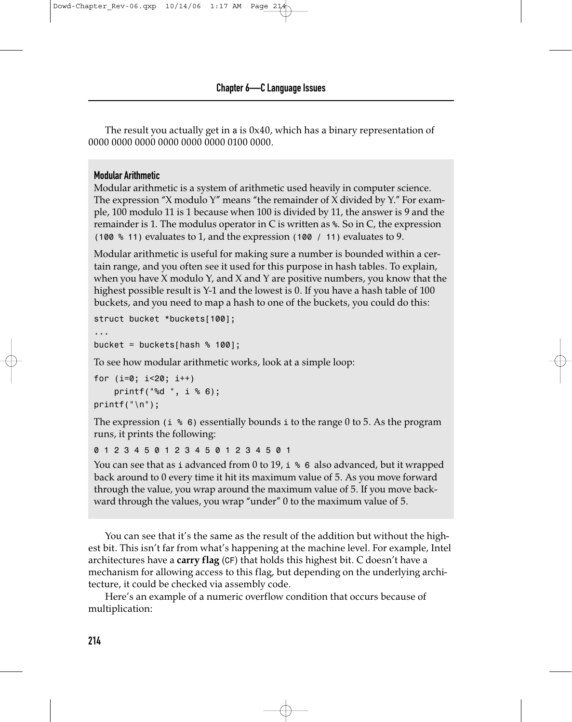Dowd-Chapter\_Rev-06.qxp 10/14/06 1:17 AM Page 214

Chapter 6—C Language Issues

The result you actually get in a is 0x40, which has a binary representation of 0000 0000 0000 0000 0000 0000 0100 0000.

#### Modular Arithmetic

Modular arithmetic is a system of arithmetic used heavily in computer science. The expression "X modulo Y" means "the remainder of X divided by Y." For example, 100 modulo 11 is 1 because when 100 is divided by 11, the answer is 9 and the remainder is 1. The modulus operator in C is written as %. So in C, the expression (100  $\degree$  11) evaluates to 1, and the expression (100 / 11) evaluates to 9.

Modular arithmetic is useful for making sure a number is bounded within a certain range, and you often see it used for this purpose in hash tables. To explain, when you have X modulo Y, and X and Y are positive numbers, you know that the highest possible result is Y-1 and the lowest is 0. If you have a hash table of 100 buckets, and you need to map a hash to one of the buckets, you could do this:

```
struct bucket *buckets[100];
...
```
bucket = buckets[hash  $% 100$ ];

To see how modular arithmetic works, look at a simple loop:

```
for (i=0; i<20; i++)printf("%d ", i % 6);
printf("\n");
```
The expression (i  $\frac{1}{6}$  6) essentially bounds i to the range 0 to 5. As the program runs, it prints the following:

## 01234501234501234501

You can see that as i advanced from 0 to 19, i % 6 also advanced, but it wrapped back around to 0 every time it hit its maximum value of 5. As you move forward through the value, you wrap around the maximum value of 5. If you move backward through the values, you wrap "under" 0 to the maximum value of 5.

You can see that it's the same as the result of the addition but without the highest bit. This isn't far from what's happening at the machine level. For example, Intel architectures have a **carry flag** (CF) that holds this highest bit. C doesn't have a mechanism for allowing access to this flag, but depending on the underlying architecture, it could be checked via assembly code.

Here's an example of a numeric overflow condition that occurs because of multiplication: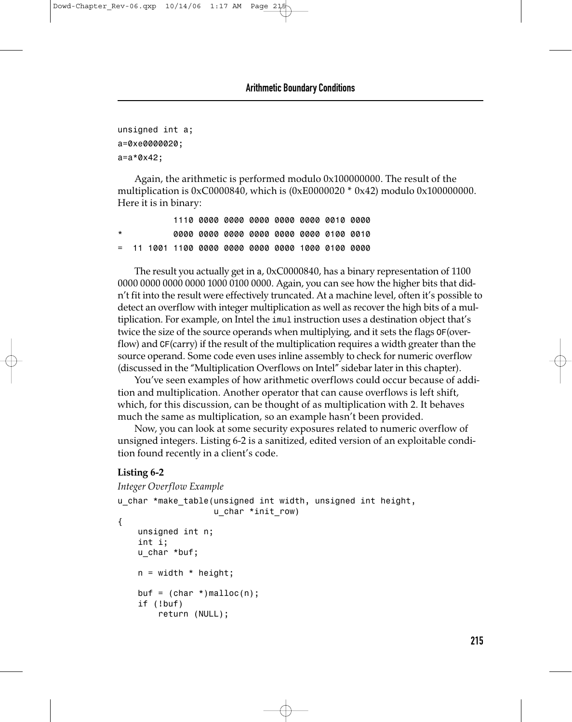#### Arithmetic Boundary Conditions

unsigned int a; a=0xe0000020; a=a\*0x42;

Again, the arithmetic is performed modulo 0x100000000. The result of the multiplication is 0xC0000840, which is (0xE0000020 \* 0x42) modulo 0x100000000. Here it is in binary:

|         |  |                                                     |  | 1110 0000 0000 0000 0000 0000 0010 0000 |  |  |
|---------|--|-----------------------------------------------------|--|-----------------------------------------|--|--|
| $\star$ |  |                                                     |  | 0000 0000 0000 0000 0000 0000 0100 0010 |  |  |
|         |  | $=$ 11 1001 1100 0000 0000 0000 0000 1000 0100 0000 |  |                                         |  |  |

The result you actually get in a, 0xC0000840, has a binary representation of 1100 0000 0000 0000 0000 1000 0100 0000. Again, you can see how the higher bits that didn't fit into the result were effectively truncated. At a machine level, often it's possible to detect an overflow with integer multiplication as well as recover the high bits of a multiplication. For example, on Intel the imul instruction uses a destination object that's twice the size of the source operands when multiplying, and it sets the flags OF(overflow) and CF(carry) if the result of the multiplication requires a width greater than the source operand. Some code even uses inline assembly to check for numeric overflow (discussed in the "Multiplication Overflows on Intel" sidebar later in this chapter).

You've seen examples of how arithmetic overflows could occur because of addition and multiplication. Another operator that can cause overflows is left shift, which, for this discussion, can be thought of as multiplication with 2. It behaves much the same as multiplication, so an example hasn't been provided.

Now, you can look at some security exposures related to numeric overflow of unsigned integers. Listing 6-2 is a sanitized, edited version of an exploitable condition found recently in a client's code.

# **Listing 6-2**

*Integer Overflow Example*

```
u char *make table(unsigned int width, unsigned int height,
                   u char *init row)
{
    unsigned int n;
```

```
int i;
u_char *buf;
n = width * height;
```

```
buf = (char *)malloc(n);if (!buf)
    return (NULL);
```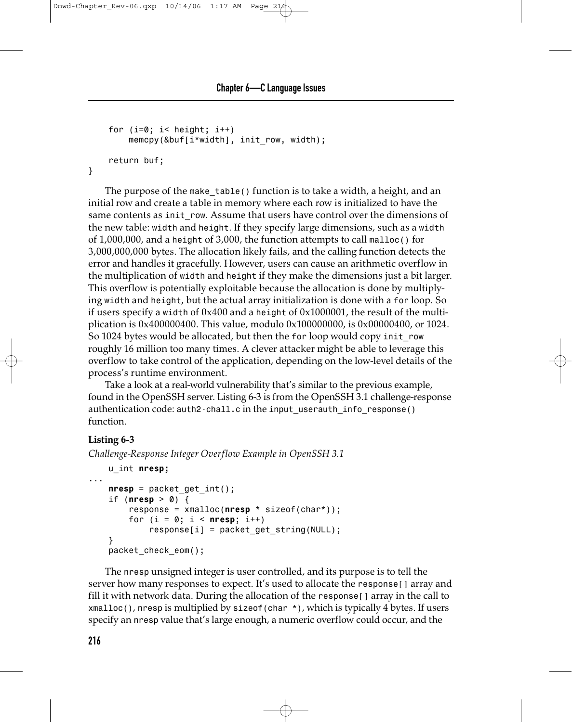```
for (i=0; i< height; i++)memcpy(&buf[i*width], init row, width);
    return buf;
}
```
The purpose of the make\_table() function is to take a width, a height, and an initial row and create a table in memory where each row is initialized to have the same contents as init row. Assume that users have control over the dimensions of the new table: width and height. If they specify large dimensions, such as a width of 1,000,000, and a height of 3,000, the function attempts to call malloc() for 3,000,000,000 bytes. The allocation likely fails, and the calling function detects the error and handles it gracefully. However, users can cause an arithmetic overflow in the multiplication of width and height if they make the dimensions just a bit larger. This overflow is potentially exploitable because the allocation is done by multiplying width and height, but the actual array initialization is done with a for loop. So if users specify a width of  $0x400$  and a height of  $0x1000001$ , the result of the multiplication is 0x400000400. This value, modulo 0x100000000, is 0x00000400, or 1024. So 1024 bytes would be allocated, but then the for loop would copy init\_row roughly 16 million too many times. A clever attacker might be able to leverage this overflow to take control of the application, depending on the low-level details of the process's runtime environment.

Take a look at a real-world vulnerability that's similar to the previous example, found in the OpenSSH server. Listing 6-3 is from the OpenSSH 3.1 challenge-response authentication code: auth2-chall.c in the input\_userauth\_info\_response() function.

# **Listing 6-3**

```
Challenge-Response Integer Overflow Example in OpenSSH 3.1
```

```
u_int nresp;
...
   nresp = packet_get_int();
    if (nresp > 0) {
        response = xmalloc(nresp * sizeof(char*));
        for (i = 0; i < nresp; i++)response[i] = packet_get_string(NULL);
    }
   packet check eom();
```
The nresp unsigned integer is user controlled, and its purpose is to tell the server how many responses to expect. It's used to allocate the response [ ] array and fill it with network data. During the allocation of the response[] array in the call to  $x$ malloc(), nresp is multiplied by sizeof(char  $\star$ ), which is typically 4 bytes. If users specify an nresp value that's large enough, a numeric overflow could occur, and the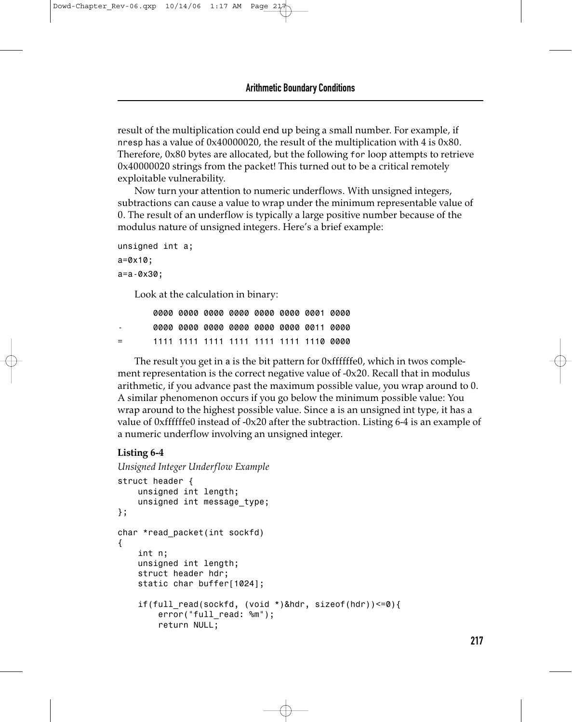#### Arithmetic Boundary Conditions

result of the multiplication could end up being a small number. For example, if nresp has a value of 0x40000020, the result of the multiplication with 4 is 0x80. Therefore, 0x80 bytes are allocated, but the following for loop attempts to retrieve 0x40000020 strings from the packet! This turned out to be a critical remotely exploitable vulnerability.

Now turn your attention to numeric underflows. With unsigned integers, subtractions can cause a value to wrap under the minimum representable value of 0. The result of an underflow is typically a large positive number because of the modulus nature of unsigned integers. Here's a brief example:

```
unsigned int a;
a=0x10;
a=a-0x30;
```
Look at the calculation in binary:

0000 0000 0000 0000 0000 0000 0001 0000 - 0000 0000 0000 0000 0000 0000 0011 0000 = 1111 1111 1111 1111 1111 1111 1110 0000

The result you get in a is the bit pattern for 0xffffffe0, which in twos complement representation is the correct negative value of -0x20. Recall that in modulus arithmetic, if you advance past the maximum possible value, you wrap around to 0. A similar phenomenon occurs if you go below the minimum possible value: You wrap around to the highest possible value. Since a is an unsigned int type, it has a value of 0xffffffe0 instead of -0x20 after the subtraction. Listing 6-4 is an example of a numeric underflow involving an unsigned integer.

## **Listing 6-4**

*Unsigned Integer Underflow Example*

```
struct header {
    unsigned int length;
    unsigned int message_type;
};
char *read packet(int sockfd)
{
    int n;
    unsigned int length;
    struct header hdr;
    static char buffer[1024];
    if(full_read(sockfd, (void *)&hdr, sizeof(hdr))<=0){
        error("full read: %m");
        return NULL;
```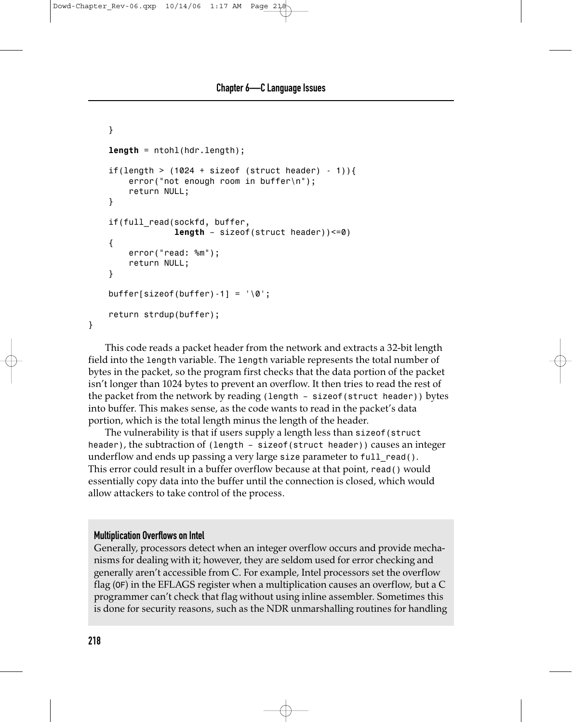```
}
length = ntohl(hdr.length);
if(length > (1024 + sizeof (struct header) - 1)){
    error("not enough room in buffer\n");
    return NULL;
}
if(full_read(sockfd, buffer,
             length – sizeof(struct header))<=0)
{
    error("read: %m");
    return NULL;
}
buffer[sizeof(buffer)-1] = '\0';return strdup(buffer);
```
This code reads a packet header from the network and extracts a 32-bit length field into the length variable. The length variable represents the total number of bytes in the packet, so the program first checks that the data portion of the packet isn't longer than 1024 bytes to prevent an overflow. It then tries to read the rest of the packet from the network by reading (length – sizeof(struct header)) bytes into buffer. This makes sense, as the code wants to read in the packet's data portion, which is the total length minus the length of the header.

The vulnerability is that if users supply a length less than sizeof(struct header), the subtraction of (length – sizeof(struct header)) causes an integer underflow and ends up passing a very large size parameter to  $full\_read()$ . This error could result in a buffer overflow because at that point, read() would essentially copy data into the buffer until the connection is closed, which would allow attackers to take control of the process.

#### Multiplication Overflows on Intel

Generally, processors detect when an integer overflow occurs and provide mechanisms for dealing with it; however, they are seldom used for error checking and generally aren't accessible from C. For example, Intel processors set the overflow flag (OF) in the EFLAGS register when a multiplication causes an overflow, but a C programmer can't check that flag without using inline assembler. Sometimes this is done for security reasons, such as the NDR unmarshalling routines for handling

}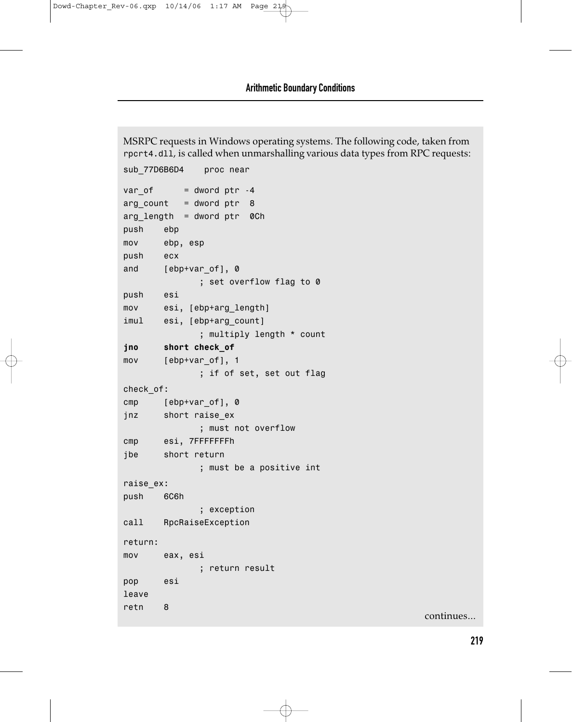Arithmetic Boundary Conditions

MSRPC requests in Windows operating systems. The following code, taken from rpcrt4.dll, is called when unmarshalling various data types from RPC requests:

```
sub 77D6B6D4 proc near
var of = dword ptr -4arg count = dword ptr 8arg_length = dword ptr 0Chpush ebp
mov ebp, esp
push ecx
and [ebp+var_of], 0
             ; set overflow flag to 0
push esi
mov esi, [ebp+arg_length]
imul esi, [ebp+arg_count]
             ; multiply length * count
jno short check_of
mov [ebp+var_of], 1
             ; if of set, set out flag
check_of:
cmp [ebp+var_of], 0
jnz short raise_ex
             ; must not overflow
cmp esi, 7FFFFFFFh
jbe short return
             ; must be a positive int
raise_ex:
push 6C6h
             ; exception
call RpcRaiseException
return:
mov eax, esi
             ; return result
pop esi
leave
retn 8
```
continues…

219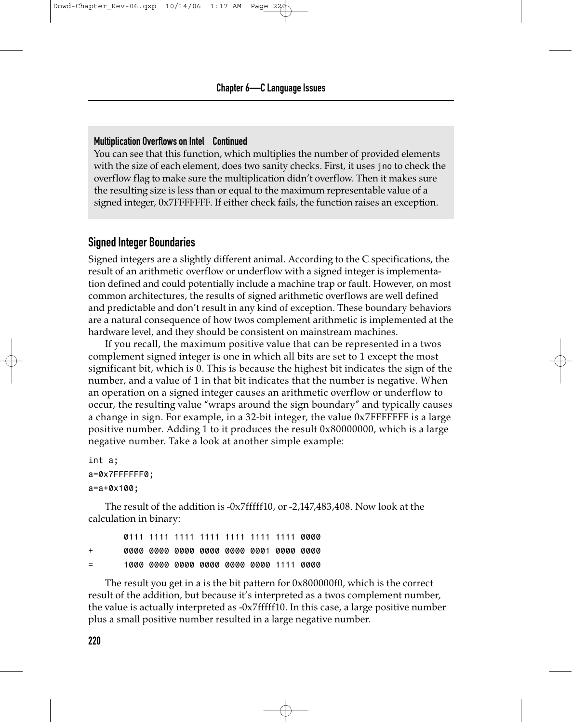## Multiplication Overflows on Intel Continued

You can see that this function, which multiplies the number of provided elements with the size of each element, does two sanity checks. First, it uses jno to check the overflow flag to make sure the multiplication didn't overflow. Then it makes sure the resulting size is less than or equal to the maximum representable value of a signed integer, 0x7FFFFFFF. If either check fails, the function raises an exception.

# Signed Integer Boundaries

Signed integers are a slightly different animal. According to the C specifications, the result of an arithmetic overflow or underflow with a signed integer is implementation defined and could potentially include a machine trap or fault. However, on most common architectures, the results of signed arithmetic overflows are well defined and predictable and don't result in any kind of exception. These boundary behaviors are a natural consequence of how twos complement arithmetic is implemented at the hardware level, and they should be consistent on mainstream machines.

If you recall, the maximum positive value that can be represented in a twos complement signed integer is one in which all bits are set to 1 except the most significant bit, which is 0. This is because the highest bit indicates the sign of the number, and a value of 1 in that bit indicates that the number is negative. When an operation on a signed integer causes an arithmetic overflow or underflow to occur, the resulting value "wraps around the sign boundary" and typically causes a change in sign. For example, in a 32-bit integer, the value 0x7FFFFFFF is a large positive number. Adding 1 to it produces the result 0x80000000, which is a large negative number. Take a look at another simple example:

```
int a;
a=0x7FFFFFF0;
a=a+0x100;
```
The result of the addition is -0x7fffff10, or -2,147,483,408. Now look at the calculation in binary:

0111 1111 1111 1111 1111 1111 1111 0000 + 0000 0000 0000 0000 0000 0001 0000 0000 = 1000 0000 0000 0000 0000 0000 1111 0000

The result you get in a is the bit pattern for 0x800000f0, which is the correct result of the addition, but because it's interpreted as a twos complement number, the value is actually interpreted as -0x7fffff10. In this case, a large positive number plus a small positive number resulted in a large negative number.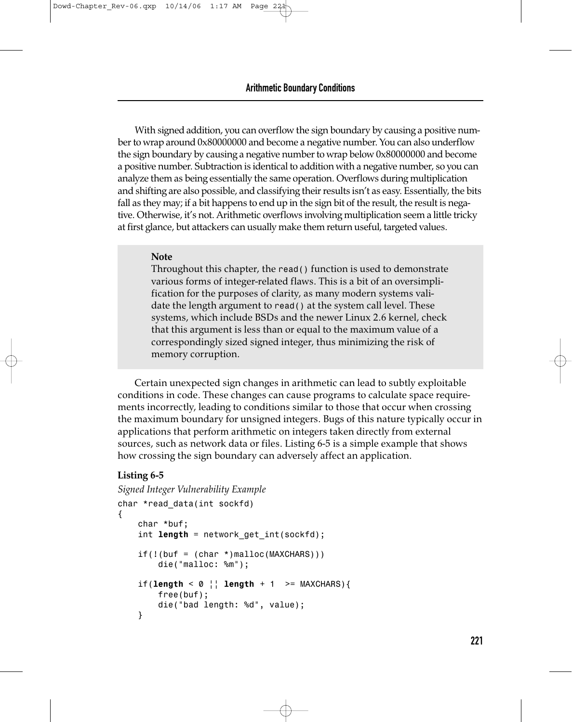#### Arithmetic Boundary Conditions

With signed addition, you can overflow the sign boundary by causing a positive number to wrap around 0x80000000 and become a negative number. You can also underflow the sign boundary by causing a negative number to wrap below 0x80000000 and become a positive number. Subtraction is identical to addition with a negative number, so you can analyze them as being essentially the same operation. Overflows during multiplication and shifting are also possible, and classifying their results isn't as easy. Essentially, the bits fall as they may; if a bit happens to end up in the sign bit of the result, the result is negative. Otherwise, it's not. Arithmetic overflows involving multiplication seem a little tricky at first glance, but attackers can usually make them return useful, targeted values.

#### **Note**

Throughout this chapter, the read() function is used to demonstrate various forms of integer-related flaws. This is a bit of an oversimplification for the purposes of clarity, as many modern systems validate the length argument to read() at the system call level. These systems, which include BSDs and the newer Linux 2.6 kernel, check that this argument is less than or equal to the maximum value of a correspondingly sized signed integer, thus minimizing the risk of memory corruption.

Certain unexpected sign changes in arithmetic can lead to subtly exploitable conditions in code. These changes can cause programs to calculate space requirements incorrectly, leading to conditions similar to those that occur when crossing the maximum boundary for unsigned integers. Bugs of this nature typically occur in applications that perform arithmetic on integers taken directly from external sources, such as network data or files. Listing 6-5 is a simple example that shows how crossing the sign boundary can adversely affect an application.

#### **Listing 6-5**

```
Signed Integer Vulnerability Example
char *read data(int sockfd)
{
    char *buf;
    int length = network get int(sockfd);
    if(!(buf = (char *)malloc(MAXCHARS)))die("malloc: %m");
    if(length < 0 | ) length + 1 >= MAXCHARS){
        free(buf);
        die("bad length: %d", value);
    }
```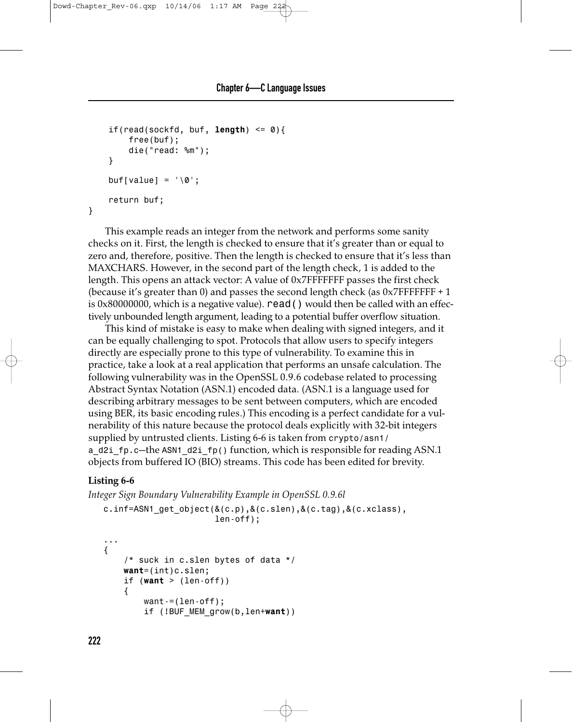```
if(read(sockfd, buf, length) \leq 0}{
    free(buf);
    die("read: %m");
}
buf[value] = '\0;
return buf;
```
This example reads an integer from the network and performs some sanity checks on it. First, the length is checked to ensure that it's greater than or equal to zero and, therefore, positive. Then the length is checked to ensure that it's less than MAXCHARS. However, in the second part of the length check, 1 is added to the length. This opens an attack vector: A value of 0x7FFFFFFF passes the first check (because it's greater than 0) and passes the second length check (as  $0x7$ FFFFFFF + 1 is 0x80000000, which is a negative value).  $read()$  would then be called with an effectively unbounded length argument, leading to a potential buffer overflow situation.

This kind of mistake is easy to make when dealing with signed integers, and it can be equally challenging to spot. Protocols that allow users to specify integers directly are especially prone to this type of vulnerability. To examine this in practice, take a look at a real application that performs an unsafe calculation. The following vulnerability was in the OpenSSL 0.9.6 codebase related to processing Abstract Syntax Notation (ASN.1) encoded data. (ASN.1 is a language used for describing arbitrary messages to be sent between computers, which are encoded using BER, its basic encoding rules.) This encoding is a perfect candidate for a vulnerability of this nature because the protocol deals explicitly with 32-bit integers supplied by untrusted clients. Listing 6-6 is taken from crypto/asn1/ a\_d2i\_fp.c—the ASN1\_d2i\_fp() function, which is responsible for reading ASN.1 objects from buffered IO (BIO) streams. This code has been edited for brevity.

## **Listing 6-6**

}

```
Integer Sign Boundary Vulnerability Example in OpenSSL 0.9.6l
```
c.inf=ASN1\_get\_object(&(c.p),&(c.slen),&(c.tag),&(c.xclass), len-off);

```
...
{
    /* suck in c.slen bytes of data */
    want=(int)c.slen;
    if (want > (len-off))
    {
        want-=(len-off);
        if (!BUF_MEM_grow(b,len+want))
```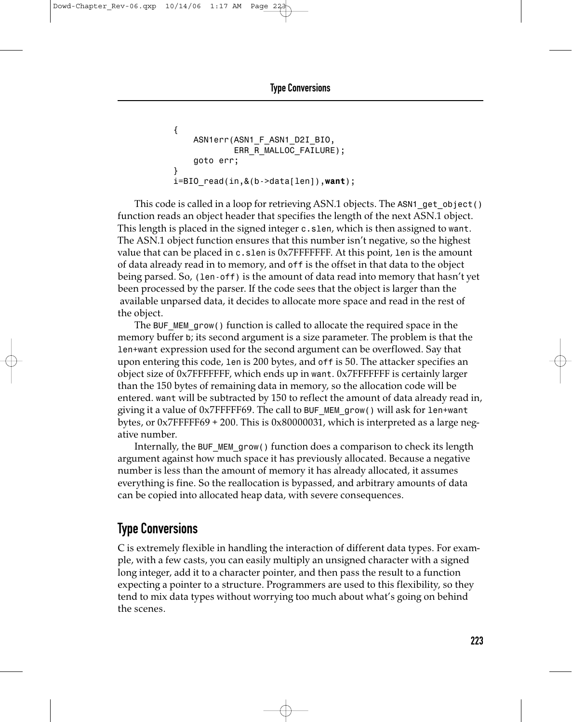Dowd-Chapter\_Rev-06.qxp 10/14/06 1:17 AM Page 22

Type Conversions

```
{
    ASN1err(ASN1_F_ASN1_D2I_BIO,
            ERR_R_MALLOC_FAILURE);
    goto err;
}
i=BIO_read(in,&(b->data[len]),want);
```
This code is called in a loop for retrieving ASN.1 objects. The ASN1\_get\_object() function reads an object header that specifies the length of the next ASN.1 object. This length is placed in the signed integer c.slen, which is then assigned to want. The ASN.1 object function ensures that this number isn't negative, so the highest value that can be placed in c. s1en is  $0x7$ FFFFFFF. At this point, 1en is the amount of data already read in to memory, and off is the offset in that data to the object being parsed. So, (len-off) is the amount of data read into memory that hasn't yet been processed by the parser. If the code sees that the object is larger than the available unparsed data, it decides to allocate more space and read in the rest of the object.

The BUF\_MEM\_grow() function is called to allocate the required space in the memory buffer b; its second argument is a size parameter. The problem is that the len+want expression used for the second argument can be overflowed. Say that upon entering this code, len is 200 bytes, and off is 50. The attacker specifies an object size of 0x7FFFFFFF, which ends up in want. 0x7FFFFFFF is certainly larger than the 150 bytes of remaining data in memory, so the allocation code will be entered. want will be subtracted by 150 to reflect the amount of data already read in, giving it a value of  $0x7$ FFFFF69. The call to BUF\_MEM\_grow() will ask for len+want bytes, or  $0x7$ FFFFF69 + 200. This is  $0x80000031$ , which is interpreted as a large negative number.

Internally, the BUF\_MEM\_grow() function does a comparison to check its length argument against how much space it has previously allocated. Because a negative number is less than the amount of memory it has already allocated, it assumes everything is fine. So the reallocation is bypassed, and arbitrary amounts of data can be copied into allocated heap data, with severe consequences.

# Type Conversions

C is extremely flexible in handling the interaction of different data types. For example, with a few casts, you can easily multiply an unsigned character with a signed long integer, add it to a character pointer, and then pass the result to a function expecting a pointer to a structure. Programmers are used to this flexibility, so they tend to mix data types without worrying too much about what's going on behind the scenes.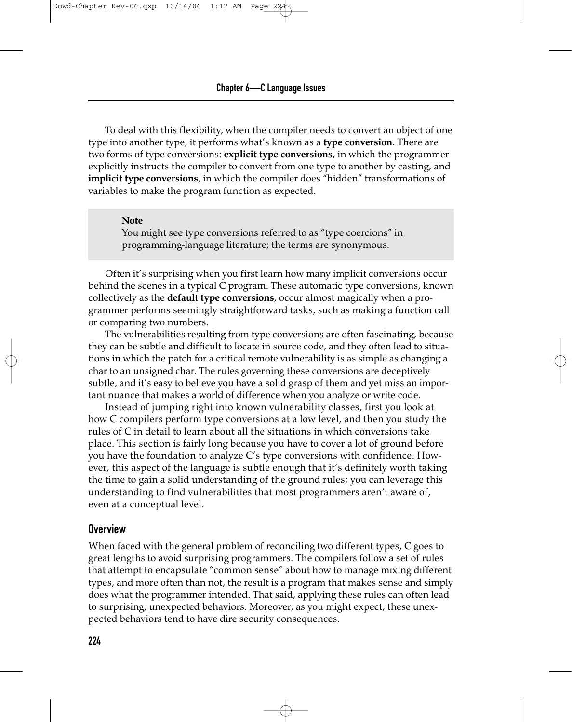To deal with this flexibility, when the compiler needs to convert an object of one type into another type, it performs what's known as a **type conversion**. There are two forms of type conversions: **explicit type conversions**, in which the programmer explicitly instructs the compiler to convert from one type to another by casting, and **implicit type conversions**, in which the compiler does "hidden" transformations of variables to make the program function as expected.

#### **Note**

You might see type conversions referred to as "type coercions" in programming-language literature; the terms are synonymous.

Often it's surprising when you first learn how many implicit conversions occur behind the scenes in a typical C program. These automatic type conversions, known collectively as the **default type conversions**, occur almost magically when a programmer performs seemingly straightforward tasks, such as making a function call or comparing two numbers.

The vulnerabilities resulting from type conversions are often fascinating, because they can be subtle and difficult to locate in source code, and they often lead to situations in which the patch for a critical remote vulnerability is as simple as changing a char to an unsigned char. The rules governing these conversions are deceptively subtle, and it's easy to believe you have a solid grasp of them and yet miss an important nuance that makes a world of difference when you analyze or write code.

Instead of jumping right into known vulnerability classes, first you look at how C compilers perform type conversions at a low level, and then you study the rules of C in detail to learn about all the situations in which conversions take place. This section is fairly long because you have to cover a lot of ground before you have the foundation to analyze C's type conversions with confidence. However, this aspect of the language is subtle enough that it's definitely worth taking the time to gain a solid understanding of the ground rules; you can leverage this understanding to find vulnerabilities that most programmers aren't aware of, even at a conceptual level.

## **Overview**

When faced with the general problem of reconciling two different types, C goes to great lengths to avoid surprising programmers. The compilers follow a set of rules that attempt to encapsulate "common sense" about how to manage mixing different types, and more often than not, the result is a program that makes sense and simply does what the programmer intended. That said, applying these rules can often lead to surprising, unexpected behaviors. Moreover, as you might expect, these unexpected behaviors tend to have dire security consequences.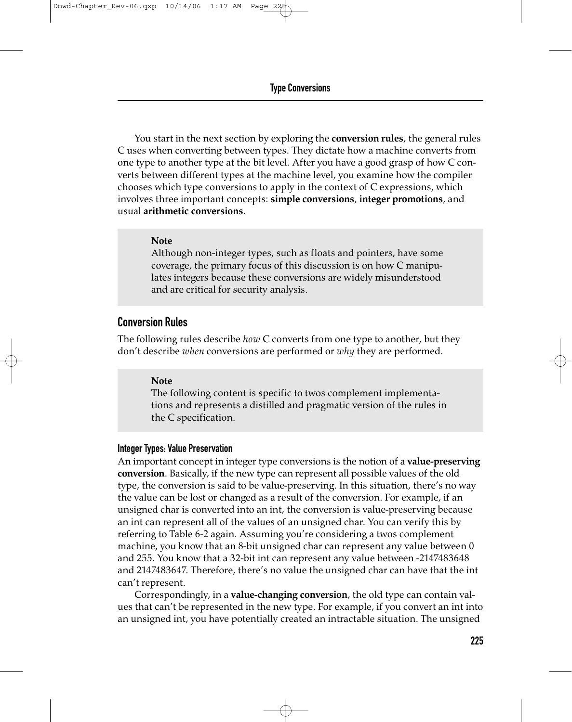#### $Dowd-Chapter\_Rev-06.qxp 10/14/06 1:17 AM Page 22/555$

Type Conversions

You start in the next section by exploring the **conversion rules**, the general rules C uses when converting between types. They dictate how a machine converts from one type to another type at the bit level. After you have a good grasp of how C converts between different types at the machine level, you examine how the compiler chooses which type conversions to apply in the context of C expressions, which involves three important concepts: **simple conversions**, **integer promotions**, and usual **arithmetic conversions**.

# **Note**

Although non-integer types, such as floats and pointers, have some coverage, the primary focus of this discussion is on how C manipulates integers because these conversions are widely misunderstood and are critical for security analysis.

# Conversion Rules

The following rules describe *how* C converts from one type to another, but they don't describe *when* conversions are performed or *why* they are performed.

#### **Note**

The following content is specific to twos complement implementations and represents a distilled and pragmatic version of the rules in the C specification.

#### Integer Types: Value Preservation

An important concept in integer type conversions is the notion of a **value-preserving conversion**. Basically, if the new type can represent all possible values of the old type, the conversion is said to be value-preserving. In this situation, there's no way the value can be lost or changed as a result of the conversion. For example, if an unsigned char is converted into an int, the conversion is value-preserving because an int can represent all of the values of an unsigned char. You can verify this by referring to Table 6-2 again. Assuming you're considering a twos complement machine, you know that an 8-bit unsigned char can represent any value between 0 and 255. You know that a 32-bit int can represent any value between -2147483648 and 2147483647. Therefore, there's no value the unsigned char can have that the int can't represent.

Correspondingly, in a **value-changing conversion**, the old type can contain values that can't be represented in the new type. For example, if you convert an int into an unsigned int, you have potentially created an intractable situation. The unsigned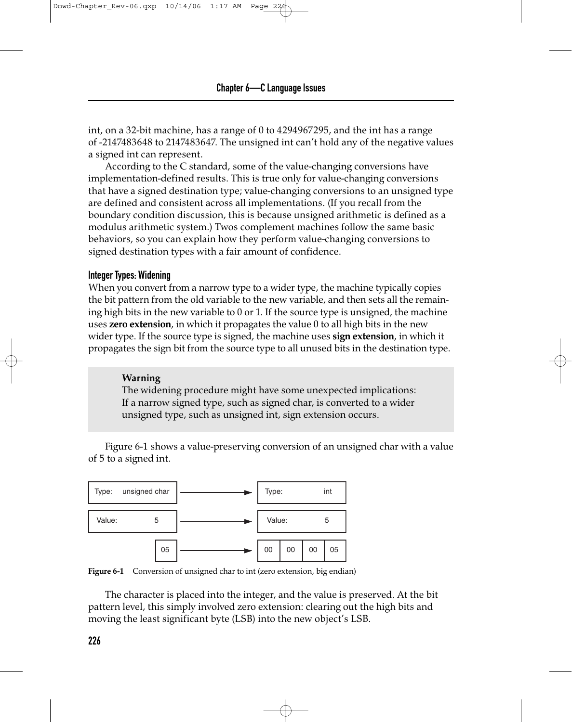int, on a 32-bit machine, has a range of 0 to 4294967295, and the int has a range of -2147483648 to 2147483647. The unsigned int can't hold any of the negative values a signed int can represent.

According to the C standard, some of the value-changing conversions have implementation-defined results. This is true only for value-changing conversions that have a signed destination type; value-changing conversions to an unsigned type are defined and consistent across all implementations. (If you recall from the boundary condition discussion, this is because unsigned arithmetic is defined as a modulus arithmetic system.) Twos complement machines follow the same basic behaviors, so you can explain how they perform value-changing conversions to signed destination types with a fair amount of confidence.

# Integer Types: Widening

When you convert from a narrow type to a wider type, the machine typically copies the bit pattern from the old variable to the new variable, and then sets all the remaining high bits in the new variable to 0 or 1. If the source type is unsigned, the machine uses **zero extension**, in which it propagates the value 0 to all high bits in the new wider type. If the source type is signed, the machine uses **sign extension**, in which it propagates the sign bit from the source type to all unused bits in the destination type.

#### **Warning**

The widening procedure might have some unexpected implications: If a narrow signed type, such as signed char, is converted to a wider unsigned type, such as unsigned int, sign extension occurs.

Figure 6-1 shows a value-preserving conversion of an unsigned char with a value of 5 to a signed int.



**Figure 6-1** Conversion of unsigned char to int (zero extension, big endian)

The character is placed into the integer, and the value is preserved. At the bit pattern level, this simply involved zero extension: clearing out the high bits and moving the least significant byte (LSB) into the new object's LSB.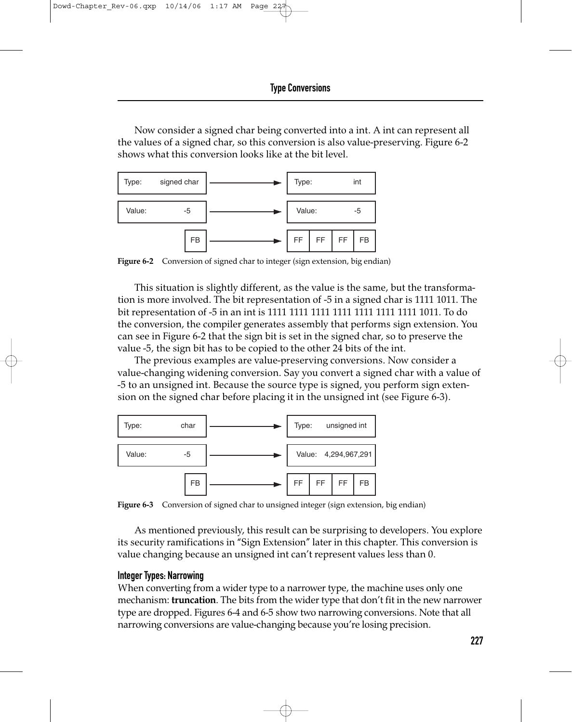Type Conversions

Now consider a signed char being converted into a int. A int can represent all the values of a signed char, so this conversion is also value-preserving. Figure 6-2 shows what this conversion looks like at the bit level.



**Figure 6-2** Conversion of signed char to integer (sign extension, big endian)

This situation is slightly different, as the value is the same, but the transformation is more involved. The bit representation of -5 in a signed char is 1111 1011. The bit representation of -5 in an int is 1111 1111 1111 1111 1111 1111 1111 1011. To do the conversion, the compiler generates assembly that performs sign extension. You can see in Figure 6-2 that the sign bit is set in the signed char, so to preserve the value -5, the sign bit has to be copied to the other 24 bits of the int.

The previous examples are value-preserving conversions. Now consider a value-changing widening conversion. Say you convert a signed char with a value of -5 to an unsigned int. Because the source type is signed, you perform sign extension on the signed char before placing it in the unsigned int (see Figure 6-3).



**Figure 6-3** Conversion of signed char to unsigned integer (sign extension, big endian)

As mentioned previously, this result can be surprising to developers. You explore its security ramifications in "Sign Extension" later in this chapter. This conversion is value changing because an unsigned int can't represent values less than 0.

# Integer Types: Narrowing

When converting from a wider type to a narrower type, the machine uses only one mechanism: **truncation**. The bits from the wider type that don't fit in the new narrower type are dropped. Figures 6-4 and 6-5 show two narrowing conversions. Note that all narrowing conversions are value-changing because you're losing precision.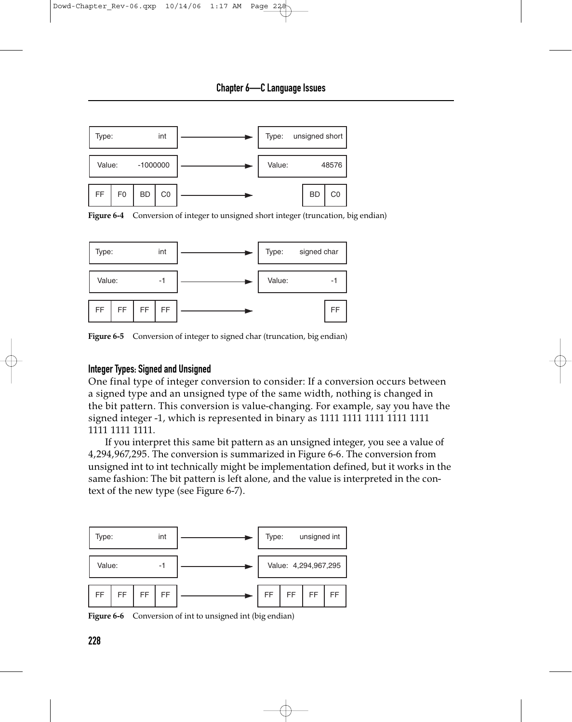

**Figure 6-4** Conversion of integer to unsigned short integer (truncation, big endian)



**Figure 6-5** Conversion of integer to signed char (truncation, big endian)

# Integer Types: Signed and Unsigned

One final type of integer conversion to consider: If a conversion occurs between a signed type and an unsigned type of the same width, nothing is changed in the bit pattern. This conversion is value-changing. For example, say you have the signed integer -1, which is represented in binary as 1111 1111 1111 1111 1111 1111 1111 1111.

If you interpret this same bit pattern as an unsigned integer, you see a value of 4,294,967,295. The conversion is summarized in Figure 6-6. The conversion from unsigned int to int technically might be implementation defined, but it works in the same fashion: The bit pattern is left alone, and the value is interpreted in the context of the new type (see Figure 6-7).



**Figure 6-6** Conversion of int to unsigned int (big endian)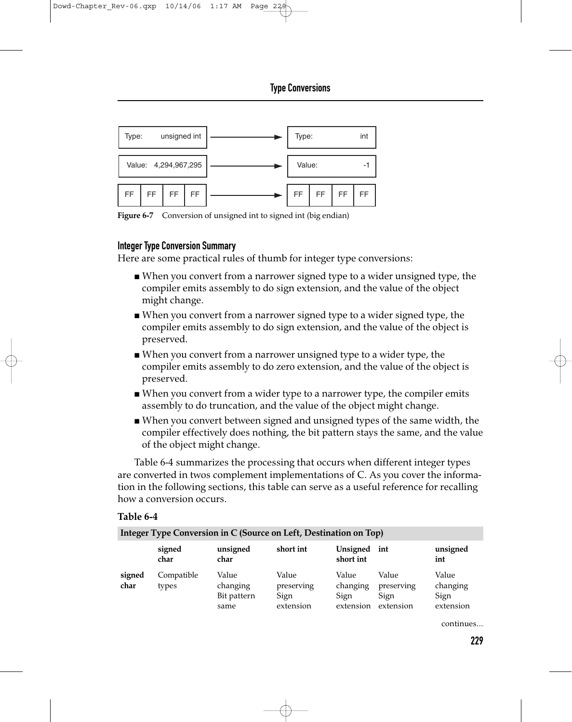



**Figure 6-7** Conversion of unsigned int to signed int (big endian)

# Integer Type Conversion Summary

Here are some practical rules of thumb for integer type conversions:

- When you convert from a narrower signed type to a wider unsigned type, the compiler emits assembly to do sign extension, and the value of the object might change.
- When you convert from a narrower signed type to a wider signed type, the compiler emits assembly to do sign extension, and the value of the object is preserved.
- When you convert from a narrower unsigned type to a wider type, the compiler emits assembly to do zero extension, and the value of the object is preserved.
- When you convert from a wider type to a narrower type, the compiler emits assembly to do truncation, and the value of the object might change.
- When you convert between signed and unsigned types of the same width, the compiler effectively does nothing, the bit pattern stays the same, and the value of the object might change.

Table 6-4 summarizes the processing that occurs when different integer types are converted in twos complement implementations of C. As you cover the information in the following sections, this table can serve as a useful reference for recalling how a conversion occurs.

# **Table 6-4**

|                |                     | Integer Type Conversion in C (Source on Left, Destination on Top) |                                          |                                        |                                          |                                        |
|----------------|---------------------|-------------------------------------------------------------------|------------------------------------------|----------------------------------------|------------------------------------------|----------------------------------------|
|                | signed<br>char      | unsigned<br>char                                                  | short int                                | Unsigned int<br>short int              |                                          | unsigned<br>int                        |
| signed<br>char | Compatible<br>types | Value<br>changing<br>Bit pattern<br>same                          | Value<br>preserving<br>Sign<br>extension | Value<br>changing<br>Sign<br>extension | Value<br>preserving<br>Sign<br>extension | Value<br>changing<br>Sign<br>extension |

continues…

229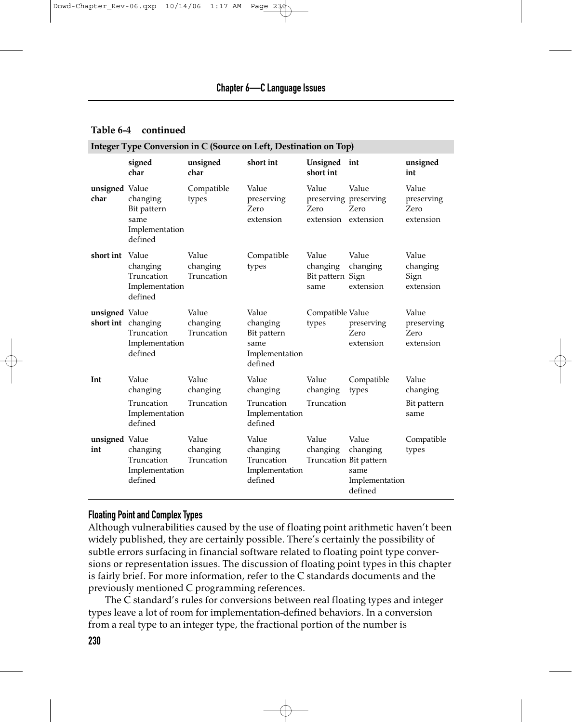#### **Table 6-4 continued**

|                                      | Integer Type Conversion in C (Source on Left, Destination on Top) |                                 |                                                                       |                                                     |                                                        |                                          |
|--------------------------------------|-------------------------------------------------------------------|---------------------------------|-----------------------------------------------------------------------|-----------------------------------------------------|--------------------------------------------------------|------------------------------------------|
|                                      | signed<br>char                                                    | unsigned<br>char                | short int                                                             | Unsigned<br>short int                               | int                                                    | unsigned<br>int                          |
| unsigned Value<br>char               | changing<br>Bit pattern<br>same<br>Implementation<br>defined      | Compatible<br>types             | Value<br>preserving<br>Zero<br>extension                              | Value<br>preserving preserving<br>Zero<br>extension | Value<br>Zero<br>extension                             | Value<br>preserving<br>Zero<br>extension |
| short int                            | Value<br>changing<br>Truncation<br>Implementation<br>defined      | Value<br>changing<br>Truncation | Compatible<br>types                                                   | Value<br>changing<br>Bit pattern Sign<br>same       | Value<br>changing<br>extension                         | Value<br>changing<br>Sign<br>extension   |
| unsigned Value<br>short int changing | Truncation<br>Implementation<br>defined                           | Value<br>changing<br>Truncation | Value<br>changing<br>Bit pattern<br>same<br>Implementation<br>defined | Compatible Value<br>types                           | preserving<br>Zero<br>extension                        | Value<br>preserving<br>Zero<br>extension |
| Int                                  | Value<br>changing<br>Truncation<br>Implementation<br>defined      | Value<br>changing<br>Truncation | Value<br>changing<br>Truncation<br>Implementation<br>defined          | Value<br>changing<br>Truncation                     | Compatible<br>types                                    | Value<br>changing<br>Bit pattern<br>same |
| unsigned Value<br>int                | changing<br>Truncation<br>Implementation<br>defined               | Value<br>changing<br>Truncation | Value<br>changing<br>Truncation<br>Implementation<br>defined          | Value<br>changing<br>Truncation Bit pattern         | Value<br>changing<br>same<br>Implementation<br>defined | Compatible<br>types                      |

#### Floating Point and Complex Types

Although vulnerabilities caused by the use of floating point arithmetic haven't been widely published, they are certainly possible. There's certainly the possibility of subtle errors surfacing in financial software related to floating point type conversions or representation issues. The discussion of floating point types in this chapter is fairly brief. For more information, refer to the C standards documents and the previously mentioned C programming references.

The C standard's rules for conversions between real floating types and integer types leave a lot of room for implementation-defined behaviors. In a conversion from a real type to an integer type, the fractional portion of the number is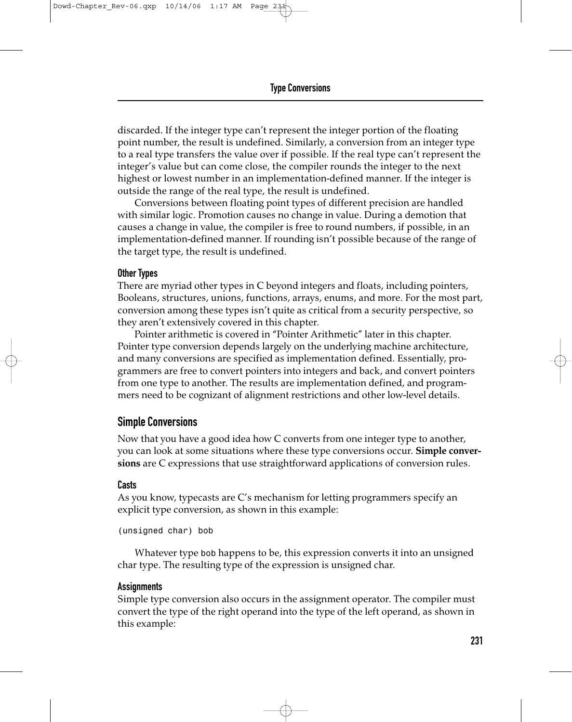Type Conversions

discarded. If the integer type can't represent the integer portion of the floating point number, the result is undefined. Similarly, a conversion from an integer type to a real type transfers the value over if possible. If the real type can't represent the integer's value but can come close, the compiler rounds the integer to the next highest or lowest number in an implementation-defined manner. If the integer is outside the range of the real type, the result is undefined.

Conversions between floating point types of different precision are handled with similar logic. Promotion causes no change in value. During a demotion that causes a change in value, the compiler is free to round numbers, if possible, in an implementation-defined manner. If rounding isn't possible because of the range of the target type, the result is undefined.

#### Other Types

There are myriad other types in C beyond integers and floats, including pointers, Booleans, structures, unions, functions, arrays, enums, and more. For the most part, conversion among these types isn't quite as critical from a security perspective, so they aren't extensively covered in this chapter.

Pointer arithmetic is covered in "Pointer Arithmetic" later in this chapter. Pointer type conversion depends largely on the underlying machine architecture, and many conversions are specified as implementation defined. Essentially, programmers are free to convert pointers into integers and back, and convert pointers from one type to another. The results are implementation defined, and programmers need to be cognizant of alignment restrictions and other low-level details.

# Simple Conversions

Now that you have a good idea how C converts from one integer type to another, you can look at some situations where these type conversions occur. **Simple conversions** are C expressions that use straightforward applications of conversion rules.

#### Casts

As you know, typecasts are C's mechanism for letting programmers specify an explicit type conversion, as shown in this example:

(unsigned char) bob

Whatever type bob happens to be, this expression converts it into an unsigned char type. The resulting type of the expression is unsigned char.

#### Assignments

Simple type conversion also occurs in the assignment operator. The compiler must convert the type of the right operand into the type of the left operand, as shown in this example: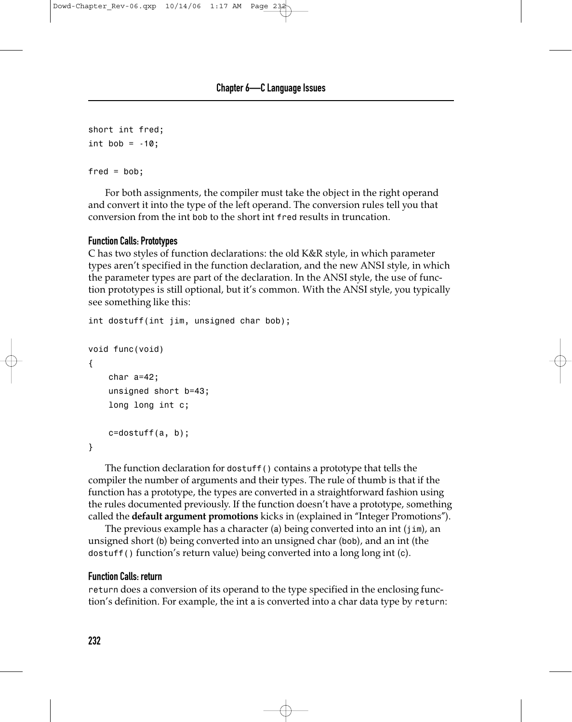short int fred; int bob =  $-10$ ;

 $fred = bob;$ 

For both assignments, the compiler must take the object in the right operand and convert it into the type of the left operand. The conversion rules tell you that conversion from the int bob to the short int fred results in truncation.

#### Function Calls: Prototypes

C has two styles of function declarations: the old K&R style, in which parameter types aren't specified in the function declaration, and the new ANSI style, in which the parameter types are part of the declaration. In the ANSI style, the use of function prototypes is still optional, but it's common. With the ANSI style, you typically see something like this:

```
int dostuff(int jim, unsigned char bob);
void func(void)
{
    char a=42;
    unsigned short b=43;
    long long int c;
    c=dostuff(a, b);
}
```
The function declaration for dostuff() contains a prototype that tells the compiler the number of arguments and their types. The rule of thumb is that if the function has a prototype, the types are converted in a straightforward fashion using the rules documented previously. If the function doesn't have a prototype, something called the **default argument promotions** kicks in (explained in "Integer Promotions").

The previous example has a character (a) being converted into an int (jim), an unsigned short (b) being converted into an unsigned char (bob), and an int (the dostuff() function's return value) being converted into a long long int (c).

#### Function Calls: return

return does a conversion of its operand to the type specified in the enclosing function's definition. For example, the int a is converted into a char data type by return: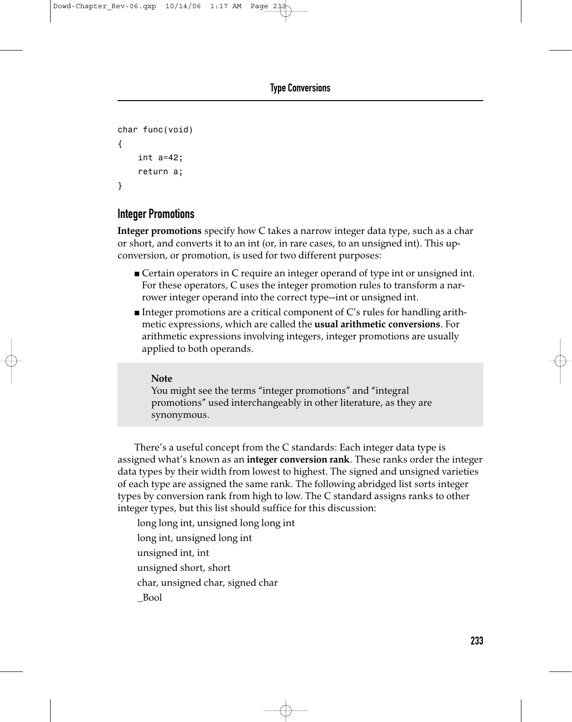Type Conversions

```
char func(void)
{
    int a=42;
    return a;
}
```
# Integer Promotions

**Integer promotions** specify how C takes a narrow integer data type, such as a char or short, and converts it to an int (or, in rare cases, to an unsigned int). This upconversion, or promotion, is used for two different purposes:

- Certain operators in C require an integer operand of type int or unsigned int. For these operators, C uses the integer promotion rules to transform a narrower integer operand into the correct type—int or unsigned int.
- Integer promotions are a critical component of C's rules for handling arithmetic expressions, which are called the **usual arithmetic conversions**. For arithmetic expressions involving integers, integer promotions are usually applied to both operands.

#### **Note**

You might see the terms "integer promotions" and "integral promotions" used interchangeably in other literature, as they are synonymous.

There's a useful concept from the C standards: Each integer data type is assigned what's known as an **integer conversion rank**. These ranks order the integer data types by their width from lowest to highest. The signed and unsigned varieties of each type are assigned the same rank. The following abridged list sorts integer types by conversion rank from high to low. The C standard assigns ranks to other integer types, but this list should suffice for this discussion:

long long int, unsigned long long int

- long int, unsigned long int
- unsigned int, int

unsigned short, short

char, unsigned char, signed char

\_Bool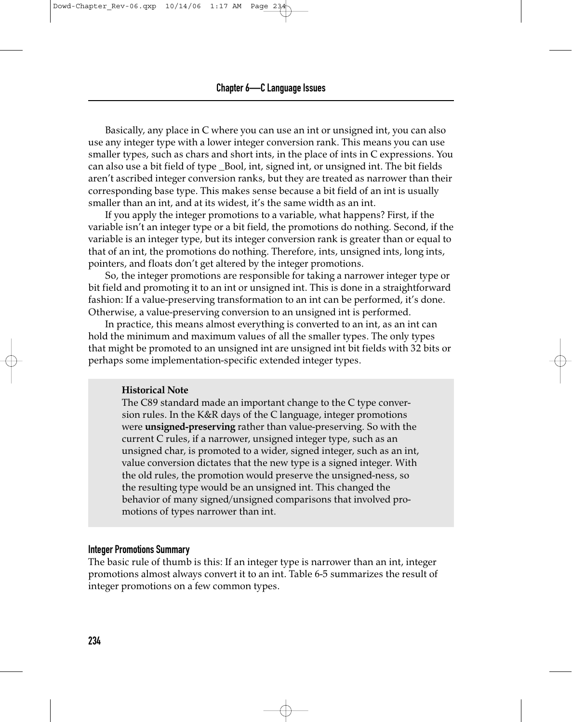Dowd-Chapter\_Rev-06.qxp 10/14/06 1:17 AM Page

Chapter 6—C Language Issues

Basically, any place in C where you can use an int or unsigned int, you can also use any integer type with a lower integer conversion rank. This means you can use smaller types, such as chars and short ints, in the place of ints in C expressions. You can also use a bit field of type \_Bool, int, signed int, or unsigned int. The bit fields aren't ascribed integer conversion ranks, but they are treated as narrower than their corresponding base type. This makes sense because a bit field of an int is usually smaller than an int, and at its widest, it's the same width as an int.

If you apply the integer promotions to a variable, what happens? First, if the variable isn't an integer type or a bit field, the promotions do nothing. Second, if the variable is an integer type, but its integer conversion rank is greater than or equal to that of an int, the promotions do nothing. Therefore, ints, unsigned ints, long ints, pointers, and floats don't get altered by the integer promotions.

So, the integer promotions are responsible for taking a narrower integer type or bit field and promoting it to an int or unsigned int. This is done in a straightforward fashion: If a value-preserving transformation to an int can be performed, it's done. Otherwise, a value-preserving conversion to an unsigned int is performed.

In practice, this means almost everything is converted to an int, as an int can hold the minimum and maximum values of all the smaller types. The only types that might be promoted to an unsigned int are unsigned int bit fields with 32 bits or perhaps some implementation-specific extended integer types.

## **Historical Note**

The C89 standard made an important change to the C type conversion rules. In the K&R days of the C language, integer promotions were **unsigned-preserving** rather than value-preserving. So with the current C rules, if a narrower, unsigned integer type, such as an unsigned char, is promoted to a wider, signed integer, such as an int, value conversion dictates that the new type is a signed integer. With the old rules, the promotion would preserve the unsigned-ness, so the resulting type would be an unsigned int. This changed the behavior of many signed/unsigned comparisons that involved promotions of types narrower than int.

#### Integer Promotions Summary

The basic rule of thumb is this: If an integer type is narrower than an int, integer promotions almost always convert it to an int. Table 6-5 summarizes the result of integer promotions on a few common types.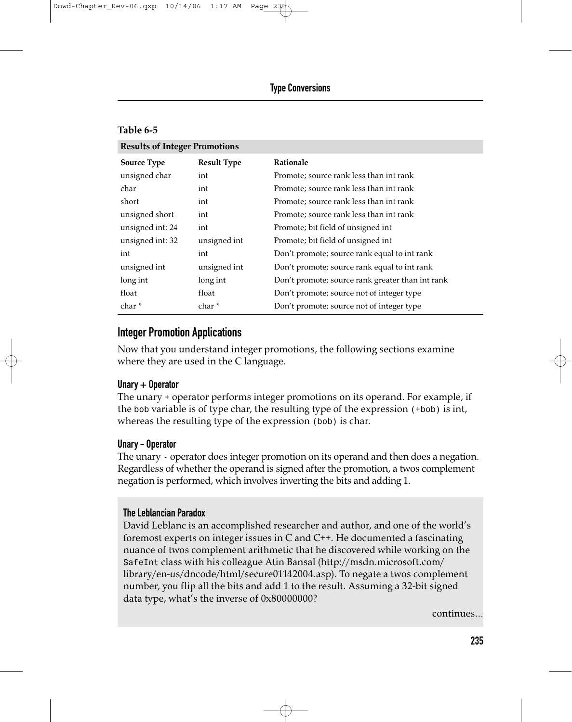Type Conversions

# **Table 6-5**

| <b>Results of Integer Promotions</b> |                    |                                                  |  |  |  |
|--------------------------------------|--------------------|--------------------------------------------------|--|--|--|
| <b>Source Type</b>                   | <b>Result Type</b> | Rationale                                        |  |  |  |
| unsigned char                        | int                | Promote; source rank less than int rank          |  |  |  |
| char                                 | int                | Promote; source rank less than int rank          |  |  |  |
| short                                | int                | Promote; source rank less than int rank          |  |  |  |
| unsigned short                       | int                | Promote; source rank less than int rank          |  |  |  |
| unsigned int: 24                     | int                | Promote; bit field of unsigned int               |  |  |  |
| unsigned int: 32                     | unsigned int       | Promote; bit field of unsigned int               |  |  |  |
| int                                  | int                | Don't promote; source rank equal to int rank     |  |  |  |
| unsigned int                         | unsigned int       | Don't promote; source rank equal to int rank     |  |  |  |
| long int                             | long int           | Don't promote; source rank greater than int rank |  |  |  |
| float                                | float              | Don't promote; source not of integer type        |  |  |  |
| char <sup>*</sup>                    | char <sup>*</sup>  | Don't promote; source not of integer type        |  |  |  |
|                                      |                    |                                                  |  |  |  |

# Integer Promotion Applications

Now that you understand integer promotions, the following sections examine where they are used in the C language.

#### Unary  $+$  Operator

The unary + operator performs integer promotions on its operand. For example, if the bob variable is of type char, the resulting type of the expression (+bob) is int, whereas the resulting type of the expression (bob) is char.

#### Unary - Operator

The unary - operator does integer promotion on its operand and then does a negation. Regardless of whether the operand is signed after the promotion, a twos complement negation is performed, which involves inverting the bits and adding 1.

# The Leblancian Paradox

David Leblanc is an accomplished researcher and author, and one of the world's foremost experts on integer issues in C and C++. He documented a fascinating nuance of twos complement arithmetic that he discovered while working on the SafeInt class with his colleague Atin Bansal (http://msdn.microsoft.com/ library/en-us/dncode/html/secure01142004.asp). To negate a twos complement number, you flip all the bits and add 1 to the result. Assuming a 32-bit signed data type, what's the inverse of 0x80000000?

continues…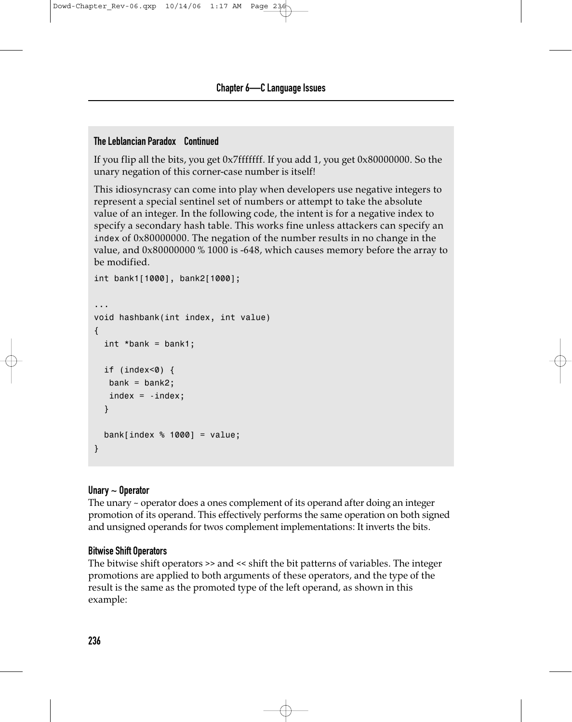# The Leblancian Paradox Continued

If you flip all the bits, you get 0x7fffffff. If you add 1, you get 0x80000000. So the unary negation of this corner-case number is itself!

This idiosyncrasy can come into play when developers use negative integers to represent a special sentinel set of numbers or attempt to take the absolute value of an integer. In the following code, the intent is for a negative index to specify a secondary hash table. This works fine unless attackers can specify an index of 0x80000000. The negation of the number results in no change in the value, and 0x80000000 % 1000 is -648, which causes memory before the array to be modified.

```
int bank1[1000], bank2[1000];
...
void hashbank(int index, int value)
{
  int *bank = bank1;if (index<0) {
   bank = bank2;
   index = -index;}
  bank[index % 1000] = value;
}
```
## Unary  $\sim$  Operator

The unary ~ operator does a ones complement of its operand after doing an integer promotion of its operand. This effectively performs the same operation on both signed and unsigned operands for twos complement implementations: It inverts the bits.

#### Bitwise Shift Operators

The bitwise shift operators >> and << shift the bit patterns of variables. The integer promotions are applied to both arguments of these operators, and the type of the result is the same as the promoted type of the left operand, as shown in this example: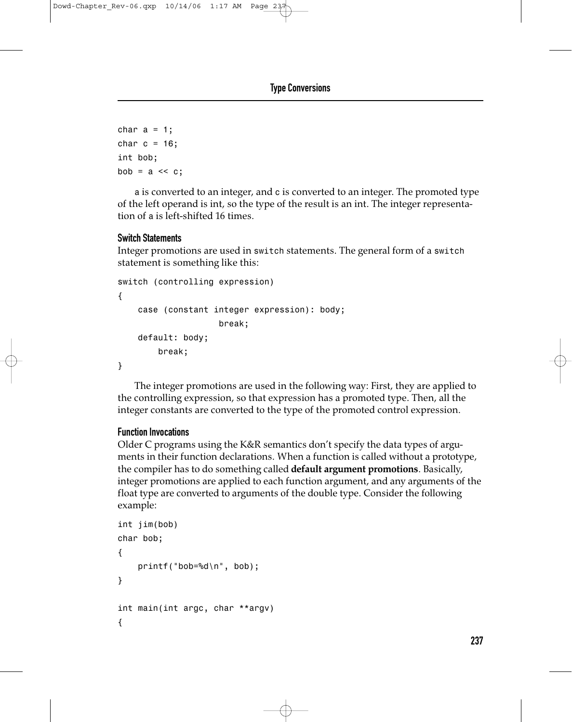Type Conversions

char  $a = 1$ ; char  $c = 16$ ; int bob; bob =  $a \ll c$ ;

a is converted to an integer, and c is converted to an integer. The promoted type of the left operand is int, so the type of the result is an int. The integer representation of a is left-shifted 16 times.

## Switch Statements

Integer promotions are used in switch statements. The general form of a switch statement is something like this:

```
switch (controlling expression)
{
    case (constant integer expression): body;
                    break;
    default: body;
        break;
}
```
The integer promotions are used in the following way: First, they are applied to the controlling expression, so that expression has a promoted type. Then, all the integer constants are converted to the type of the promoted control expression.

# Function Invocations

Older C programs using the K&R semantics don't specify the data types of arguments in their function declarations. When a function is called without a prototype, the compiler has to do something called **default argument promotions**. Basically, integer promotions are applied to each function argument, and any arguments of the float type are converted to arguments of the double type. Consider the following example:

```
int jim(bob)
char bob;
{
    printf("bob=%d\n", bob);
}
int main(int argc, char **argv)
{
```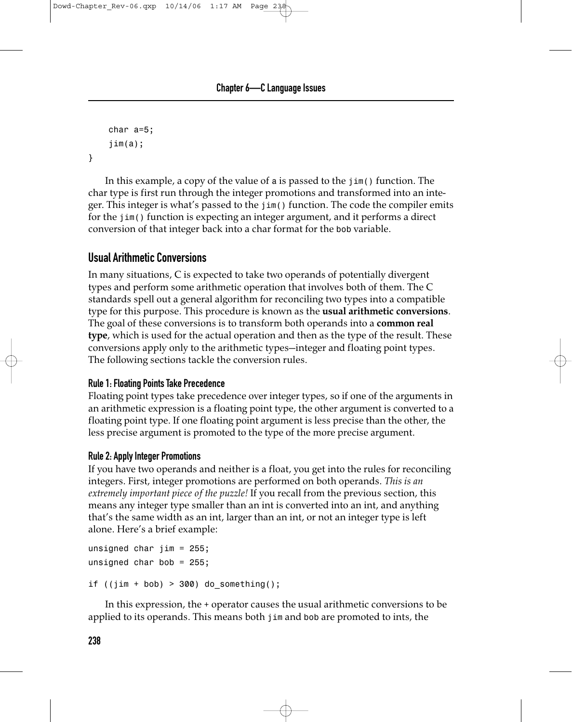```
char a=5;
jim(a);
```
}

In this example, a copy of the value of a is passed to the jim() function. The char type is first run through the integer promotions and transformed into an integer. This integer is what's passed to the jim() function. The code the compiler emits for the jim() function is expecting an integer argument, and it performs a direct conversion of that integer back into a char format for the bob variable.

# Usual Arithmetic Conversions

In many situations, C is expected to take two operands of potentially divergent types and perform some arithmetic operation that involves both of them. The C standards spell out a general algorithm for reconciling two types into a compatible type for this purpose. This procedure is known as the **usual arithmetic conversions**. The goal of these conversions is to transform both operands into a **common real type**, which is used for the actual operation and then as the type of the result. These conversions apply only to the arithmetic types—integer and floating point types. The following sections tackle the conversion rules.

#### Rule 1: Floating Points Take Precedence

Floating point types take precedence over integer types, so if one of the arguments in an arithmetic expression is a floating point type, the other argument is converted to a floating point type. If one floating point argument is less precise than the other, the less precise argument is promoted to the type of the more precise argument.

#### Rule 2: Apply Integer Promotions

If you have two operands and neither is a float, you get into the rules for reconciling integers. First, integer promotions are performed on both operands. *This is an extremely important piece of the puzzle!* If you recall from the previous section, this means any integer type smaller than an int is converted into an int, and anything that's the same width as an int, larger than an int, or not an integer type is left alone. Here's a brief example:

unsigned char  $\sin = 255$ ; unsigned char bob =  $255$ ;

```
if ((jim + bob) > 300) do something();
```
In this expression, the + operator causes the usual arithmetic conversions to be applied to its operands. This means both jim and bob are promoted to ints, the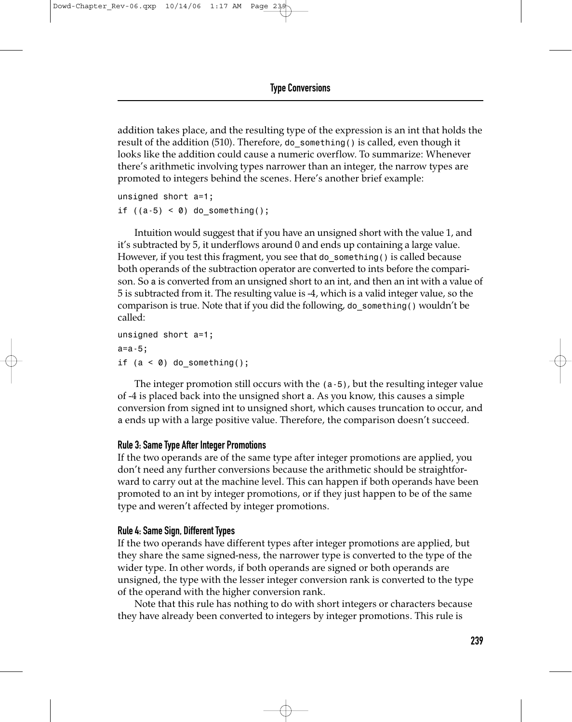Type Conversions

addition takes place, and the resulting type of the expression is an int that holds the result of the addition (510). Therefore, do something() is called, even though it looks like the addition could cause a numeric overflow. To summarize: Whenever there's arithmetic involving types narrower than an integer, the narrow types are promoted to integers behind the scenes. Here's another brief example:

```
unsigned short a=1;
if ((a-5) < 0) do something();
```
Intuition would suggest that if you have an unsigned short with the value 1, and it's subtracted by 5, it underflows around 0 and ends up containing a large value. However, if you test this fragment, you see that do something() is called because both operands of the subtraction operator are converted to ints before the comparison. So a is converted from an unsigned short to an int, and then an int with a value of 5 is subtracted from it. The resulting value is -4, which is a valid integer value, so the comparison is true. Note that if you did the following, do\_something() wouldn't be called:

```
unsigned short a=1;
a=a-5;
if (a < 0) do_something();
```
The integer promotion still occurs with the (a-5), but the resulting integer value of -4 is placed back into the unsigned short a. As you know, this causes a simple conversion from signed int to unsigned short, which causes truncation to occur, and a ends up with a large positive value. Therefore, the comparison doesn't succeed.

#### Rule 3: Same Type After Integer Promotions

If the two operands are of the same type after integer promotions are applied, you don't need any further conversions because the arithmetic should be straightforward to carry out at the machine level. This can happen if both operands have been promoted to an int by integer promotions, or if they just happen to be of the same type and weren't affected by integer promotions.

#### Rule 4: Same Sign, Different Types

If the two operands have different types after integer promotions are applied, but they share the same signed-ness, the narrower type is converted to the type of the wider type. In other words, if both operands are signed or both operands are unsigned, the type with the lesser integer conversion rank is converted to the type of the operand with the higher conversion rank.

Note that this rule has nothing to do with short integers or characters because they have already been converted to integers by integer promotions. This rule is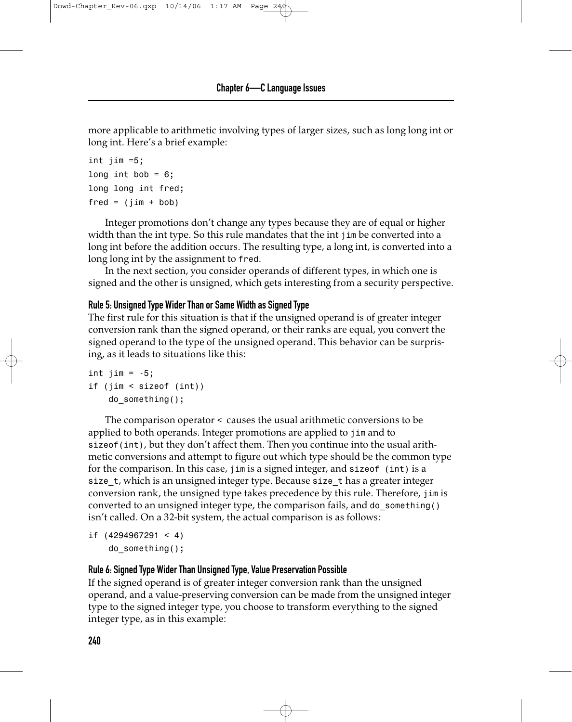more applicable to arithmetic involving types of larger sizes, such as long long int or long int. Here's a brief example:

```
int jim =5;
long int bob = 6;
long long int fred;
fred = (im + bob)
```
Integer promotions don't change any types because they are of equal or higher width than the int type. So this rule mandates that the int jim be converted into a long int before the addition occurs. The resulting type, a long int, is converted into a long long int by the assignment to fred.

In the next section, you consider operands of different types, in which one is signed and the other is unsigned, which gets interesting from a security perspective.

#### Rule 5: Unsigned Type Wider Than or Same Width as Signed Type

The first rule for this situation is that if the unsigned operand is of greater integer conversion rank than the signed operand, or their ranks are equal, you convert the signed operand to the type of the unsigned operand. This behavior can be surprising, as it leads to situations like this:

```
int \sin = -5;
if (jim < sizeof (int))
    do_something();
```
The comparison operator < causes the usual arithmetic conversions to be applied to both operands. Integer promotions are applied to jim and to sizeof(int), but they don't affect them. Then you continue into the usual arithmetic conversions and attempt to figure out which type should be the common type for the comparison. In this case, jim is a signed integer, and sizeof (int) is a size t, which is an unsigned integer type. Because size t has a greater integer conversion rank, the unsigned type takes precedence by this rule. Therefore, jim is converted to an unsigned integer type, the comparison fails, and do\_something() isn't called. On a 32-bit system, the actual comparison is as follows:

```
if (4294967291 < 4)
    do_something();
```
#### Rule 6: Signed Type Wider Than Unsigned Type, Value Preservation Possible

If the signed operand is of greater integer conversion rank than the unsigned operand, and a value-preserving conversion can be made from the unsigned integer type to the signed integer type, you choose to transform everything to the signed integer type, as in this example: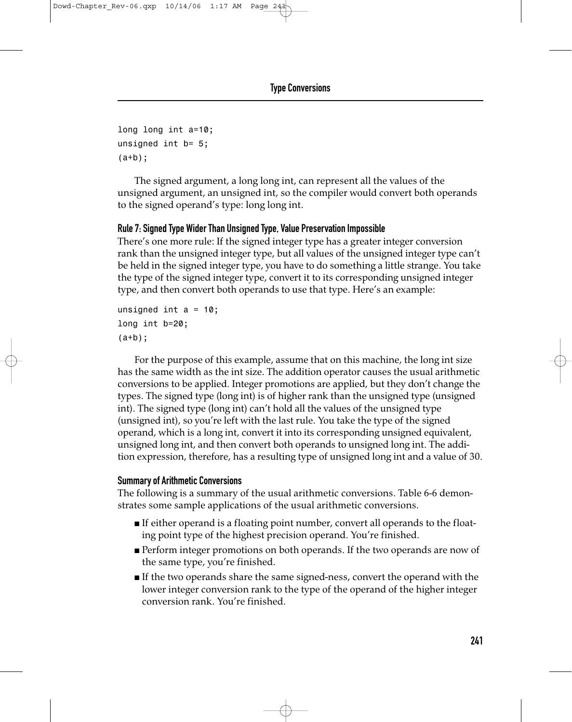Type Conversions

```
long long int a=10;
unsigned int b= 5;
(a+b);
```
The signed argument, a long long int, can represent all the values of the unsigned argument, an unsigned int, so the compiler would convert both operands to the signed operand's type: long long int.

#### Rule 7: Signed Type Wider Than Unsigned Type, Value Preservation Impossible

There's one more rule: If the signed integer type has a greater integer conversion rank than the unsigned integer type, but all values of the unsigned integer type can't be held in the signed integer type, you have to do something a little strange. You take the type of the signed integer type, convert it to its corresponding unsigned integer type, and then convert both operands to use that type. Here's an example:

```
unsigned int a = 10;
long int b=20;
(a+b);
```
For the purpose of this example, assume that on this machine, the long int size has the same width as the int size. The addition operator causes the usual arithmetic conversions to be applied. Integer promotions are applied, but they don't change the types. The signed type (long int) is of higher rank than the unsigned type (unsigned int). The signed type (long int) can't hold all the values of the unsigned type (unsigned int), so you're left with the last rule. You take the type of the signed operand, which is a long int, convert it into its corresponding unsigned equivalent, unsigned long int, and then convert both operands to unsigned long int. The addition expression, therefore, has a resulting type of unsigned long int and a value of 30.

#### Summary of Arithmetic Conversions

The following is a summary of the usual arithmetic conversions. Table 6-6 demonstrates some sample applications of the usual arithmetic conversions.

- If either operand is a floating point number, convert all operands to the floating point type of the highest precision operand. You're finished.
- Perform integer promotions on both operands. If the two operands are now of the same type, you're finished.
- If the two operands share the same signed-ness, convert the operand with the lower integer conversion rank to the type of the operand of the higher integer conversion rank. You're finished.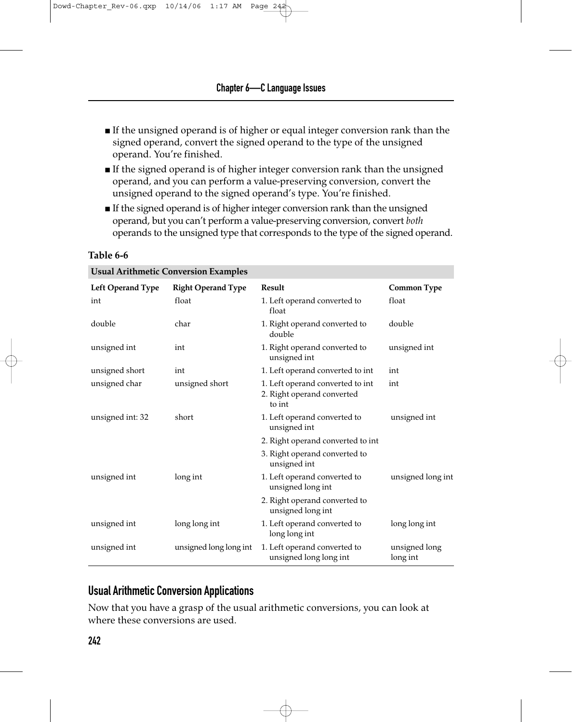- If the unsigned operand is of higher or equal integer conversion rank than the signed operand, convert the signed operand to the type of the unsigned operand. You're finished.
- If the signed operand is of higher integer conversion rank than the unsigned operand, and you can perform a value-preserving conversion, convert the unsigned operand to the signed operand's type. You're finished.
- If the signed operand is of higher integer conversion rank than the unsigned operand, but you can't perform a value-preserving conversion, convert *both* operands to the unsigned type that corresponds to the type of the signed operand.

#### **Table 6-6**

| <b>Usual Arithmetic Conversion Examples</b> |                           |                                                                          |                           |  |  |
|---------------------------------------------|---------------------------|--------------------------------------------------------------------------|---------------------------|--|--|
| Left Operand Type                           | <b>Right Operand Type</b> | <b>Result</b>                                                            | <b>Common Type</b>        |  |  |
| int                                         | float                     | 1. Left operand converted to<br>float                                    | float                     |  |  |
| double                                      | char                      | 1. Right operand converted to<br>double                                  | double                    |  |  |
| unsigned int                                | int                       | 1. Right operand converted to<br>unsigned int                            | unsigned int              |  |  |
| unsigned short                              | int                       | 1. Left operand converted to int                                         | int                       |  |  |
| unsigned char                               | unsigned short            | 1. Left operand converted to int<br>2. Right operand converted<br>to int | int                       |  |  |
| unsigned int: 32                            | short                     | 1. Left operand converted to<br>unsigned int                             | unsigned int              |  |  |
|                                             |                           | 2. Right operand converted to int                                        |                           |  |  |
|                                             |                           | 3. Right operand converted to<br>unsigned int                            |                           |  |  |
| unsigned int                                | long int                  | 1. Left operand converted to<br>unsigned long int                        | unsigned long int         |  |  |
|                                             |                           | 2. Right operand converted to<br>unsigned long int                       |                           |  |  |
| unsigned int                                | long long int             | 1. Left operand converted to<br>long long int                            | long long int             |  |  |
| unsigned int                                | unsigned long long int    | 1. Left operand converted to<br>unsigned long long int                   | unsigned long<br>long int |  |  |

## Usual Arithmetic Conversion Applications

Now that you have a grasp of the usual arithmetic conversions, you can look at where these conversions are used.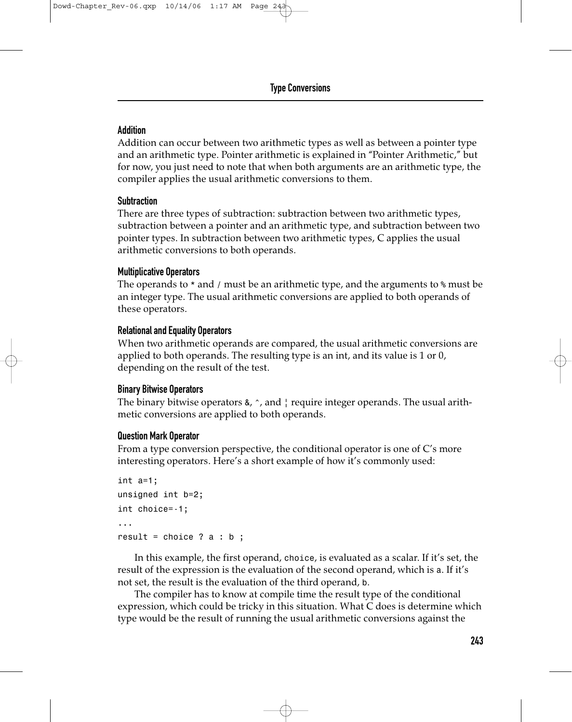Type Conversions

### Addition

Addition can occur between two arithmetic types as well as between a pointer type and an arithmetic type. Pointer arithmetic is explained in "Pointer Arithmetic," but for now, you just need to note that when both arguments are an arithmetic type, the compiler applies the usual arithmetic conversions to them.

### **Subtraction**

There are three types of subtraction: subtraction between two arithmetic types, subtraction between a pointer and an arithmetic type, and subtraction between two pointer types. In subtraction between two arithmetic types, C applies the usual arithmetic conversions to both operands.

#### Multiplicative Operators

The operands to  $*$  and / must be an arithmetic type, and the arguments to  $*$  must be an integer type. The usual arithmetic conversions are applied to both operands of these operators.

#### Relational and Equality Operators

When two arithmetic operands are compared, the usual arithmetic conversions are applied to both operands. The resulting type is an int, and its value is 1 or 0, depending on the result of the test.

#### Binary Bitwise Operators

The binary bitwise operators  $\⊂> \hat{a}$ , and  $\parallel$  require integer operands. The usual arithmetic conversions are applied to both operands.

#### Question Mark Operator

From a type conversion perspective, the conditional operator is one of C's more interesting operators. Here's a short example of how it's commonly used:

```
int a=1;
unsigned int b=2;
int choice=-1;
...
result = choice ?a:b;
```
In this example, the first operand, choice, is evaluated as a scalar. If it's set, the result of the expression is the evaluation of the second operand, which is a. If it's not set, the result is the evaluation of the third operand, b.

The compiler has to know at compile time the result type of the conditional expression, which could be tricky in this situation. What C does is determine which type would be the result of running the usual arithmetic conversions against the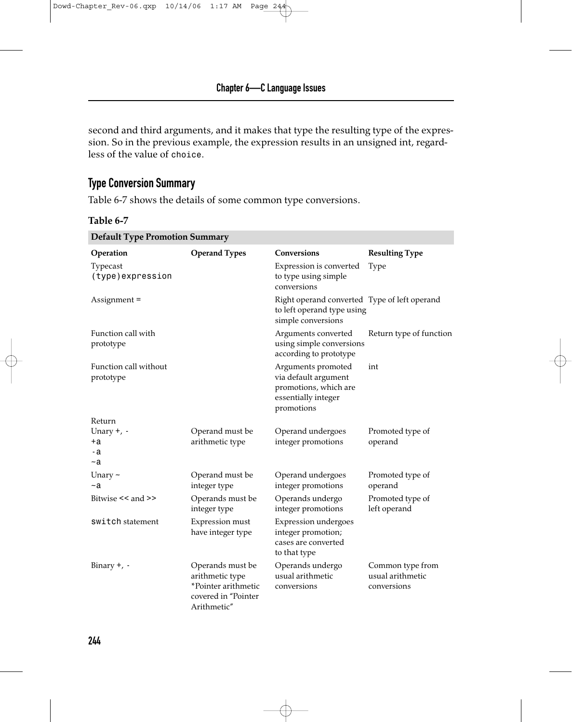second and third arguments, and it makes that type the resulting type of the expression. So in the previous example, the expression results in an unsigned int, regardless of the value of choice.

# Type Conversion Summary

Table 6-7 shows the details of some common type conversions.

## **Table 6-7**

| <b>Default Type Promotion Summary</b> |                                                                                                  |                                                                                                          |                                                     |
|---------------------------------------|--------------------------------------------------------------------------------------------------|----------------------------------------------------------------------------------------------------------|-----------------------------------------------------|
| Operation                             | <b>Operand Types</b>                                                                             | <b>Conversions</b>                                                                                       | <b>Resulting Type</b>                               |
| Typecast<br>(type)expression          |                                                                                                  | Expression is converted<br>to type using simple<br>conversions                                           | Type                                                |
| Assignment =                          |                                                                                                  | Right operand converted Type of left operand<br>to left operand type using<br>simple conversions         |                                                     |
| Function call with<br>prototype       |                                                                                                  | Arguments converted<br>using simple conversions<br>according to prototype                                | Return type of function                             |
| Function call without<br>prototype    |                                                                                                  | Arguments promoted<br>via default argument<br>promotions, which are<br>essentially integer<br>promotions | int                                                 |
| Return                                |                                                                                                  |                                                                                                          |                                                     |
| Unary $+$ , $-$<br>+a<br>-а<br>~a     | Operand must be<br>arithmetic type                                                               | Operand undergoes<br>integer promotions                                                                  | Promoted type of<br>operand                         |
| Unary $\sim$<br>~a                    | Operand must be<br>integer type                                                                  | Operand undergoes<br>integer promotions                                                                  | Promoted type of<br>operand                         |
| Bitwise << and >>                     | Operands must be<br>integer type                                                                 | Operands undergo<br>integer promotions                                                                   | Promoted type of<br>left operand                    |
| switch statement                      | Expression must<br>have integer type                                                             | <b>Expression</b> undergoes<br>integer promotion;<br>cases are converted<br>to that type                 |                                                     |
| Binary $+$ , $-$                      | Operands must be<br>arithmetic type<br>*Pointer arithmetic<br>covered in "Pointer<br>Arithmetic" | Operands undergo<br>usual arithmetic<br>conversions                                                      | Common type from<br>usual arithmetic<br>conversions |

244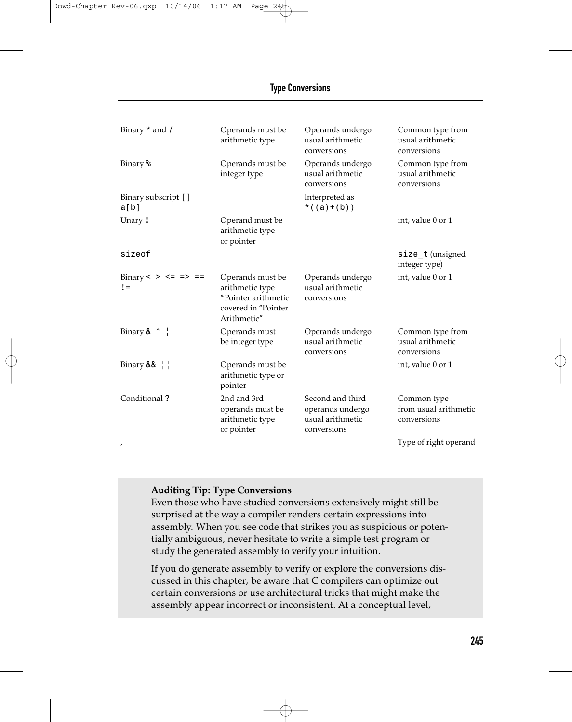### Type Conversions

| Binary $*$ and /                                          | Operands must be<br>arithmetic type                                                              | Operands undergo<br>usual arithmetic<br>conversions                     | Common type from<br>usual arithmetic<br>conversions |  |
|-----------------------------------------------------------|--------------------------------------------------------------------------------------------------|-------------------------------------------------------------------------|-----------------------------------------------------|--|
| Binary %                                                  | Operands must be<br>Operands undergo<br>usual arithmetic<br>integer type<br>conversions          |                                                                         | Common type from<br>usual arithmetic<br>conversions |  |
| Binary subscript [ ]<br>a[b]                              |                                                                                                  | Interpreted as<br>$*(a)+(b))$                                           |                                                     |  |
| Unary !                                                   | Operand must be<br>arithmetic type<br>or pointer                                                 |                                                                         | int, value 0 or 1                                   |  |
| sizeof                                                    |                                                                                                  |                                                                         | size t (unsigned<br>integer type)                   |  |
| Binary < > <= $\Rightarrow$ ==<br>$!=$                    | Operands must be<br>arithmetic type<br>*Pointer arithmetic<br>covered in "Pointer<br>Arithmetic" | Operands undergo<br>usual arithmetic<br>conversions                     | int, value 0 or 1                                   |  |
| Binary & $\uparrow$ $\downarrow$                          | Operands must<br>be integer type                                                                 | Operands undergo<br>usual arithmetic<br>conversions                     | Common type from<br>usual arithmetic<br>conversions |  |
| Binary && $\begin{array}{c} \begin{array}{c} \end{array}$ | Operands must be<br>arithmetic type or<br>pointer                                                |                                                                         | int, value 0 or 1                                   |  |
| Conditional?                                              | 2nd and 3rd<br>operands must be<br>arithmetic type<br>or pointer                                 | Second and third<br>operands undergo<br>usual arithmetic<br>conversions | Common type<br>from usual arithmetic<br>conversions |  |
| $\prime$                                                  |                                                                                                  |                                                                         | Type of right operand                               |  |

### **Auditing Tip: Type Conversions**

Even those who have studied conversions extensively might still be surprised at the way a compiler renders certain expressions into assembly. When you see code that strikes you as suspicious or potentially ambiguous, never hesitate to write a simple test program or study the generated assembly to verify your intuition.

If you do generate assembly to verify or explore the conversions discussed in this chapter, be aware that C compilers can optimize out certain conversions or use architectural tricks that might make the assembly appear incorrect or inconsistent. At a conceptual level,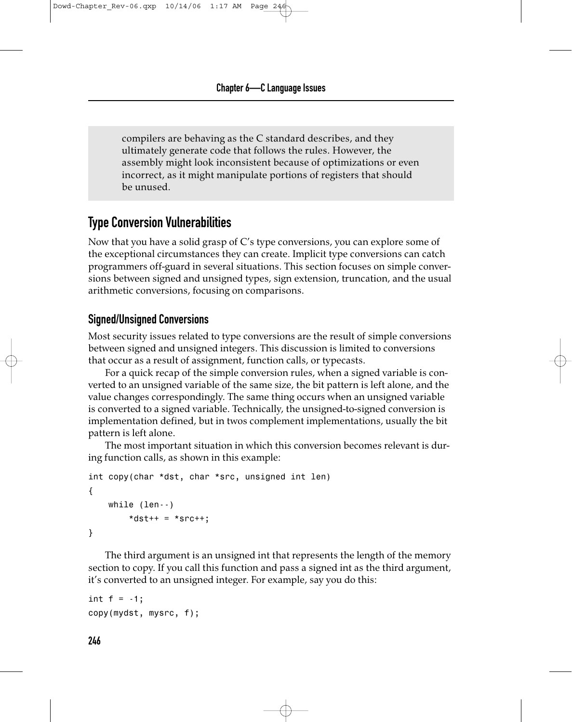compilers are behaving as the C standard describes, and they ultimately generate code that follows the rules. However, the assembly might look inconsistent because of optimizations or even incorrect, as it might manipulate portions of registers that should be unused.

# Type Conversion Vulnerabilities

Now that you have a solid grasp of C's type conversions, you can explore some of the exceptional circumstances they can create. Implicit type conversions can catch programmers off-guard in several situations. This section focuses on simple conversions between signed and unsigned types, sign extension, truncation, and the usual arithmetic conversions, focusing on comparisons.

### Signed/Unsigned Conversions

Most security issues related to type conversions are the result of simple conversions between signed and unsigned integers. This discussion is limited to conversions that occur as a result of assignment, function calls, or typecasts.

For a quick recap of the simple conversion rules, when a signed variable is converted to an unsigned variable of the same size, the bit pattern is left alone, and the value changes correspondingly. The same thing occurs when an unsigned variable is converted to a signed variable. Technically, the unsigned-to-signed conversion is implementation defined, but in twos complement implementations, usually the bit pattern is left alone.

The most important situation in which this conversion becomes relevant is during function calls, as shown in this example:

```
int copy(char *dst, char *src, unsigned int len)
{
    while (len--)
        *dist++ = *src++;}
```
The third argument is an unsigned int that represents the length of the memory section to copy. If you call this function and pass a signed int as the third argument, it's converted to an unsigned integer. For example, say you do this:

```
int f = -1;
copy(mydst, mysrc, f);
```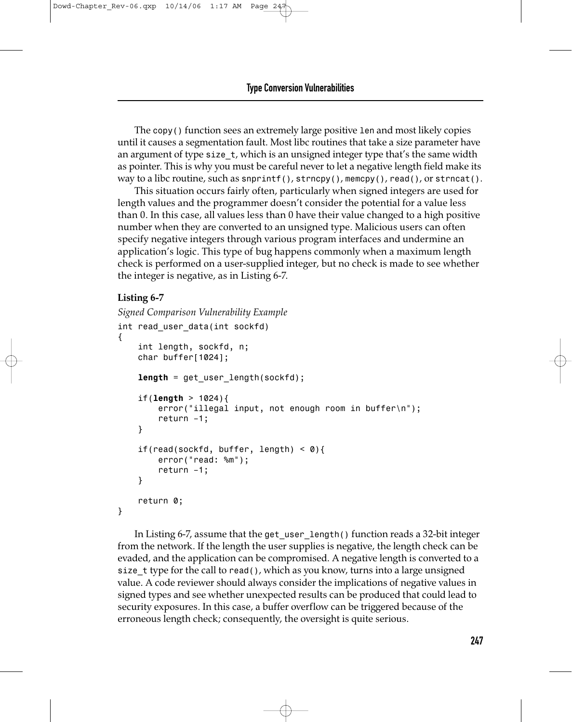```
Dowd-Chapter_Rev-06.qxp  10/14/06  1:17 AM  Page 24
```
The copy() function sees an extremely large positive len and most likely copies until it causes a segmentation fault. Most libc routines that take a size parameter have an argument of type size  $t$ , which is an unsigned integer type that's the same width as pointer. This is why you must be careful never to let a negative length field make its way to a libc routine, such as snprintf(), strncpy(), memcpy(), read(), or strncat().

This situation occurs fairly often, particularly when signed integers are used for length values and the programmer doesn't consider the potential for a value less than 0. In this case, all values less than 0 have their value changed to a high positive number when they are converted to an unsigned type. Malicious users can often specify negative integers through various program interfaces and undermine an application's logic. This type of bug happens commonly when a maximum length check is performed on a user-supplied integer, but no check is made to see whether the integer is negative, as in Listing 6-7.

### **Listing 6-7**

```
Signed Comparison Vulnerability Example
int read user data(int sockfd)
{
    int length, sockfd, n;
    char buffer[1024];
    length = get_user_length(sockfd);
    if(length > 1024){
        error("illegal input, not enough room in buffer\n");
        return –1;
    }
    if(read(sockfd, buffer, length) < \emptyset){
        error("read: %m");
        return –1;
    }
    return 0;
}
```
In Listing 6-7, assume that the get\_user\_length() function reads a 32-bit integer from the network. If the length the user supplies is negative, the length check can be evaded, and the application can be compromised. A negative length is converted to a size\_t type for the call to read(), which as you know, turns into a large unsigned value. A code reviewer should always consider the implications of negative values in signed types and see whether unexpected results can be produced that could lead to security exposures. In this case, a buffer overflow can be triggered because of the erroneous length check; consequently, the oversight is quite serious.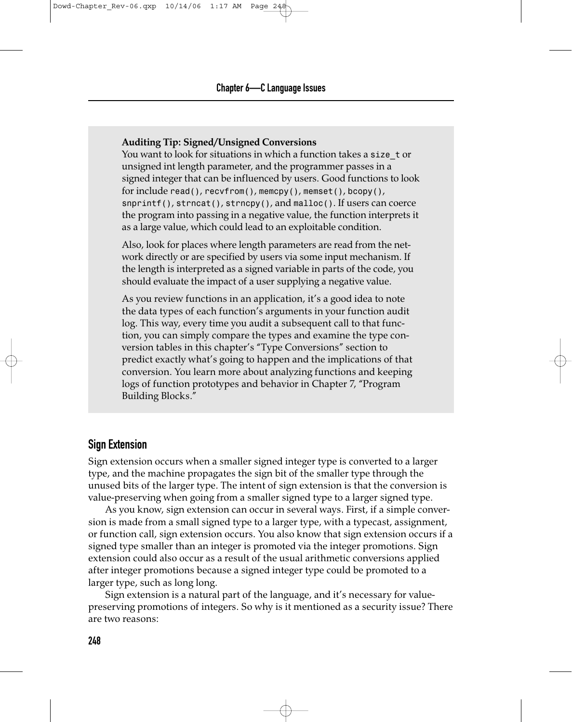Dowd-Chapter\_Rev-06.qxp 10/14/06 1:17 AM Page 248

Chapter 6—C Language Issues

#### **Auditing Tip: Signed/Unsigned Conversions**

You want to look for situations in which a function takes a size t or unsigned int length parameter, and the programmer passes in a signed integer that can be influenced by users. Good functions to look for include read(), recvfrom(), memcpy(), memset(), bcopy(), snprintf(), strncat(), strncpy(), and malloc(). If users can coerce the program into passing in a negative value, the function interprets it as a large value, which could lead to an exploitable condition.

Also, look for places where length parameters are read from the network directly or are specified by users via some input mechanism. If the length is interpreted as a signed variable in parts of the code, you should evaluate the impact of a user supplying a negative value.

As you review functions in an application, it's a good idea to note the data types of each function's arguments in your function audit log. This way, every time you audit a subsequent call to that function, you can simply compare the types and examine the type conversion tables in this chapter's "Type Conversions" section to predict exactly what's going to happen and the implications of that conversion. You learn more about analyzing functions and keeping logs of function prototypes and behavior in Chapter 7, "Program Building Blocks."

### Sign Extension

Sign extension occurs when a smaller signed integer type is converted to a larger type, and the machine propagates the sign bit of the smaller type through the unused bits of the larger type. The intent of sign extension is that the conversion is value-preserving when going from a smaller signed type to a larger signed type.

As you know, sign extension can occur in several ways. First, if a simple conversion is made from a small signed type to a larger type, with a typecast, assignment, or function call, sign extension occurs. You also know that sign extension occurs if a signed type smaller than an integer is promoted via the integer promotions. Sign extension could also occur as a result of the usual arithmetic conversions applied after integer promotions because a signed integer type could be promoted to a larger type, such as long long.

Sign extension is a natural part of the language, and it's necessary for valuepreserving promotions of integers. So why is it mentioned as a security issue? There are two reasons: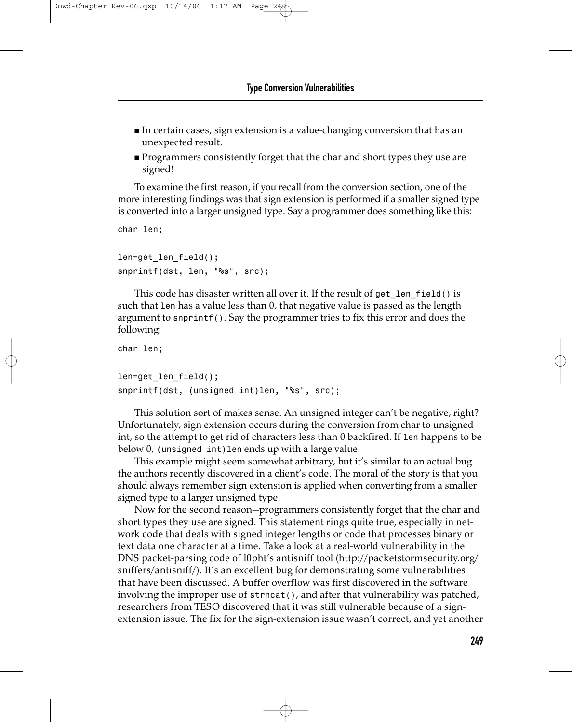- In certain cases, sign extension is a value-changing conversion that has an unexpected result.
- Programmers consistently forget that the char and short types they use are signed!

To examine the first reason, if you recall from the conversion section, one of the more interesting findings was that sign extension is performed if a smaller signed type is converted into a larger unsigned type. Say a programmer does something like this:

char len;

```
len=get len field();
snprintf(dst, len, "%s", src);
```
This code has disaster written all over it. If the result of get len field() is such that len has a value less than 0, that negative value is passed as the length argument to snprintf(). Say the programmer tries to fix this error and does the following:

char len;

```
len=get_len_field();
snprintf(dst, (unsigned int)len, "%s", src);
```
This solution sort of makes sense. An unsigned integer can't be negative, right? Unfortunately, sign extension occurs during the conversion from char to unsigned int, so the attempt to get rid of characters less than 0 backfired. If len happens to be below 0, (unsigned int)len ends up with a large value.

This example might seem somewhat arbitrary, but it's similar to an actual bug the authors recently discovered in a client's code. The moral of the story is that you should always remember sign extension is applied when converting from a smaller signed type to a larger unsigned type.

Now for the second reason—programmers consistently forget that the char and short types they use are signed. This statement rings quite true, especially in network code that deals with signed integer lengths or code that processes binary or text data one character at a time. Take a look at a real-world vulnerability in the DNS packet-parsing code of l0pht's antisniff tool (http://packetstormsecurity.org/ sniffers/antisniff/). It's an excellent bug for demonstrating some vulnerabilities that have been discussed. A buffer overflow was first discovered in the software involving the improper use of strncat(), and after that vulnerability was patched, researchers from TESO discovered that it was still vulnerable because of a signextension issue. The fix for the sign-extension issue wasn't correct, and yet another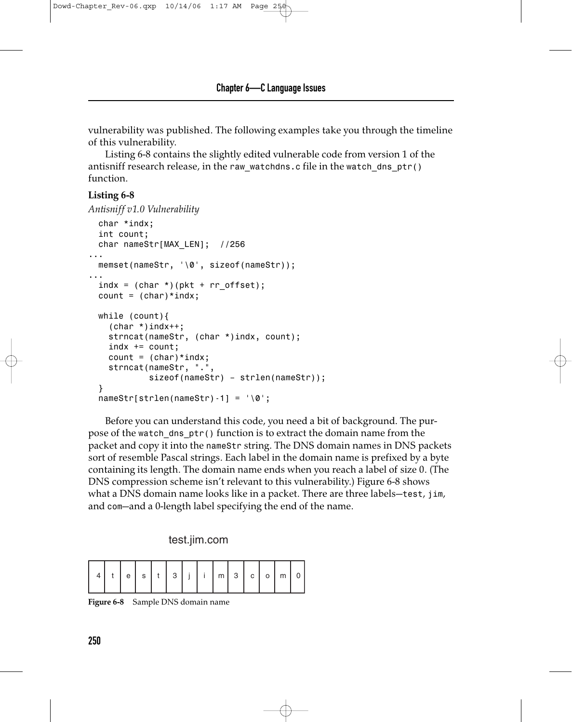vulnerability was published. The following examples take you through the timeline of this vulnerability.

Listing 6-8 contains the slightly edited vulnerable code from version 1 of the antisniff research release, in the raw\_watchdns.c file in the watch\_dns\_ptr() function.

#### **Listing 6-8**

```
Antisniff v1.0 Vulnerability
  char *indx;
  int count;
  char nameStr[MAX_LEN]; //256
...
  memset(nameStr, '\0', sizeof(nameStr));
...
  indx = (char *)(pkt + rr offset);count = (char)*indx;while (count){
    (char * )<i>indx++</i>;strncat(nameStr, (char *)indx, count);
    indx += count;
    count = (char)*indx;strncat(nameStr, ".",
            sizeof(nameStr) - strlen(nameStr));
  }
  nameStr[strlen(nameStr) -1] = '\\0';
```
Before you can understand this code, you need a bit of background. The purpose of the watch\_dns\_ptr() function is to extract the domain name from the packet and copy it into the nameStr string. The DNS domain names in DNS packets sort of resemble Pascal strings. Each label in the domain name is prefixed by a byte containing its length. The domain name ends when you reach a label of size 0. (The DNS compression scheme isn't relevant to this vulnerability.) Figure 6-8 shows what a DNS domain name looks like in a packet. There are three labels—test, jim, and com—and a 0-length label specifying the end of the name.

#### test.jim.com

|  |  | ≏ | $\sim$ |  |  | ٠ |  | m'<br> | $\sim$ | $\sim$ |  | $\sim$ |  |
|--|--|---|--------|--|--|---|--|--------|--------|--------|--|--------|--|
|--|--|---|--------|--|--|---|--|--------|--------|--------|--|--------|--|

**Figure 6-8** Sample DNS domain name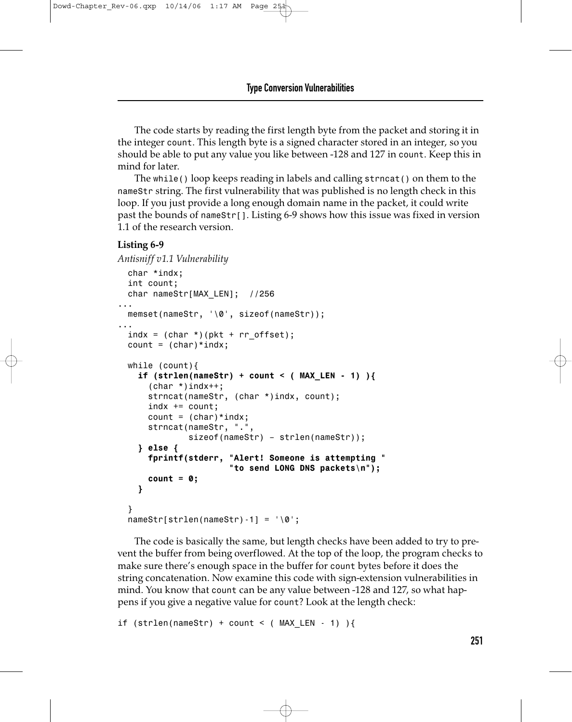#### Dowd-Chapter\_Rev-06.qxp 10/14/06 1:17 AM Page 251

Type Conversion Vulnerabilities

The code starts by reading the first length byte from the packet and storing it in the integer count. This length byte is a signed character stored in an integer, so you should be able to put any value you like between -128 and 127 in count. Keep this in mind for later.

The while() loop keeps reading in labels and calling strncat() on them to the nameStr string. The first vulnerability that was published is no length check in this loop. If you just provide a long enough domain name in the packet, it could write past the bounds of nameStr[]. Listing 6-9 shows how this issue was fixed in version 1.1 of the research version.

#### **Listing 6-9**

```
Antisniff v1.1 Vulnerability
  char *indx;
  int count;
  char nameStr[MAX_LEN]; //256
...
  memset(nameStr, '\0', sizeof(nameStr));
...
  indx = (char *)(pkt + rr_offset);count = (char)*indx;while (count){
    if (strlen(nameStr) + count < (MAXLEN - 1) )(char * )indx++;strncat(nameStr, (char *)indx, count);
      indx += count;
      count = (char)*indx;strncat(nameStr, ".",
              sizeof(nameStr) - strlen(nameStr));
    } else {
      fprintf(stderr, "Alert! Someone is attempting "
                       "to send LONG DNS packets\n");
      count = 0;
    }
  }
  nameStr[strlen(nameStr) -1] = ' \0';
```
The code is basically the same, but length checks have been added to try to prevent the buffer from being overflowed. At the top of the loop, the program checks to make sure there's enough space in the buffer for count bytes before it does the string concatenation. Now examine this code with sign-extension vulnerabilities in mind. You know that count can be any value between -128 and 127, so what happens if you give a negative value for count? Look at the length check:

```
if (strlen(nameStr) + count < (MAX_lEN - 1) )
```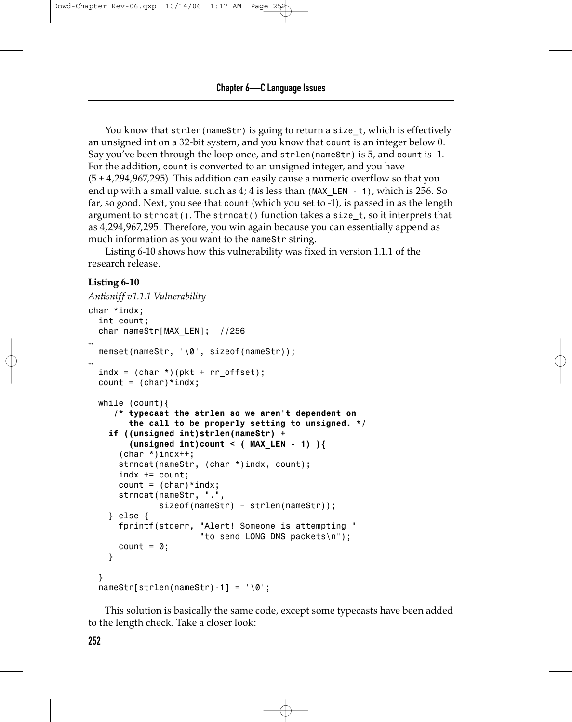Dowd-Chapter\_Rev-06.qxp 10/14/06 1:17 AM Page 252

Chapter 6—C Language Issues

You know that strlen(nameStr) is going to return a size\_t, which is effectively an unsigned int on a 32-bit system, and you know that count is an integer below 0. Say you've been through the loop once, and strlen(nameStr) is 5, and count is -1. For the addition, count is converted to an unsigned integer, and you have (5 + 4,294,967,295). This addition can easily cause a numeric overflow so that you end up with a small value, such as  $4$ ;  $4$  is less than (MAX LEN - 1), which is 256. So far, so good. Next, you see that count (which you set to -1), is passed in as the length argument to strncat(). The strncat() function takes a size  $t$ , so it interprets that as 4,294,967,295. Therefore, you win again because you can essentially append as much information as you want to the nameStr string.

Listing 6-10 shows how this vulnerability was fixed in version 1.1.1 of the research release.

#### **Listing 6-10**

```
Antisniff v1.1.1 Vulnerability
char *indx;
  int count;
  char nameStr[MAX LEN]; //256
…
  memset(nameStr, '\0', sizeof(nameStr));
…
  indx = (char *)(pkt + rr offset);count = (char)*indx;while (count){
     /* typecast the strlen so we aren't dependent on
        the call to be properly setting to unsigned. */
    if ((unsigned int)strlen(nameStr) +
        (unsigned int)count < ( MAX_LEN - 1) ){
      (char * )indx++;strncat(nameStr, (char *)indx, count);
      indx += count;
      count = (char)*indx;strncat(nameStr, ".",
              sizeof(nameStr) – strlen(nameStr));
    } else {
      fprintf(stderr, "Alert! Someone is attempting "
                       "to send LONG DNS packets\n");
      count = \mathbf{0};
    }
  }
  nameStr[strlen(nameStr)-1] = '\\0';
```
This solution is basically the same code, except some typecasts have been added to the length check. Take a closer look: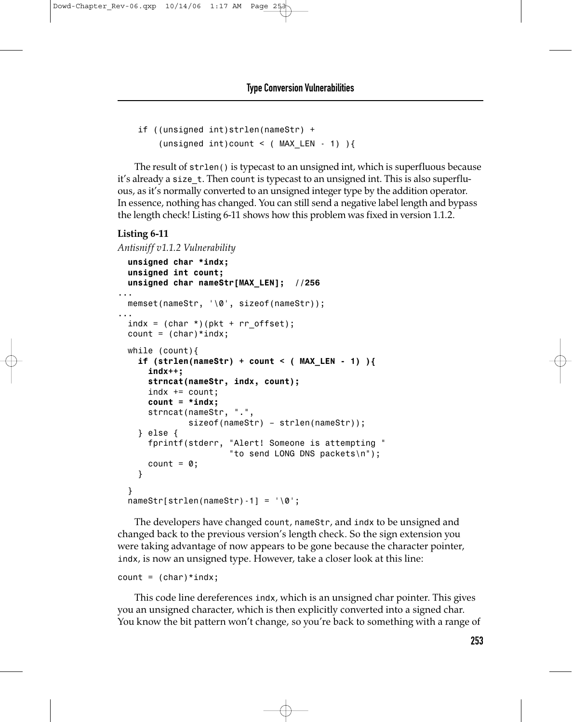```
if ((unsigned int)strlen(nameStr) +
    (unsigned int) count < (MAX_LEN - 1) )
```
The result of strlen() is typecast to an unsigned int, which is superfluous because it's already a size\_t. Then count is typecast to an unsigned int. This is also superfluous, as it's normally converted to an unsigned integer type by the addition operator. In essence, nothing has changed. You can still send a negative label length and bypass the length check! Listing 6-11 shows how this problem was fixed in version 1.1.2.

#### **Listing 6-11**

```
Antisniff v1.1.2 Vulnerability
```

```
unsigned char *indx;
 unsigned int count;
 unsigned char nameStr[MAX_LEN]; //256
...
 memset(nameStr, '\0', sizeof(nameStr));
...
 indx = (char *)(pkt + rr offset);count = (char)*indx;while (count){
   if (strlen(nameStr) + count < (MAXLEN - 1) )indx++;
     strncat(nameStr, indx, count);
      indx += count;
     count = *indx;
      strncat(nameStr, "."
              sizeof(nameStr) - strlen(nameStr));
   } else {
     fprintf(stderr, "Alert! Someone is attempting "
                      "to send LONG DNS packets\n");
      count = \theta;
   }
 }
 nameStr[strlen(nameStr) -1] = '\\0';
```
The developers have changed count, nameStr, and indx to be unsigned and changed back to the previous version's length check. So the sign extension you were taking advantage of now appears to be gone because the character pointer, indx, is now an unsigned type. However, take a closer look at this line:

```
count = (char)*indx;
```
This code line dereferences indx, which is an unsigned char pointer. This gives you an unsigned character, which is then explicitly converted into a signed char. You know the bit pattern won't change, so you're back to something with a range of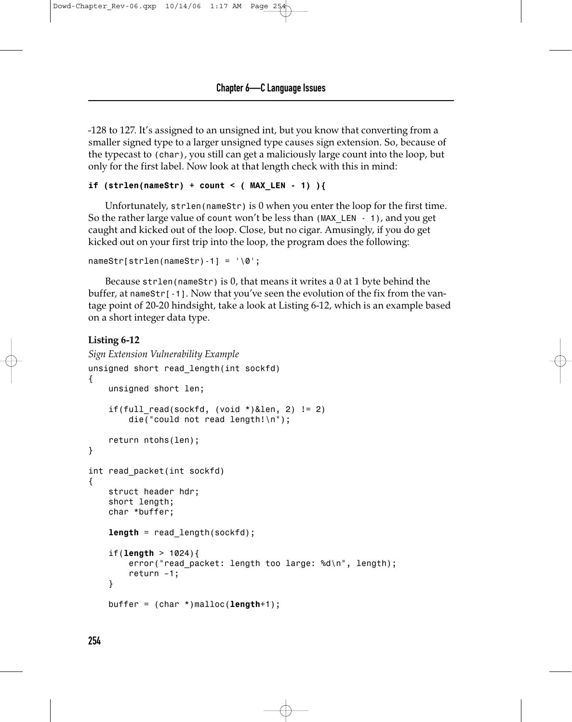-128 to 127. It's assigned to an unsigned int, but you know that converting from a smaller signed type to a larger unsigned type causes sign extension. So, because of the typecast to (char), you still can get a maliciously large count into the loop, but only for the first label. Now look at that length check with this in mind:

#### $if (strlen(nameStr) + count < (MAXLEN - 1) )$

Unfortunately, strlen(nameStr) is 0 when you enter the loop for the first time. So the rather large value of count won't be less than (MAX\_LEN - 1), and you get caught and kicked out of the loop. Close, but no cigar. Amusingly, if you do get kicked out on your first trip into the loop, the program does the following:

```
nameStr[strlen(nameStr)-1] = '\0';
```
Because strlen(nameStr) is 0, that means it writes a 0 at 1 byte behind the buffer, at nameStr[-1]. Now that you've seen the evolution of the fix from the vantage point of 20-20 hindsight, take a look at Listing 6-12, which is an example based on a short integer data type.

#### **Listing 6-12**

```
Sign Extension Vulnerability Example
unsigned short read_length(int sockfd)
{
    unsigned short len;
    if(full read(sockfd, (void *)\&len, 2) != 2)die("could not read length!\n");
    return ntohs(len);
}
int read_packet(int sockfd)
{
    struct header hdr;
    short length;
    char *buffer;
    length = read_length(sockfd);
    if(length > 1024){
        error("read packet: length too large: %d\n", length);
        return –1;
    }
    buffer = (char *)malloc(length+1);
```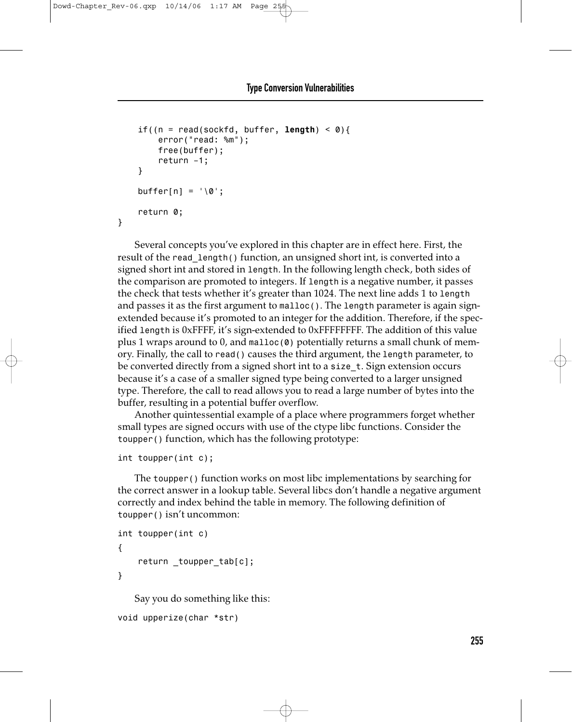}

Type Conversion Vulnerabilities

```
if((n = read(sockfd, buffer, length) < 0}{
     error("read: %m");
    free(buffer);
     return –1;
}
buffer[n] = ' \setminus \emptyset';
return 0;
```
Several concepts you've explored in this chapter are in effect here. First, the result of the read\_length() function, an unsigned short int, is converted into a signed short int and stored in length. In the following length check, both sides of the comparison are promoted to integers. If length is a negative number, it passes the check that tests whether it's greater than 1024. The next line adds 1 to length and passes it as the first argument to malloc(). The length parameter is again signextended because it's promoted to an integer for the addition. Therefore, if the specified length is 0xFFFF, it's sign-extended to 0xFFFFFFFF. The addition of this value plus 1 wraps around to 0, and malloc(0) potentially returns a small chunk of memory. Finally, the call to read() causes the third argument, the length parameter, to be converted directly from a signed short int to a size\_t. Sign extension occurs because it's a case of a smaller signed type being converted to a larger unsigned type. Therefore, the call to read allows you to read a large number of bytes into the buffer, resulting in a potential buffer overflow.

Another quintessential example of a place where programmers forget whether small types are signed occurs with use of the ctype libc functions. Consider the toupper() function, which has the following prototype:

```
int toupper(int c);
```
The toupper() function works on most libc implementations by searching for the correct answer in a lookup table. Several libcs don't handle a negative argument correctly and index behind the table in memory. The following definition of toupper() isn't uncommon:

```
int toupper(int c)
{
    return _toupper_tab[c];
}
```
Say you do something like this:

```
void upperize(char *str)
```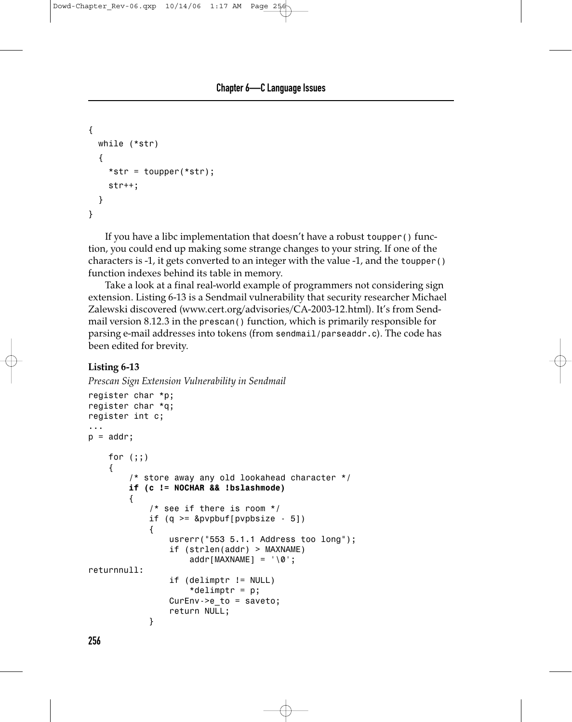```
{
  while (*str)
  {
    *str = toupper(*str);
    str++;
  }
}
```
If you have a libc implementation that doesn't have a robust toupper() function, you could end up making some strange changes to your string. If one of the characters is -1, it gets converted to an integer with the value -1, and the toupper() function indexes behind its table in memory.

Take a look at a final real-world example of programmers not considering sign extension. Listing 6-13 is a Sendmail vulnerability that security researcher Michael Zalewski discovered (www.cert.org/advisories/CA-2003-12.html). It's from Sendmail version 8.12.3 in the prescan() function, which is primarily responsible for parsing e-mail addresses into tokens (from sendmail/parseaddr.c). The code has been edited for brevity.

#### **Listing 6-13**

```
Prescan Sign Extension Vulnerability in Sendmail
```

```
register char *p;
register char *q;
register int c;
...
p = addr;for (;;)
    {
        /* store away any old lookahead character */
        if (c != NOCHAR && !bslashmode)
        {
            /* see if there is room */
            if (q \geq 8pvpbuf[pvpbsize - 5])
            {
                usrerr("553 5.1.1 Address too long");
                if (strlen(addr) > MAXNAME)
                    addr[MAXNAME] = ' \0';returnnull:
                if (delimptr != NULL)
                     *delimptr = p;
                CurEnv->e to = saveto;
                return NULL;
            }
```
256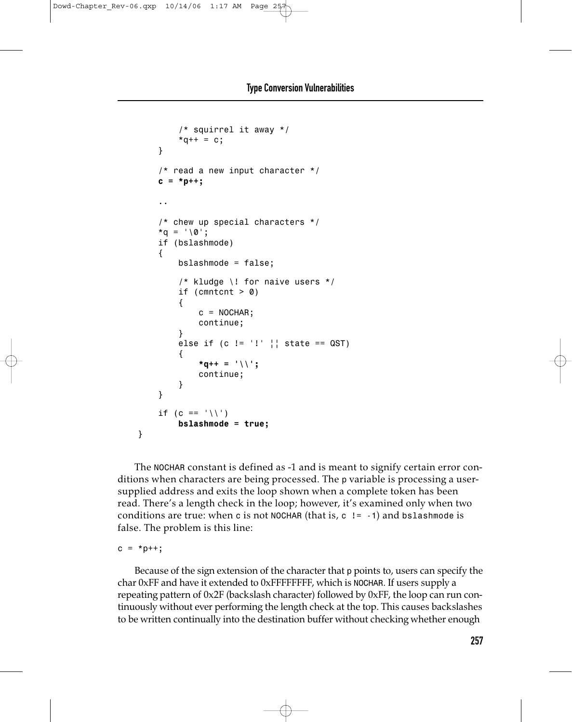```
/* squirrel it away */
    * q + + = c;
}
/* read a new input character */
c = *p++;
..
/* chew up special characters */
*q = '0;
if (bslashmode)
{
    bslashmode = false;
    /* kludge \! for naive users */
    if (cmntcnt > 0)
    {
        c = NOCHAR;
        continue;
    }
    else if (c := '!' | ' | state == QST)
    {
         *q++ = '\\';
        continue;
    }
}
if (c == ' \setminus \setminus')bslashmode = true;
```
The NOCHAR constant is defined as -1 and is meant to signify certain error conditions when characters are being processed. The p variable is processing a usersupplied address and exits the loop shown when a complete token has been read. There's a length check in the loop; however, it's examined only when two conditions are true: when c is not NOCHAR (that is,  $c$  != -1) and bslashmode is false. The problem is this line:

 $c = *p++;$ 

}

Because of the sign extension of the character that p points to, users can specify the char 0xFF and have it extended to 0xFFFFFFFF, which is NOCHAR. If users supply a repeating pattern of 0x2F (backslash character) followed by 0xFF, the loop can run continuously without ever performing the length check at the top. This causes backslashes to be written continually into the destination buffer without checking whether enough

257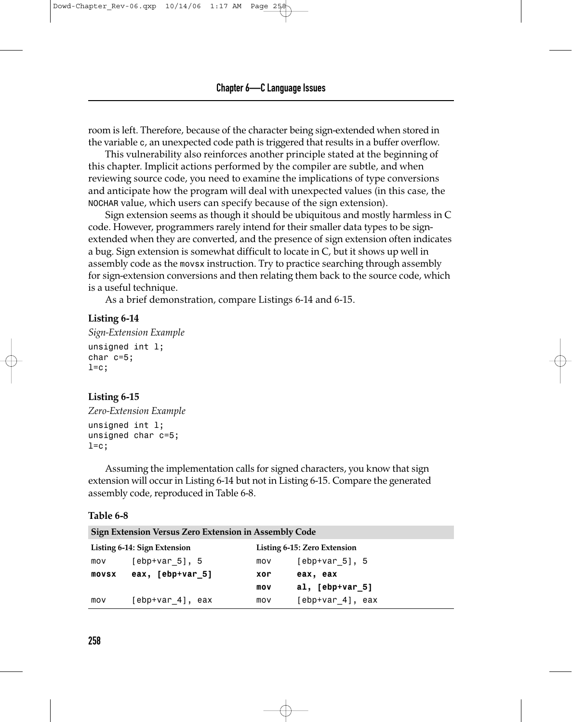Dowd-Chapter\_Rev-06.qxp 10/14/06 1:17 AM Page 25

room is left. Therefore, because of the character being sign-extended when stored in the variable c, an unexpected code path is triggered that results in a buffer overflow.

This vulnerability also reinforces another principle stated at the beginning of this chapter. Implicit actions performed by the compiler are subtle, and when reviewing source code, you need to examine the implications of type conversions and anticipate how the program will deal with unexpected values (in this case, the NOCHAR value, which users can specify because of the sign extension).

Sign extension seems as though it should be ubiquitous and mostly harmless in C code. However, programmers rarely intend for their smaller data types to be signextended when they are converted, and the presence of sign extension often indicates a bug. Sign extension is somewhat difficult to locate in C, but it shows up well in assembly code as the movsx instruction. Try to practice searching through assembly for sign-extension conversions and then relating them back to the source code, which is a useful technique.

As a brief demonstration, compare Listings 6-14 and 6-15.

#### **Listing 6-14**

```
Sign-Extension Example
unsigned int l;
char c=5;
l=c;
```
#### **Listing 6-15**

*Zero-Extension Example* unsigned int l; unsigned char c=5;  $l=c;$ 

Assuming the implementation calls for signed characters, you know that sign extension will occur in Listing 6-14 but not in Listing 6-15. Compare the generated assembly code, reproduced in Table 6-8.

#### **Table 6-8**

| Sign Extension Versus Zero Extension in Assembly Code |                   |                              |                               |  |  |
|-------------------------------------------------------|-------------------|------------------------------|-------------------------------|--|--|
| Listing 6-14: Sign Extension                          |                   | Listing 6-15: Zero Extension |                               |  |  |
| mov                                                   | $[ebp+var 5]$ , 5 | mov                          | $[ebp+var 5]$ , 5             |  |  |
| movsx                                                 | eax, [ebp+var 5]  | xor                          | eax, eax                      |  |  |
|                                                       |                   | mov                          | al, $\lceil ebp + var \rceil$ |  |  |
| mov                                                   | [ebp+var 4], eax  | mov                          | [ebp+var 4], eax              |  |  |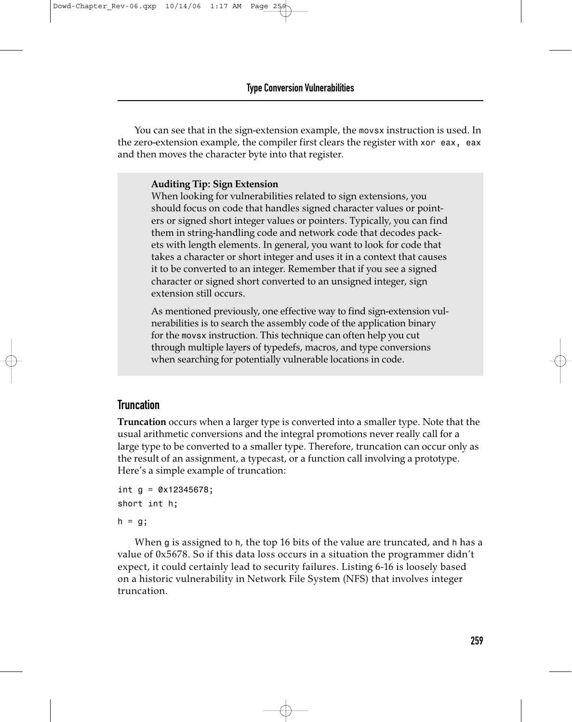You can see that in the sign-extension example, the movsx instruction is used. In the zero-extension example, the compiler first clears the register with xor eax, eax and then moves the character byte into that register.

#### **Auditing Tip: Sign Extension**

When looking for vulnerabilities related to sign extensions, you should focus on code that handles signed character values or pointers or signed short integer values or pointers. Typically, you can find them in string-handling code and network code that decodes packets with length elements. In general, you want to look for code that takes a character or short integer and uses it in a context that causes it to be converted to an integer. Remember that if you see a signed character or signed short converted to an unsigned integer, sign extension still occurs.

As mentioned previously, one effective way to find sign-extension vulnerabilities is to search the assembly code of the application binary for the movsx instruction. This technique can often help you cut through multiple layers of typedefs, macros, and type conversions when searching for potentially vulnerable locations in code.

### **Truncation**

**Truncation** occurs when a larger type is converted into a smaller type. Note that the usual arithmetic conversions and the integral promotions never really call for a large type to be converted to a smaller type. Therefore, truncation can occur only as the result of an assignment, a typecast, or a function call involving a prototype. Here's a simple example of truncation:

int  $g = 0 \times 12345678$ ; short int h;

 $h = q$ ;

When g is assigned to h, the top 16 bits of the value are truncated, and h has a value of 0x5678. So if this data loss occurs in a situation the programmer didn't expect, it could certainly lead to security failures. Listing 6-16 is loosely based on a historic vulnerability in Network File System (NFS) that involves integer truncation.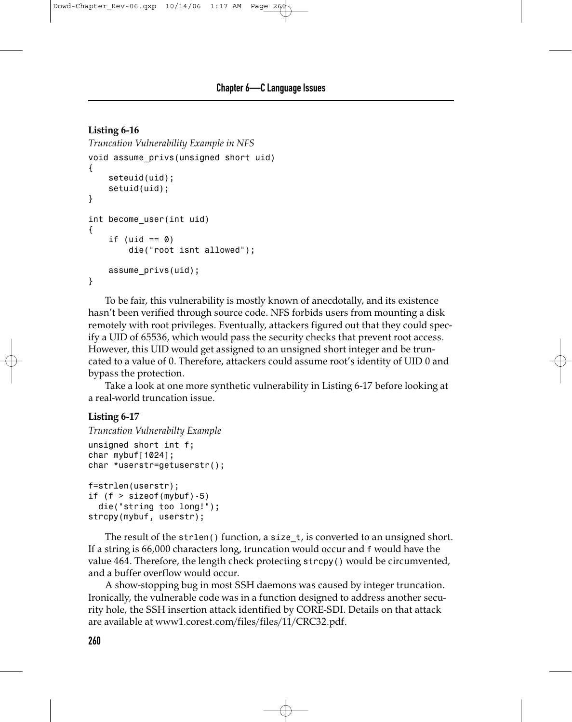#### **Listing 6-16**

```
Truncation Vulnerability Example in NFS
void assume_privs(unsigned short uid)
{
    seteuid(uid);
    setuid(uid);
}
int become user(int uid)
{
    if (uid == 0)die("root isnt allowed");
    assume_privs(uid);
```
}

To be fair, this vulnerability is mostly known of anecdotally, and its existence hasn't been verified through source code. NFS forbids users from mounting a disk remotely with root privileges. Eventually, attackers figured out that they could specify a UID of 65536, which would pass the security checks that prevent root access. However, this UID would get assigned to an unsigned short integer and be truncated to a value of 0. Therefore, attackers could assume root's identity of UID 0 and bypass the protection.

Take a look at one more synthetic vulnerability in Listing 6-17 before looking at a real-world truncation issue.

### **Listing 6-17**

```
Truncation Vulnerabilty Example
```

```
unsigned short int f;
char mybuf[1024];
char *userstr=getuserstr();
```

```
f=strlen(userstr);
if (f > sizeof(mybuf) - 5)die("string too long!");
strcpy(mybuf, userstr);
```
The result of the strlen() function, a size  $t$ , is converted to an unsigned short. If a string is 66,000 characters long, truncation would occur and f would have the value 464. Therefore, the length check protecting strcpy() would be circumvented, and a buffer overflow would occur.

A show-stopping bug in most SSH daemons was caused by integer truncation. Ironically, the vulnerable code was in a function designed to address another security hole, the SSH insertion attack identified by CORE-SDI. Details on that attack are available at www1.corest.com/files/files/11/CRC32.pdf.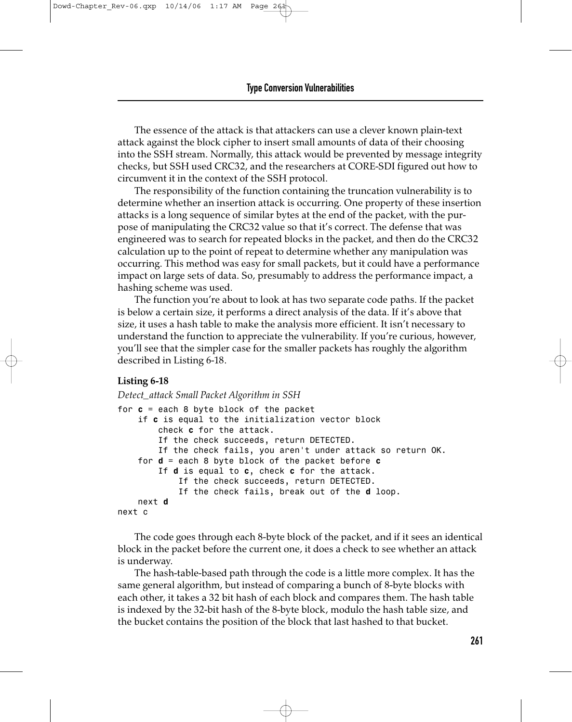#### Dowd-Chapter\_Rev-06.qxp 10/14/06 1:17 AM Page 261

#### Type Conversion Vulnerabilities

The essence of the attack is that attackers can use a clever known plain-text attack against the block cipher to insert small amounts of data of their choosing into the SSH stream. Normally, this attack would be prevented by message integrity checks, but SSH used CRC32, and the researchers at CORE-SDI figured out how to circumvent it in the context of the SSH protocol.

The responsibility of the function containing the truncation vulnerability is to determine whether an insertion attack is occurring. One property of these insertion attacks is a long sequence of similar bytes at the end of the packet, with the purpose of manipulating the CRC32 value so that it's correct. The defense that was engineered was to search for repeated blocks in the packet, and then do the CRC32 calculation up to the point of repeat to determine whether any manipulation was occurring. This method was easy for small packets, but it could have a performance impact on large sets of data. So, presumably to address the performance impact, a hashing scheme was used.

The function you're about to look at has two separate code paths. If the packet is below a certain size, it performs a direct analysis of the data. If it's above that size, it uses a hash table to make the analysis more efficient. It isn't necessary to understand the function to appreciate the vulnerability. If you're curious, however, you'll see that the simpler case for the smaller packets has roughly the algorithm described in Listing 6-18.

#### **Listing 6-18**

```
Detect_attack Small Packet Algorithm in SSH
for c = each 8 byte block of the packet
    if c is equal to the initialization vector block
        check c for the attack.
        If the check succeeds, return DETECTED.
        If the check fails, you aren't under attack so return OK.
    for d = each 8 byte block of the packet before c
        If d is equal to c, check c for the attack.
            If the check succeeds, return DETECTED.
            If the check fails, break out of the d loop.
    next d
next c
```
The code goes through each 8-byte block of the packet, and if it sees an identical block in the packet before the current one, it does a check to see whether an attack is underway.

The hash-table-based path through the code is a little more complex. It has the same general algorithm, but instead of comparing a bunch of 8-byte blocks with each other, it takes a 32 bit hash of each block and compares them. The hash table is indexed by the 32-bit hash of the 8-byte block, modulo the hash table size, and the bucket contains the position of the block that last hashed to that bucket.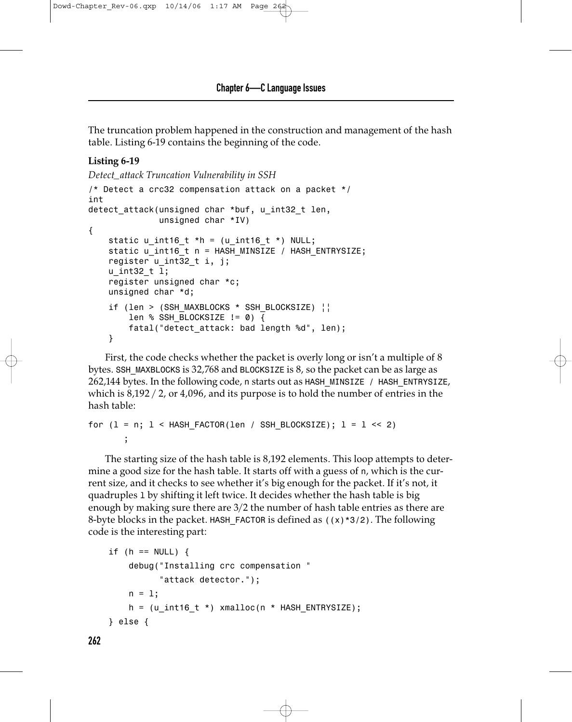The truncation problem happened in the construction and management of the hash table. Listing 6-19 contains the beginning of the code.

#### **Listing 6-19**

```
Detect_attack Truncation Vulnerability in SSH
/* Detect a crc32 compensation attack on a packet */
int
detect_attack(unsigned char *buf, u_int32_t len,
              unsigned char *IV)
{
    static u_int16 t *h = (u_int16 t *) NULL;
    static u_int16_t n = HASH_MINSIZE / HASH_ENTRYSIZE;
    register u_int32_t i, j;
    u_int32_t l;
    register unsigned char *c;
    unsigned char *d;
    if (len > (SSH_MAXBLOCKS * SSH_BLOCKSIZE) ||
        len % SSH_BLOCKSIZE != 0) {
        fatal("detect_attack: bad length %d", len);
    }
```
First, the code checks whether the packet is overly long or isn't a multiple of 8 bytes. SSH\_MAXBLOCKS is 32,768 and BLOCKSIZE is 8, so the packet can be as large as 262,144 bytes. In the following code, n starts out as HASH\_MINSIZE / HASH\_ENTRYSIZE, which is 8,192 / 2, or 4,096, and its purpose is to hold the number of entries in the hash table:

```
for (l = n; l < HASH FACTOR(len / SSH BLOCKSIZE); l = l \ll 2)
       ;
```
The starting size of the hash table is 8,192 elements. This loop attempts to determine a good size for the hash table. It starts off with a guess of n, which is the current size, and it checks to see whether it's big enough for the packet. If it's not, it quadruples l by shifting it left twice. It decides whether the hash table is big enough by making sure there are 3/2 the number of hash table entries as there are 8-byte blocks in the packet. HASH FACTOR is defined as  $((x)*3/2)$ . The following code is the interesting part:

```
if (h == NULL) {
    debug("Installing crc compensation "
          "attack detector.");
    n = 1;
    h = (u_init16_t \cdot x) xmalloc(n * HASH_ENTRYSIZE);
} else {
```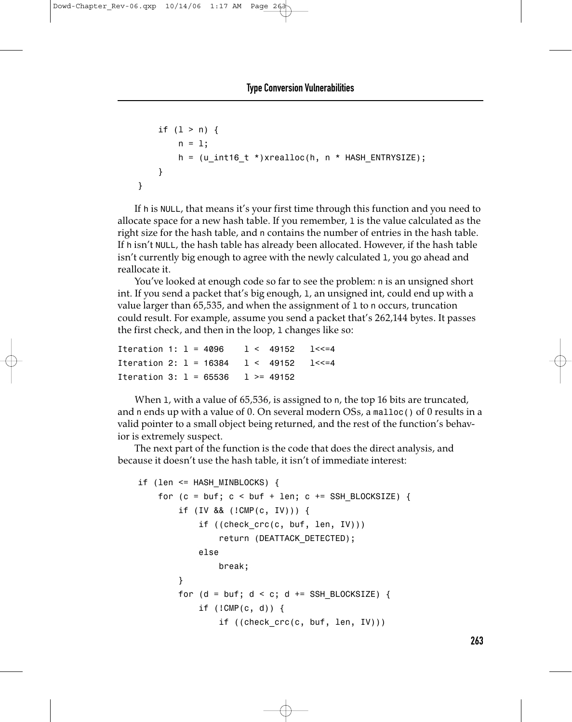```
Dowd-Chapter\_Rev-06.qxp 10/14/06 1:17 AM Page
```

```
if (1 > n) {
         n = 1;h = (u\_int16_t \cdot x) xrealloc(h, n * HASH_ENTRYSIZE);
    }
}
```
If h is NULL, that means it's your first time through this function and you need to allocate space for a new hash table. If you remember, l is the value calculated as the right size for the hash table, and n contains the number of entries in the hash table. If h isn't NULL, the hash table has already been allocated. However, if the hash table isn't currently big enough to agree with the newly calculated l, you go ahead and reallocate it.

You've looked at enough code so far to see the problem: n is an unsigned short int. If you send a packet that's big enough, l, an unsigned int, could end up with a value larger than 65,535, and when the assignment of l to n occurs, truncation could result. For example, assume you send a packet that's 262,144 bytes. It passes the first check, and then in the loop, l changes like so:

```
Iteration 1: 1 = 4096 1 < 49152 1 < -4Iteration 2: 1 = 16384 1 < 49152 1 < -4Iteration 3: 1 = 65536 1 > = 49152
```
When 1, with a value of 65,536, is assigned to n, the top 16 bits are truncated, and n ends up with a value of 0. On several modern OSs, a malloc() of 0 results in a valid pointer to a small object being returned, and the rest of the function's behavior is extremely suspect.

The next part of the function is the code that does the direct analysis, and because it doesn't use the hash table, it isn't of immediate interest:

```
if (len <= HASH_MINBLOCKS) {
    for (c = but; c < but + len; c += SSH_BLOCKSIZE) {
        if (IV && (!CMP(c, IV))) {
            if ((check_crc(c, buf, len, IV)))
                return (DEATTACK_DETECTED);
            else
                break;
        }
        for (d = buf; d < c; d += SSH_BLOCKSIZE) {
            if (!CMP(c, d)) {
                if ((check_crc(c, buf, len, IV)))
```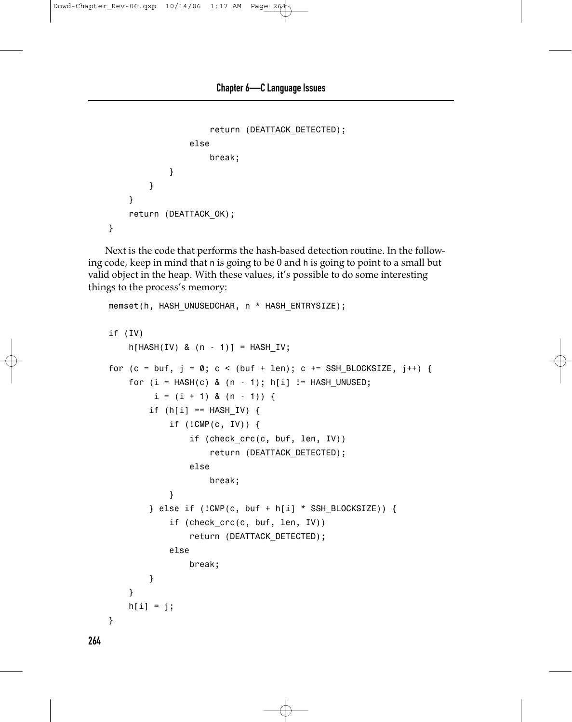}

Chapter 6—C Language Issues

```
return (DEATTACK_DETECTED);
            else
                 break;
        }
    }
}
return (DEATTACK_OK);
```
Next is the code that performs the hash-based detection routine. In the following code, keep in mind that n is going to be 0 and h is going to point to a small but valid object in the heap. With these values, it's possible to do some interesting things to the process's memory:

```
memset(h, HASH_UNUSEDCHAR, n * HASH_ENTRYSIZE);
    if (IV)
        h[HASH(IV) & (n - 1)] = HASH_IV;for (c = \text{buf}, j = 0; c < (\text{buf} + \text{len}); c += \text{SSH}. BLOCKSIZE, j++) {
        for (i = HASH(c) & (n - 1); h[i] := HASH UNUSED;i = (i + 1) & (n - 1) {
            if (h[i] == HASH IV) {
                 if (!CMP(c, IV)) {
                     if (check_crc(c, buf, len, IV))
                          return (DEATTACK_DETECTED);
                     else
                          break;
                 }
             } else if (!CMP(c, buf + h[i] * SSH_BLOCKSIZE)) {
                 if (check_crc(c, buf, len, IV))
                     return (DEATTACK_DETECTED);
                 else
                     break;
            }
        }
        h[i] = j;}
264
```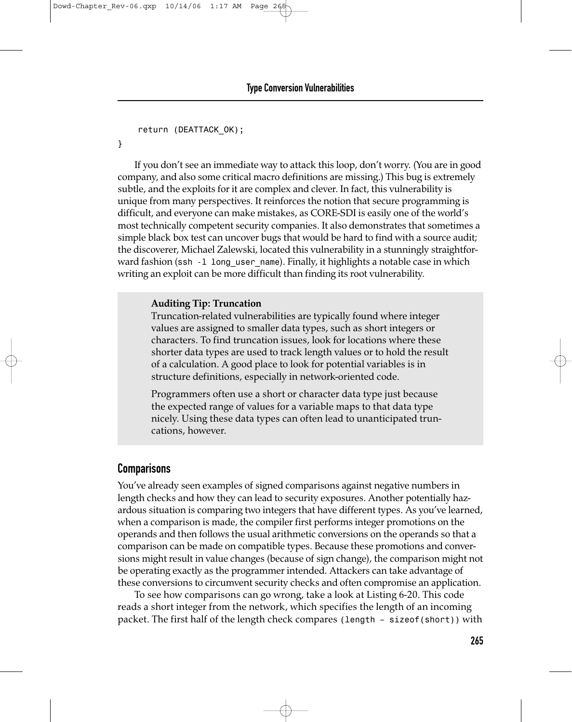}

Type Conversion Vulnerabilities

```
return (DEATTACK_OK);
```
If you don't see an immediate way to attack this loop, don't worry. (You are in good company, and also some critical macro definitions are missing.) This bug is extremely subtle, and the exploits for it are complex and clever. In fact, this vulnerability is unique from many perspectives. It reinforces the notion that secure programming is difficult, and everyone can make mistakes, as CORE-SDI is easily one of the world's most technically competent security companies. It also demonstrates that sometimes a simple black box test can uncover bugs that would be hard to find with a source audit; the discoverer, Michael Zalewski, located this vulnerability in a stunningly straightforward fashion (ssh -1 long user name). Finally, it highlights a notable case in which writing an exploit can be more difficult than finding its root vulnerability.

#### **Auditing Tip: Truncation**

Truncation-related vulnerabilities are typically found where integer values are assigned to smaller data types, such as short integers or characters. To find truncation issues, look for locations where these shorter data types are used to track length values or to hold the result of a calculation. A good place to look for potential variables is in structure definitions, especially in network-oriented code.

Programmers often use a short or character data type just because the expected range of values for a variable maps to that data type nicely. Using these data types can often lead to unanticipated truncations, however.

### **Comparisons**

You've already seen examples of signed comparisons against negative numbers in length checks and how they can lead to security exposures. Another potentially hazardous situation is comparing two integers that have different types. As you've learned, when a comparison is made, the compiler first performs integer promotions on the operands and then follows the usual arithmetic conversions on the operands so that a comparison can be made on compatible types. Because these promotions and conversions might result in value changes (because of sign change), the comparison might not be operating exactly as the programmer intended. Attackers can take advantage of these conversions to circumvent security checks and often compromise an application.

To see how comparisons can go wrong, take a look at Listing 6-20. This code reads a short integer from the network, which specifies the length of an incoming packet. The first half of the length check compares (length – sizeof(short)) with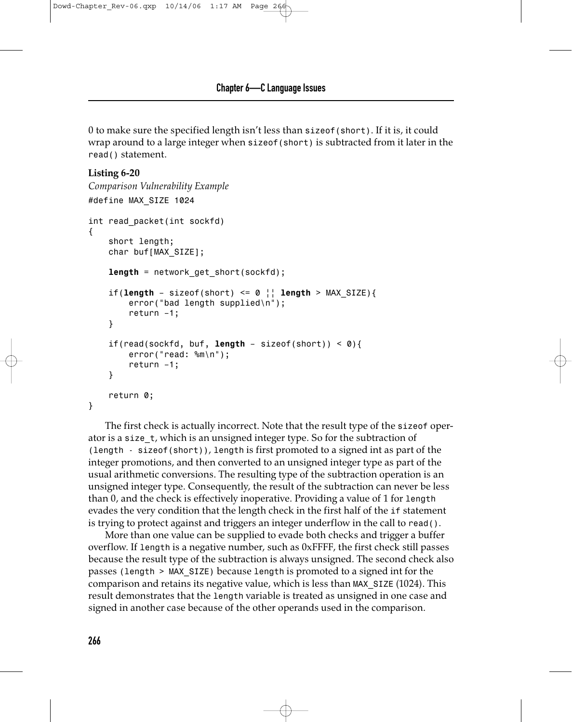0 to make sure the specified length isn't less than sizeof(short). If it is, it could wrap around to a large integer when sizeof(short) is subtracted from it later in the read() statement.

#### **Listing 6-20**

```
Comparison Vulnerability Example
#define MAX_SIZE 1024
int read_packet(int sockfd)
{
    short length;
    char buf[MAX SIZE];
    length = network get short(sockfd);
    if(length - sizeof(short) \le 0 | \cdot | length > MAX_SIZE){
        error("bad length supplied\n");
        return –1;
    }
    if(read(sockfd, but, length - sizeof(short)) < 0){
        error("read: %m\n");
        return –1;
    }
    return 0;
}
```
The first check is actually incorrect. Note that the result type of the sizeof operator is a size\_t, which is an unsigned integer type. So for the subtraction of (length - sizeof(short)), length is first promoted to a signed int as part of the integer promotions, and then converted to an unsigned integer type as part of the usual arithmetic conversions. The resulting type of the subtraction operation is an unsigned integer type. Consequently, the result of the subtraction can never be less than 0, and the check is effectively inoperative. Providing a value of 1 for length evades the very condition that the length check in the first half of the if statement is trying to protect against and triggers an integer underflow in the call to read().

More than one value can be supplied to evade both checks and trigger a buffer overflow. If length is a negative number, such as 0xFFFF, the first check still passes because the result type of the subtraction is always unsigned. The second check also passes (length > MAX\_SIZE) because length is promoted to a signed int for the comparison and retains its negative value, which is less than MAX\_SIZE (1024). This result demonstrates that the length variable is treated as unsigned in one case and signed in another case because of the other operands used in the comparison.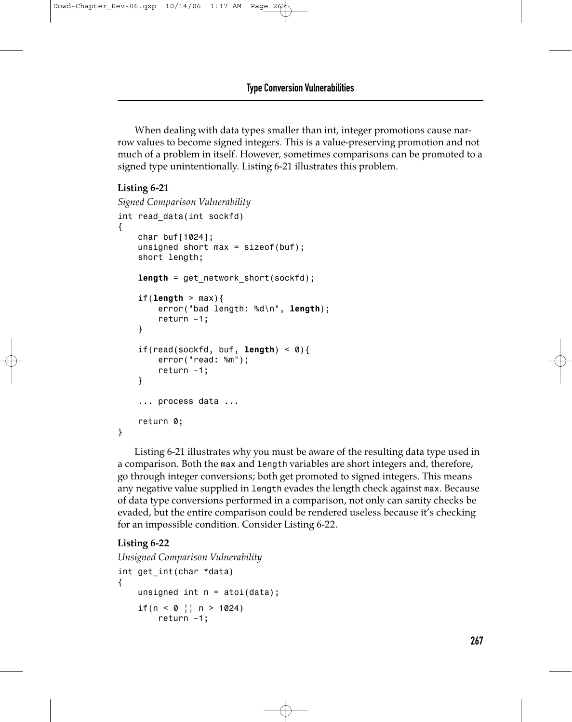When dealing with data types smaller than int, integer promotions cause narrow values to become signed integers. This is a value-preserving promotion and not much of a problem in itself. However, sometimes comparisons can be promoted to a signed type unintentionally. Listing 6-21 illustrates this problem.

#### **Listing 6-21**

```
Signed Comparison Vulnerability
int read_data(int sockfd)
{
    char buf[1024];
    unsigned short max = sizeof(buf);
    short length;
    length = get network short(sockfd);
    if(length > max){
        error("bad length: %d\n", length);
        return –1;
    }
    if(read(sockfd, but, length) < 0}
        error("read: %m");
        return –1;
    }
    ... process data ...
    return 0;
}
```
Listing 6-21 illustrates why you must be aware of the resulting data type used in a comparison. Both the max and length variables are short integers and, therefore, go through integer conversions; both get promoted to signed integers. This means any negative value supplied in length evades the length check against max. Because of data type conversions performed in a comparison, not only can sanity checks be evaded, but the entire comparison could be rendered useless because it's checking for an impossible condition. Consider Listing 6-22.

#### **Listing 6-22**

```
Unsigned Comparison Vulnerability
int get int(char *data)
{
    unsigned int n = atoi(data);
    if(n < 0 || n > 1024)
        return –1;
```
267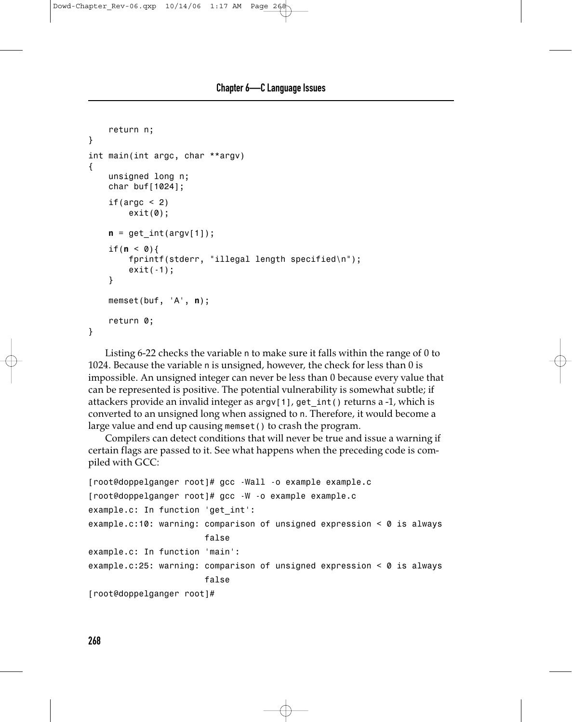```
return n;
}
int main(int argc, char **argv)
{
    unsigned long n;
    char buf[1024];
    if(argc < 2)exit(0);n = get\_int(argv[1]);if(n < 0){
        fprintf(stderr, "illegal length specified\n");
        exit(-1);
    }
    memset(buf, 'A', n);
    return 0;
}
```
Listing 6-22 checks the variable n to make sure it falls within the range of 0 to 1024. Because the variable n is unsigned, however, the check for less than 0 is impossible. An unsigned integer can never be less than 0 because every value that can be represented is positive. The potential vulnerability is somewhat subtle; if attackers provide an invalid integer as argv[1], get\_int() returns a -1, which is converted to an unsigned long when assigned to n. Therefore, it would become a large value and end up causing memset() to crash the program.

Compilers can detect conditions that will never be true and issue a warning if certain flags are passed to it. See what happens when the preceding code is compiled with GCC:

```
[root@doppelganger root]# gcc -Wall -o example example.c
[root@doppelganger root]# gcc -W -o example example.c
example.c: In function 'get int':
example.c:10: warning: comparison of unsigned expression < 0 is always
                       false
example.c: In function 'main':
example.c:25: warning: comparison of unsigned expression < 0 is always
                       false
[root@doppelganger root]#
```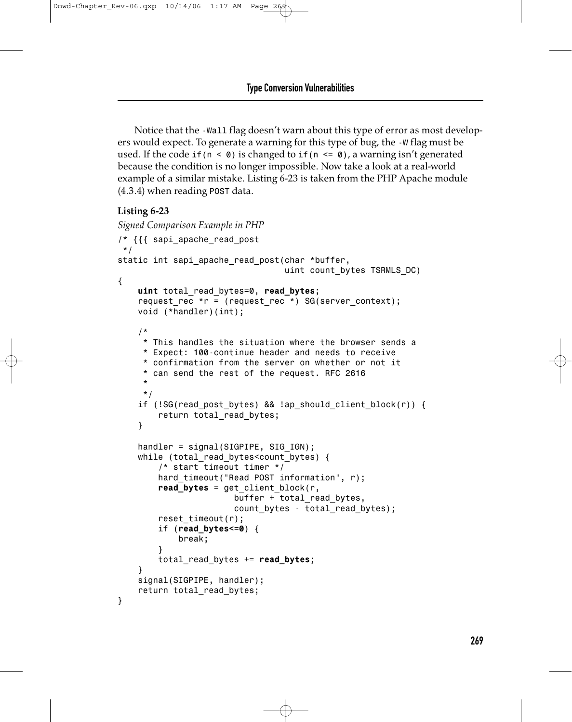Notice that the -Wall flag doesn't warn about this type of error as most developers would expect. To generate a warning for this type of bug, the -W flag must be used. If the code if  $(n < 0)$  is changed to if  $(n \le 0)$ , a warning isn't generated because the condition is no longer impossible. Now take a look at a real-world example of a similar mistake. Listing 6-23 is taken from the PHP Apache module (4.3.4) when reading POST data.

#### **Listing 6-23**

```
Signed Comparison Example in PHP
/* {{{ sapi_apache_read_post
 */
static int sapi_apache_read_post(char *buffer,
                                 uint count_bytes TSRMLS_DC)
{
    uint total_read_bytes=0, read_bytes;
    request_rec *r = (request_rec *) SG(server_context);
    void (*handler)(int);
    /*
     * This handles the situation where the browser sends a
     * Expect: 100-continue header and needs to receive
     * confirmation from the server on whether or not it
     * can send the rest of the request. RFC 2616
     *
     */
    if (!SG(read_post_bytes) && !ap_should_client_block(r)) {
        return total_read_bytes;
    }
    handler = signal(SIGPIPE, SIG_IGN);
    while (total read bytes<count bytes) {
        /* start timeout timer */
        hard_timeout("Read POST information", r);
        read bytes = get client block(r,
                       buffer + total read bytes,
                       count_bytes - total_read_bytes);
        reset_timeout(r);
        if (read_bytes<=0) {
            break;
        }
        total_read_bytes += read_bytes;
    }
    signal(SIGPIPE, handler);
    return total read bytes;
}
```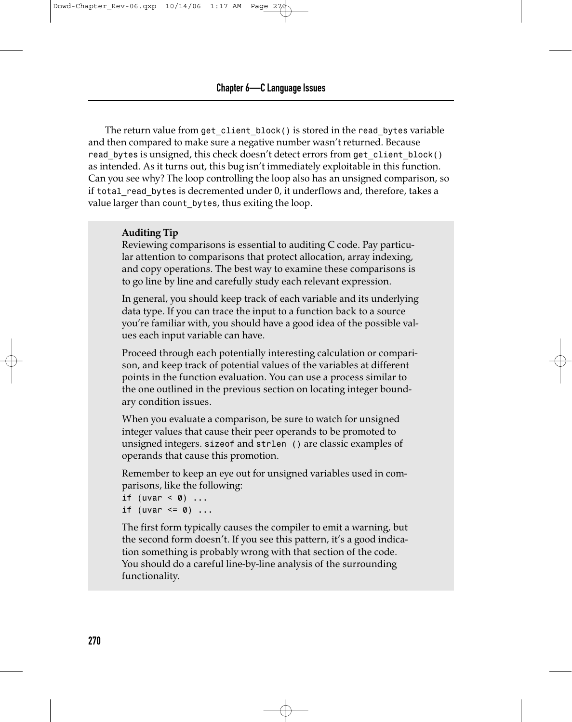The return value from get\_client\_block() is stored in the read\_bytes variable and then compared to make sure a negative number wasn't returned. Because read bytes is unsigned, this check doesn't detect errors from get client block() as intended. As it turns out, this bug isn't immediately exploitable in this function. Can you see why? The loop controlling the loop also has an unsigned comparison, so if total read bytes is decremented under 0, it underflows and, therefore, takes a value larger than count\_bytes, thus exiting the loop.

#### **Auditing Tip**

Reviewing comparisons is essential to auditing C code. Pay particular attention to comparisons that protect allocation, array indexing, and copy operations. The best way to examine these comparisons is to go line by line and carefully study each relevant expression.

In general, you should keep track of each variable and its underlying data type. If you can trace the input to a function back to a source you're familiar with, you should have a good idea of the possible values each input variable can have.

Proceed through each potentially interesting calculation or comparison, and keep track of potential values of the variables at different points in the function evaluation. You can use a process similar to the one outlined in the previous section on locating integer boundary condition issues.

When you evaluate a comparison, be sure to watch for unsigned integer values that cause their peer operands to be promoted to unsigned integers. sizeof and strlen () are classic examples of operands that cause this promotion.

Remember to keep an eye out for unsigned variables used in comparisons, like the following:

```
if (uvar \leq 0) ...
if (uvar \leq 0) ...
```
The first form typically causes the compiler to emit a warning, but the second form doesn't. If you see this pattern, it's a good indication something is probably wrong with that section of the code. You should do a careful line-by-line analysis of the surrounding functionality.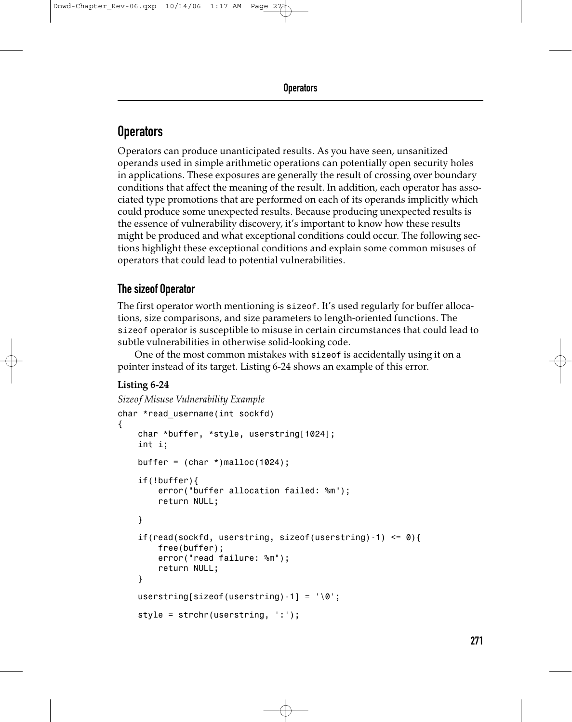**Operators** 

# **Operators**

Operators can produce unanticipated results. As you have seen, unsanitized operands used in simple arithmetic operations can potentially open security holes in applications. These exposures are generally the result of crossing over boundary conditions that affect the meaning of the result. In addition, each operator has associated type promotions that are performed on each of its operands implicitly which could produce some unexpected results. Because producing unexpected results is the essence of vulnerability discovery, it's important to know how these results might be produced and what exceptional conditions could occur. The following sections highlight these exceptional conditions and explain some common misuses of operators that could lead to potential vulnerabilities.

### The sizeof Operator

The first operator worth mentioning is sizeof. It's used regularly for buffer allocations, size comparisons, and size parameters to length-oriented functions. The sizeof operator is susceptible to misuse in certain circumstances that could lead to subtle vulnerabilities in otherwise solid-looking code.

One of the most common mistakes with sizeof is accidentally using it on a pointer instead of its target. Listing 6-24 shows an example of this error.

### **Listing 6-24**

{

```
Sizeof Misuse Vulnerability Example
char *read username(int sockfd)
    char *buffer, *style, userstring[1024];
    int i;
    buffer = (char *)malloc(1024);if(!buffer){
        error("buffer allocation failed: %m");
        return NULL;
    }
    if(read(sockfd, userstring, sizeof(userstring)-1) <= \varnothing){
        free(buffer);
        error("read failure: %m");
        return NULL;
    }
    userstring[sizeof(userstring)-1] = '\0;
    style = strchr(userstring, ':');
```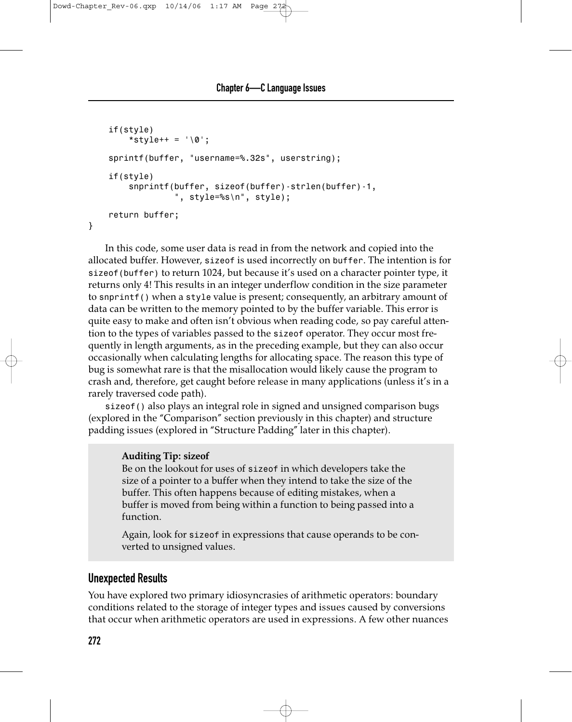```
if(style)
        *style++ = '0;
    sprintf(buffer, "username=%.32s", userstring);
    if(style)
        snprintf(buffer, sizeof(buffer)-strlen(buffer)-1,
                 ", style=%s\n", style);
    return buffer;
}
```
In this code, some user data is read in from the network and copied into the allocated buffer. However, sizeof is used incorrectly on buffer. The intention is for sizeof(buffer) to return 1024, but because it's used on a character pointer type, it returns only 4! This results in an integer underflow condition in the size parameter to snprintf() when a style value is present; consequently, an arbitrary amount of data can be written to the memory pointed to by the buffer variable. This error is quite easy to make and often isn't obvious when reading code, so pay careful attention to the types of variables passed to the sizeof operator. They occur most frequently in length arguments, as in the preceding example, but they can also occur occasionally when calculating lengths for allocating space. The reason this type of bug is somewhat rare is that the misallocation would likely cause the program to crash and, therefore, get caught before release in many applications (unless it's in a rarely traversed code path).

sizeof() also plays an integral role in signed and unsigned comparison bugs (explored in the "Comparison" section previously in this chapter) and structure padding issues (explored in "Structure Padding" later in this chapter).

#### **Auditing Tip: sizeof**

Be on the lookout for uses of sizeof in which developers take the size of a pointer to a buffer when they intend to take the size of the buffer. This often happens because of editing mistakes, when a buffer is moved from being within a function to being passed into a function.

Again, look for sizeof in expressions that cause operands to be converted to unsigned values.

### Unexpected Results

You have explored two primary idiosyncrasies of arithmetic operators: boundary conditions related to the storage of integer types and issues caused by conversions that occur when arithmetic operators are used in expressions. A few other nuances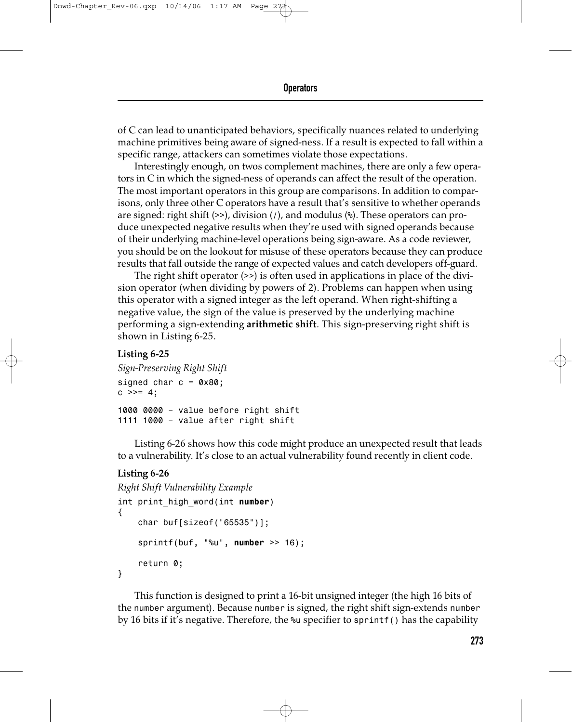Dowd-Chapter\_Rev-06.qxp 10/14/06 1:17 AM Page 273

**Operators** 

of C can lead to unanticipated behaviors, specifically nuances related to underlying machine primitives being aware of signed-ness. If a result is expected to fall within a specific range, attackers can sometimes violate those expectations.

Interestingly enough, on twos complement machines, there are only a few operators in C in which the signed-ness of operands can affect the result of the operation. The most important operators in this group are comparisons. In addition to comparisons, only three other C operators have a result that's sensitive to whether operands are signed: right shift (>>), division (/), and modulus (%). These operators can produce unexpected negative results when they're used with signed operands because of their underlying machine-level operations being sign-aware. As a code reviewer, you should be on the lookout for misuse of these operators because they can produce results that fall outside the range of expected values and catch developers off-guard.

The right shift operator (>>) is often used in applications in place of the division operator (when dividing by powers of 2). Problems can happen when using this operator with a signed integer as the left operand. When right-shifting a negative value, the sign of the value is preserved by the underlying machine performing a sign-extending **arithmetic shift**. This sign-preserving right shift is shown in Listing 6-25.

#### **Listing 6-25**

```
Sign-Preserving Right Shift
signed char c = 0 \times 80;
c \gg= 4;
1000 0000 – value before right shift
1111 1000 – value after right shift
```
Listing 6-26 shows how this code might produce an unexpected result that leads to a vulnerability. It's close to an actual vulnerability found recently in client code.

#### **Listing 6-26**

```
Right Shift Vulnerability Example
int print_high_word(int number)
{
    char buf[sizeof("65535")];
    sprintf(buf, "%u", number >> 16);
    return 0;
}
```
This function is designed to print a 16-bit unsigned integer (the high 16 bits of the number argument). Because number is signed, the right shift sign-extends number by 16 bits if it's negative. Therefore, the %u specifier to sprintf() has the capability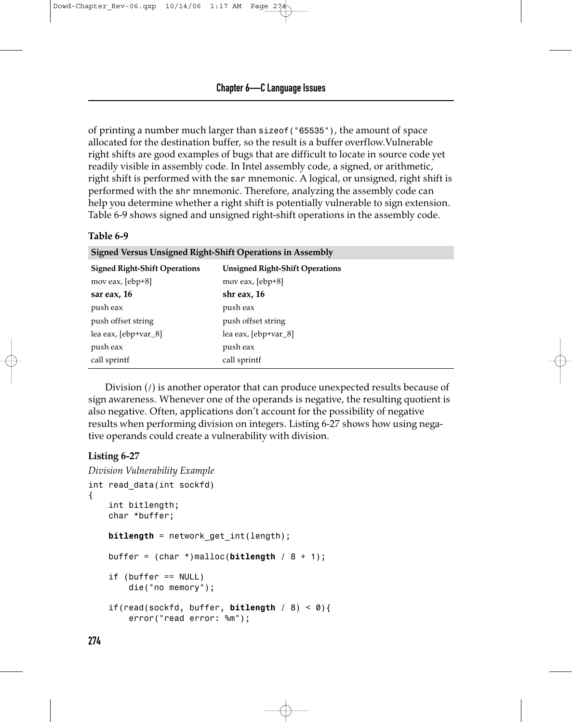of printing a number much larger than sizeof("65535"), the amount of space allocated for the destination buffer, so the result is a buffer overflow.Vulnerable right shifts are good examples of bugs that are difficult to locate in source code yet readily visible in assembly code. In Intel assembly code, a signed, or arithmetic, right shift is performed with the sar mnemonic. A logical, or unsigned, right shift is performed with the shr mnemonic. Therefore, analyzing the assembly code can help you determine whether a right shift is potentially vulnerable to sign extension. Table 6-9 shows signed and unsigned right-shift operations in the assembly code.

#### **Table 6-9**

| Signed Versus Unsigned Right-Shift Operations in Assembly |                                        |  |  |
|-----------------------------------------------------------|----------------------------------------|--|--|
| <b>Signed Right-Shift Operations</b>                      | <b>Unsigned Right-Shift Operations</b> |  |  |
| mov eax, $[ebp+8]$                                        | mov eax, [ebp+8]                       |  |  |
| sar eax, 16                                               | shr eax, 16                            |  |  |
| push eax                                                  | push eax                               |  |  |
| push offset string                                        | push offset string                     |  |  |
| lea eax, $[ebp+var_8]$                                    | lea eax, $[ebp+var_8]$                 |  |  |
| push eax                                                  | push eax                               |  |  |
| call sprintf                                              | call sprintf                           |  |  |

Division (/) is another operator that can produce unexpected results because of sign awareness. Whenever one of the operands is negative, the resulting quotient is also negative. Often, applications don't account for the possibility of negative results when performing division on integers. Listing 6-27 shows how using negative operands could create a vulnerability with division.

#### **Listing 6-27**

```
Division Vulnerability Example
int read_data(int sockfd)
{
    int bitlength;
    char *buffer;
    bitlength = network get int(length);
    buffer = (char *)malloc(bitlength / 8 + 1);
    if (buffer == NULL)
        die("no memory");
    if(read(sockfd, buffer, bitlength / 8) < 0){
        error("read error: %m");
```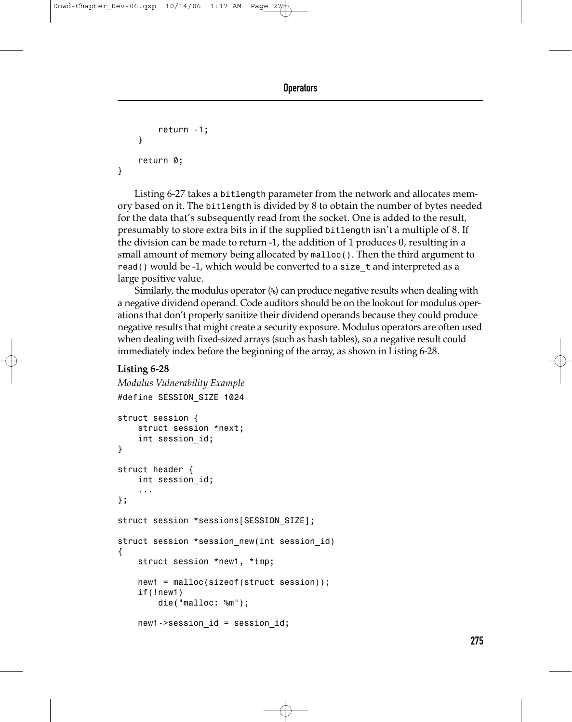```
Operators
```

```
return -1;
}
return 0;
```
}

Listing 6-27 takes a bitlength parameter from the network and allocates memory based on it. The bitlength is divided by 8 to obtain the number of bytes needed for the data that's subsequently read from the socket. One is added to the result, presumably to store extra bits in if the supplied bitlength isn't a multiple of 8. If the division can be made to return -1, the addition of 1 produces 0, resulting in a small amount of memory being allocated by malloc(). Then the third argument to read() would be -1, which would be converted to a size\_t and interpreted as a large positive value.

Similarly, the modulus operator (%) can produce negative results when dealing with a negative dividend operand. Code auditors should be on the lookout for modulus operations that don't properly sanitize their dividend operands because they could produce negative results that might create a security exposure. Modulus operators are often used when dealing with fixed-sized arrays (such as hash tables), so a negative result could immediately index before the beginning of the array, as shown in Listing 6-28.

#### **Listing 6-28**

```
Modulus Vulnerability Example
#define SESSION SIZE 1024
struct session {
    struct session *next;
    int session_id;
}
struct header {
    int session_id;
    ...
};
struct session *sessions[SESSION SIZE];
struct session *session_new(int session_id)
{
    struct session *new1, *tmp;
    new1 = malloc(sizeof(struct session));
    if(!new1)
        die("malloc: %m");
    new1->session_id = session_id;
```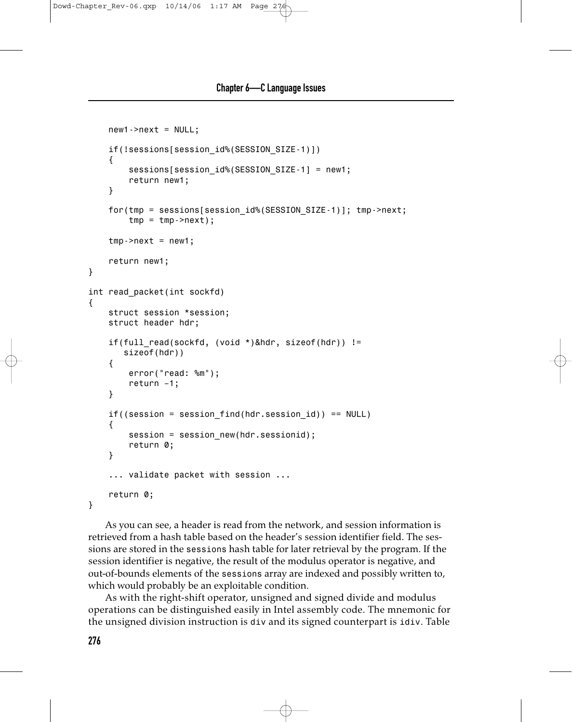```
new1 -rext = NULL;
    if(!sessions[session_id%(SESSION_SIZE-1)])
    {
        sessions[session_id%(SESSION_SIZE-1] = new1;
        return new1;
    }
    for(tmp = sessions[session_id%(SESSION_SIZE-1)]; tmp->next;
        tmp = tmp - \text{next};tmp - \texttt{next} = new1;return new1;
}
int read_packet(int sockfd)
{
    struct session *session;
    struct header hdr;
    if(full_read(sockfd, (void *)&hdr, sizeof(hdr)) !=
       sizeof(hdr))
    {
        error("read: %m");
        return –1;
    }
    if((session = session find(hdr.sessionid)) == NULL){
        session = session_new(hdr.sessionid);
        return 0;
    }
    ... validate packet with session ...
    return 0;
}
```
As you can see, a header is read from the network, and session information is retrieved from a hash table based on the header's session identifier field. The sessions are stored in the sessions hash table for later retrieval by the program. If the session identifier is negative, the result of the modulus operator is negative, and out-of-bounds elements of the sessions array are indexed and possibly written to, which would probably be an exploitable condition.

As with the right-shift operator, unsigned and signed divide and modulus operations can be distinguished easily in Intel assembly code. The mnemonic for the unsigned division instruction is div and its signed counterpart is idiv. Table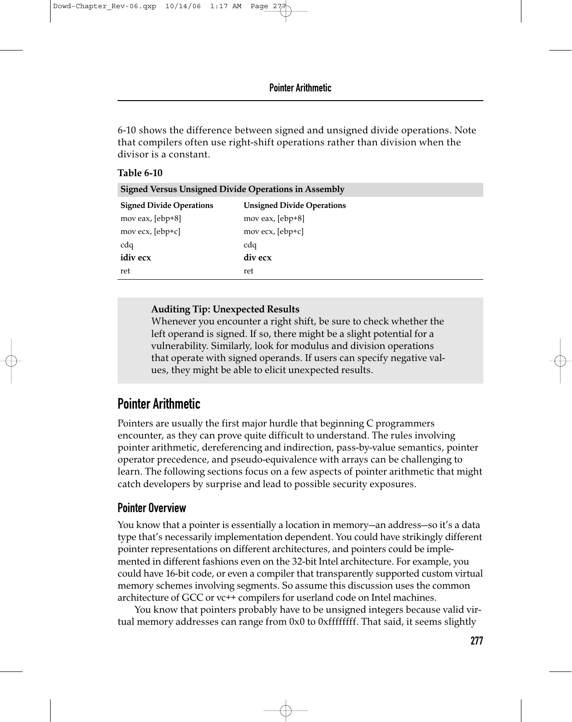Pointer Arithmetic

6-10 shows the difference between signed and unsigned divide operations. Note that compilers often use right-shift operations rather than division when the divisor is a constant.

### **Table 6-10**

| <b>Signed Versus Unsigned Divide Operations in Assembly</b> |                                   |  |  |  |  |
|-------------------------------------------------------------|-----------------------------------|--|--|--|--|
| <b>Signed Divide Operations</b>                             | <b>Unsigned Divide Operations</b> |  |  |  |  |
| mov eax, [ebp+8]                                            | mov eax, [ebp+8]                  |  |  |  |  |
| mov ecx, [ebp+c]                                            | mov ecx, $[ebp+c]$                |  |  |  |  |
| cdq                                                         | cdq                               |  |  |  |  |
| idiv ecx                                                    | div ecx                           |  |  |  |  |
| ret                                                         | ret                               |  |  |  |  |

### **Auditing Tip: Unexpected Results**

Whenever you encounter a right shift, be sure to check whether the left operand is signed. If so, there might be a slight potential for a vulnerability. Similarly, look for modulus and division operations that operate with signed operands. If users can specify negative values, they might be able to elicit unexpected results.

# Pointer Arithmetic

Pointers are usually the first major hurdle that beginning C programmers encounter, as they can prove quite difficult to understand. The rules involving pointer arithmetic, dereferencing and indirection, pass-by-value semantics, pointer operator precedence, and pseudo-equivalence with arrays can be challenging to learn. The following sections focus on a few aspects of pointer arithmetic that might catch developers by surprise and lead to possible security exposures.

# Pointer Overview

You know that a pointer is essentially a location in memory—an address—so it's a data type that's necessarily implementation dependent. You could have strikingly different pointer representations on different architectures, and pointers could be implemented in different fashions even on the 32-bit Intel architecture. For example, you could have 16-bit code, or even a compiler that transparently supported custom virtual memory schemes involving segments. So assume this discussion uses the common architecture of GCC or vc++ compilers for userland code on Intel machines.

You know that pointers probably have to be unsigned integers because valid virtual memory addresses can range from 0x0 to 0xffffffff. That said, it seems slightly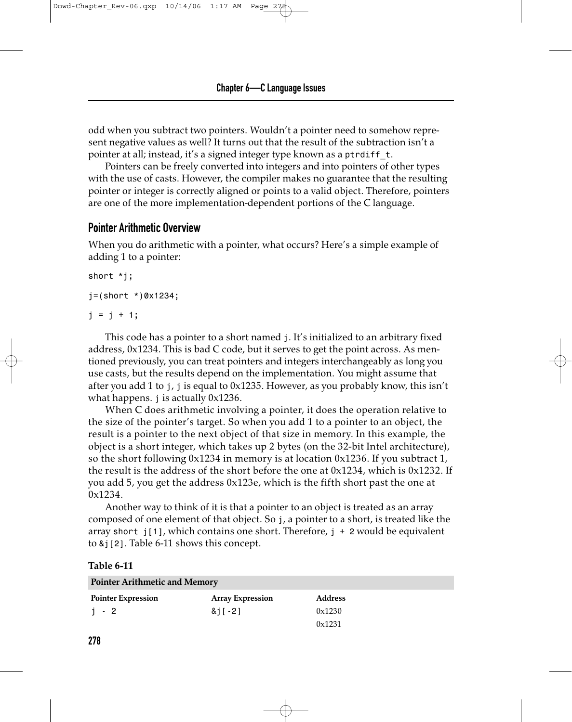odd when you subtract two pointers. Wouldn't a pointer need to somehow represent negative values as well? It turns out that the result of the subtraction isn't a pointer at all; instead, it's a signed integer type known as a ptrdiff t.

Pointers can be freely converted into integers and into pointers of other types with the use of casts. However, the compiler makes no guarantee that the resulting pointer or integer is correctly aligned or points to a valid object. Therefore, pointers are one of the more implementation-dependent portions of the C language.

# Pointer Arithmetic Overview

When you do arithmetic with a pointer, what occurs? Here's a simple example of adding 1 to a pointer:

```
short *j;
j=(short *)0x1234;
j = j + 1;
```
This code has a pointer to a short named j. It's initialized to an arbitrary fixed address,  $0x1234$ . This is bad C code, but it serves to get the point across. As mentioned previously, you can treat pointers and integers interchangeably as long you use casts, but the results depend on the implementation. You might assume that after you add 1 to j, j is equal to 0x1235. However, as you probably know, this isn't what happens. *j* is actually 0x1236.

When C does arithmetic involving a pointer, it does the operation relative to the size of the pointer's target. So when you add 1 to a pointer to an object, the result is a pointer to the next object of that size in memory. In this example, the object is a short integer, which takes up 2 bytes (on the 32-bit Intel architecture), so the short following  $0x1234$  in memory is at location  $0x1236$ . If you subtract 1, the result is the address of the short before the one at 0x1234, which is 0x1232. If you add 5, you get the address 0x123e, which is the fifth short past the one at 0x1234.

Another way to think of it is that a pointer to an object is treated as an array composed of one element of that object. So j, a pointer to a short, is treated like the array short j[1], which contains one short. Therefore, j + 2 would be equivalent to &j[2]. Table 6-11 shows this concept.

### **Table 6-11**

| <b>Pointer Arithmetic and Memory</b> |                         |                |  |  |  |  |
|--------------------------------------|-------------------------|----------------|--|--|--|--|
| <b>Pointer Expression</b>            | <b>Array Expression</b> | <b>Address</b> |  |  |  |  |
| i - 2                                | $81[-2]$                | 0x1230         |  |  |  |  |
|                                      |                         | 0x1231         |  |  |  |  |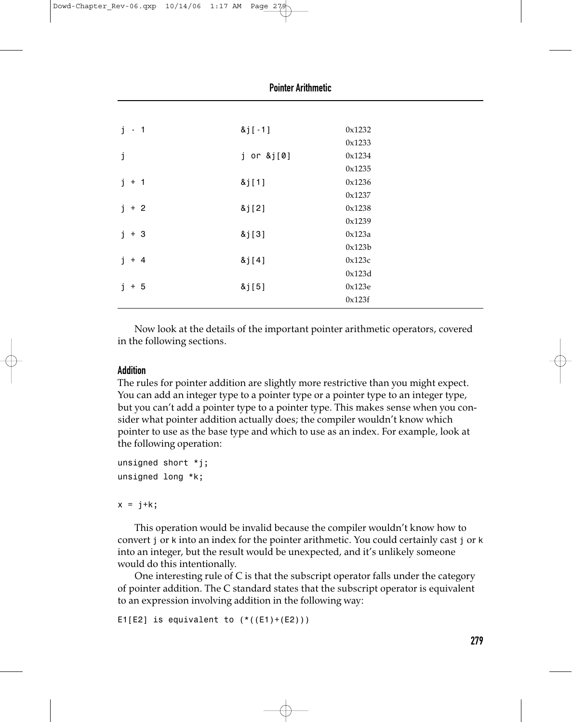| TUINGI AHUINGUU |            |        |  |  |  |
|-----------------|------------|--------|--|--|--|
|                 |            |        |  |  |  |
| $j - 1$         | $8j[-1]$   | 0x1232 |  |  |  |
|                 |            | 0x1233 |  |  |  |
| j               | j or &j[0] | 0x1234 |  |  |  |
|                 |            | 0x1235 |  |  |  |
| $j + 1$         | &j[1]      | 0x1236 |  |  |  |
|                 |            | 0x1237 |  |  |  |
| $j + 2$         | 8j[2]      | 0x1238 |  |  |  |
|                 |            | 0x1239 |  |  |  |
| $j + 3$         | &j[3]      | 0x123a |  |  |  |
|                 |            | 0x123b |  |  |  |
| i.<br>$+4$      | 8j[4]      | 0x123c |  |  |  |
|                 |            | 0x123d |  |  |  |
| $j + 5$         | &j[5]      | 0x123e |  |  |  |
|                 |            | 0x123f |  |  |  |
|                 |            |        |  |  |  |

Pointer Arithmetic

Now look at the details of the important pointer arithmetic operators, covered in the following sections.

## Addition

The rules for pointer addition are slightly more restrictive than you might expect. You can add an integer type to a pointer type or a pointer type to an integer type, but you can't add a pointer type to a pointer type. This makes sense when you consider what pointer addition actually does; the compiler wouldn't know which pointer to use as the base type and which to use as an index. For example, look at the following operation:

unsigned short \*j; unsigned long \*k;

#### $x = j+k;$

This operation would be invalid because the compiler wouldn't know how to convert j or k into an index for the pointer arithmetic. You could certainly cast j or k into an integer, but the result would be unexpected, and it's unlikely someone would do this intentionally.

One interesting rule of C is that the subscript operator falls under the category of pointer addition. The C standard states that the subscript operator is equivalent to an expression involving addition in the following way:

E1[E2] is equivalent to  $(*((E1)+(E2)))$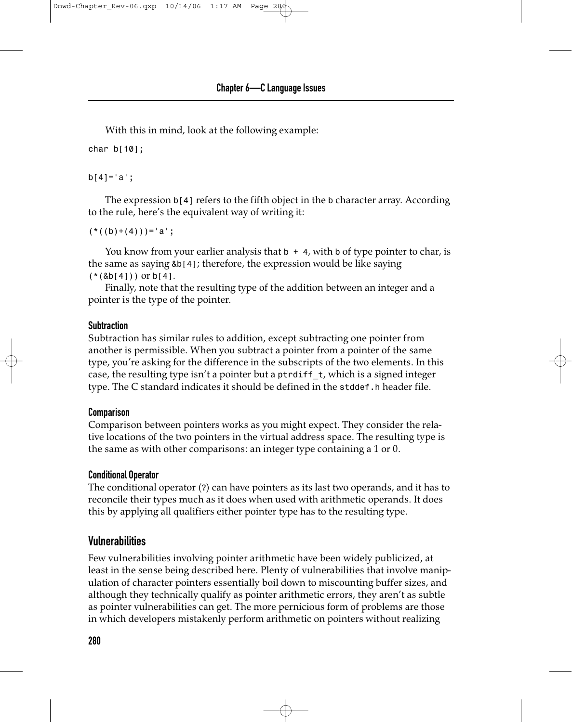With this in mind, look at the following example:

char b[10];

 $b[4]$ ='a';

The expression b[4] refers to the fifth object in the b character array. According to the rule, here's the equivalent way of writing it:

$$
(*((b)+(4))) = 'a';
$$

You know from your earlier analysis that  $b + 4$ , with b of type pointer to char, is the same as saying &b[4]; therefore, the expression would be like saying  $(*$  (&b[4])) or  $b[4]$ .

Finally, note that the resulting type of the addition between an integer and a pointer is the type of the pointer.

#### **Subtraction**

Subtraction has similar rules to addition, except subtracting one pointer from another is permissible. When you subtract a pointer from a pointer of the same type, you're asking for the difference in the subscripts of the two elements. In this case, the resulting type isn't a pointer but a ptrdiff\_t, which is a signed integer type. The C standard indicates it should be defined in the stddef.h header file.

#### Comparison

Comparison between pointers works as you might expect. They consider the relative locations of the two pointers in the virtual address space. The resulting type is the same as with other comparisons: an integer type containing a 1 or 0.

#### Conditional Operator

The conditional operator (?) can have pointers as its last two operands, and it has to reconcile their types much as it does when used with arithmetic operands. It does this by applying all qualifiers either pointer type has to the resulting type.

## Vulnerabilities

Few vulnerabilities involving pointer arithmetic have been widely publicized, at least in the sense being described here. Plenty of vulnerabilities that involve manipulation of character pointers essentially boil down to miscounting buffer sizes, and although they technically qualify as pointer arithmetic errors, they aren't as subtle as pointer vulnerabilities can get. The more pernicious form of problems are those in which developers mistakenly perform arithmetic on pointers without realizing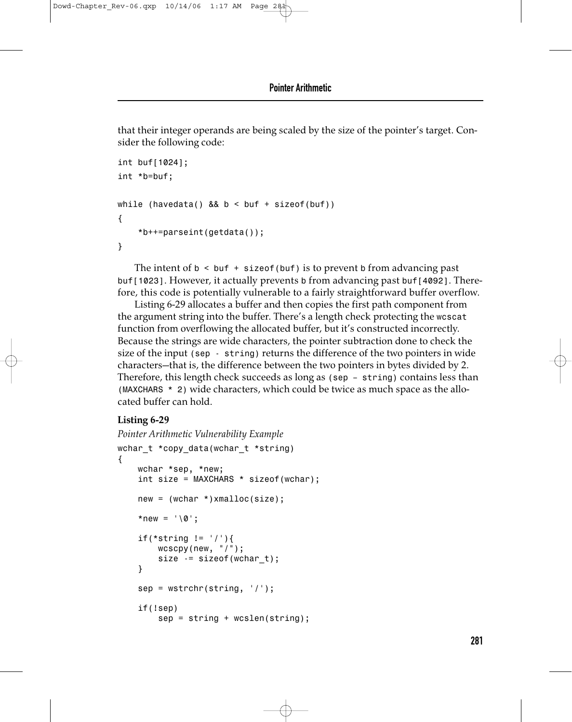Pointer Arithmetic

that their integer operands are being scaled by the size of the pointer's target. Consider the following code:

```
int buf[1024];
int *b=buf;
while (havedata() && b < buf + sizeof(buf))
{
    *b++=parseint(getdata());
}
```
The intent of  $b \leq 1$  buf + sizeof(buf) is to prevent b from advancing past buf[1023]. However, it actually prevents b from advancing past buf[4092]. Therefore, this code is potentially vulnerable to a fairly straightforward buffer overflow.

Listing 6-29 allocates a buffer and then copies the first path component from the argument string into the buffer. There's a length check protecting the wcscat function from overflowing the allocated buffer, but it's constructed incorrectly. Because the strings are wide characters, the pointer subtraction done to check the size of the input (sep - string) returns the difference of the two pointers in wide characters—that is, the difference between the two pointers in bytes divided by 2. Therefore, this length check succeeds as long as (sep – string) contains less than (MAXCHARS \* 2) wide characters, which could be twice as much space as the allocated buffer can hold.

### **Listing 6-29**

```
Pointer Arithmetic Vulnerability Example
wchar t *copy data(wchar t *string)
{
    wchar *sep, *new;
    int size = MAXCHARS * sizeof(wchar);new = (wchar *)xmalloc(size);
    *new = '0;
    if(*string != '/'){
        wcscpy(new, "/");
        size - = sizeof(word + t);}
    sep = wstrchr(string, ' / ');
    if(!sep)
        sep = string + wcslen(string);
```
281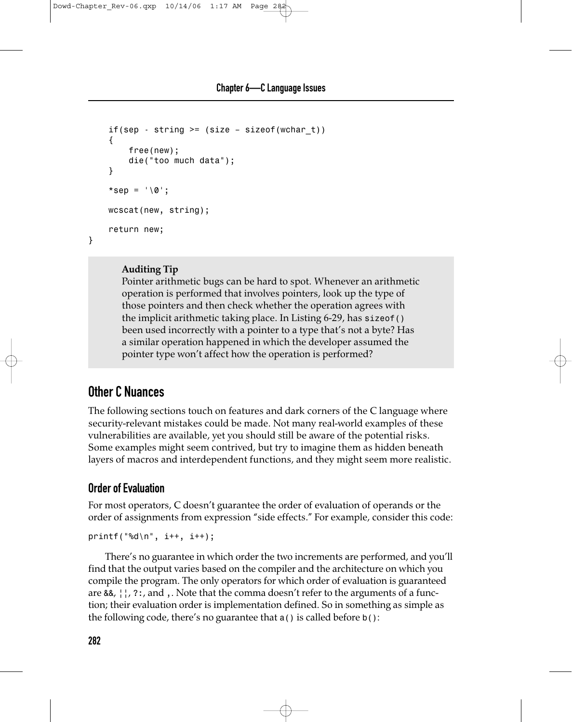```
if(sep - string >= (size - sizeof(wchar_t)){
    free(new);
    die("too much data");
}
*sep = '0;
wcscat(new, string);
return new;
```
### **Auditing Tip**

}

Pointer arithmetic bugs can be hard to spot. Whenever an arithmetic operation is performed that involves pointers, look up the type of those pointers and then check whether the operation agrees with the implicit arithmetic taking place. In Listing 6-29, has sizeof() been used incorrectly with a pointer to a type that's not a byte? Has a similar operation happened in which the developer assumed the pointer type won't affect how the operation is performed?

# Other C Nuances

The following sections touch on features and dark corners of the C language where security-relevant mistakes could be made. Not many real-world examples of these vulnerabilities are available, yet you should still be aware of the potential risks. Some examples might seem contrived, but try to imagine them as hidden beneath layers of macros and interdependent functions, and they might seem more realistic.

# Order of Evaluation

For most operators, C doesn't guarantee the order of evaluation of operands or the order of assignments from expression "side effects." For example, consider this code:

```
printf("%d\n", i++, i++);
```
There's no guarantee in which order the two increments are performed, and you'll find that the output varies based on the compiler and the architecture on which you compile the program. The only operators for which order of evaluation is guaranteed are  $\&8, \frac{1}{1}, ?$ ; and ,. Note that the comma doesn't refer to the arguments of a function; their evaluation order is implementation defined. So in something as simple as the following code, there's no guarantee that a() is called before b():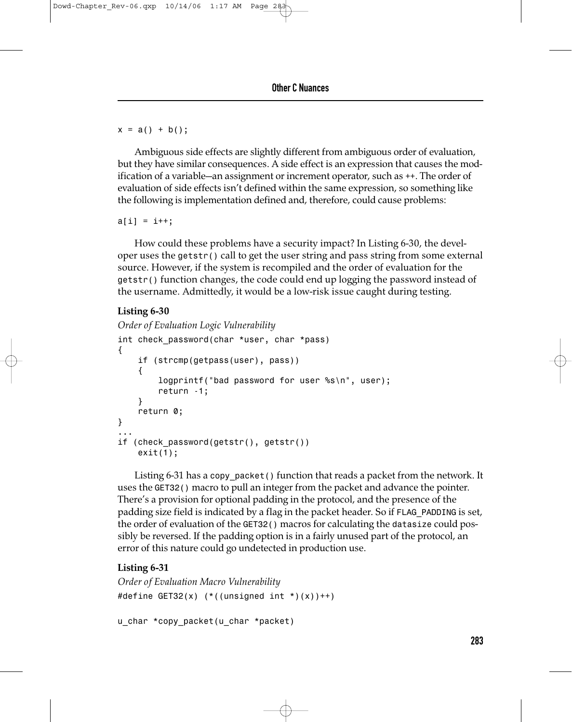# $x = a() + b();$

Ambiguous side effects are slightly different from ambiguous order of evaluation, but they have similar consequences. A side effect is an expression that causes the modification of a variable—an assignment or increment operator, such as ++. The order of evaluation of side effects isn't defined within the same expression, so something like the following is implementation defined and, therefore, could cause problems:

 $a[i] = i++;$ 

How could these problems have a security impact? In Listing 6-30, the developer uses the getstr() call to get the user string and pass string from some external source. However, if the system is recompiled and the order of evaluation for the getstr() function changes, the code could end up logging the password instead of the username. Admittedly, it would be a low-risk issue caught during testing.

### **Listing 6-30**

```
Order of Evaluation Logic Vulnerability
int check_password(char *user, char *pass)
{
    if (strcmp(getpass(user), pass))
    {
        logprintf("bad password for user %s\n", user);
        return -1;
    }
    return 0;
}
...
if (check password(getstr(), getstr())
    exit(1);
```
Listing 6-31 has a copy\_packet() function that reads a packet from the network. It uses the GET32() macro to pull an integer from the packet and advance the pointer. There's a provision for optional padding in the protocol, and the presence of the padding size field is indicated by a flag in the packet header. So if FLAG\_PADDING is set, the order of evaluation of the GET32() macros for calculating the datasize could possibly be reversed. If the padding option is in a fairly unused part of the protocol, an error of this nature could go undetected in production use.

## **Listing 6-31**

```
Order of Evaluation Macro Vulnerability
#define GET32(x) (*((unsigned int *)(x))++)
```
u char \*copy packet(u char \*packet)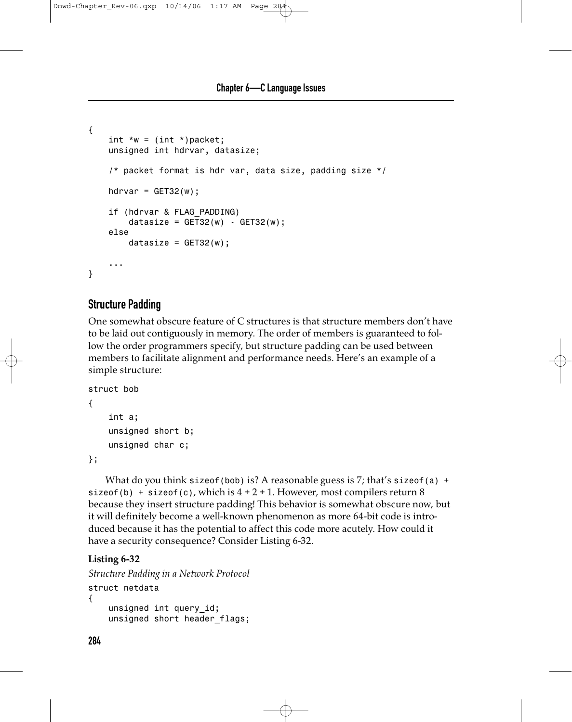```
{
    int *w = (int *) packet;unsigned int hdrvar, datasize;
    /* packet format is hdr var, data size, padding size */
    hdrvar = GET32(w);
    if (hdrvar & FLAG_PADDING)
        datasize = GET32(w) - GET32(w);
    else
        datasize = GET32(w);...
}
```
# Structure Padding

One somewhat obscure feature of C structures is that structure members don't have to be laid out contiguously in memory. The order of members is guaranteed to follow the order programmers specify, but structure padding can be used between members to facilitate alignment and performance needs. Here's an example of a simple structure:

```
struct bob
    int a;
    unsigned short b;
    unsigned char c;
```
};

{

What do you think sizeof(bob) is? A reasonable guess is 7; that's sizeof(a) + sizeof(b) + sizeof(c), which is  $4 + 2 + 1$ . However, most compilers return 8 because they insert structure padding! This behavior is somewhat obscure now, but it will definitely become a well-known phenomenon as more 64-bit code is introduced because it has the potential to affect this code more acutely. How could it have a security consequence? Consider Listing 6-32.

## **Listing 6-32**

```
Structure Padding in a Network Protocol
struct netdata
{
    unsigned int query_id;
    unsigned short header flags;
```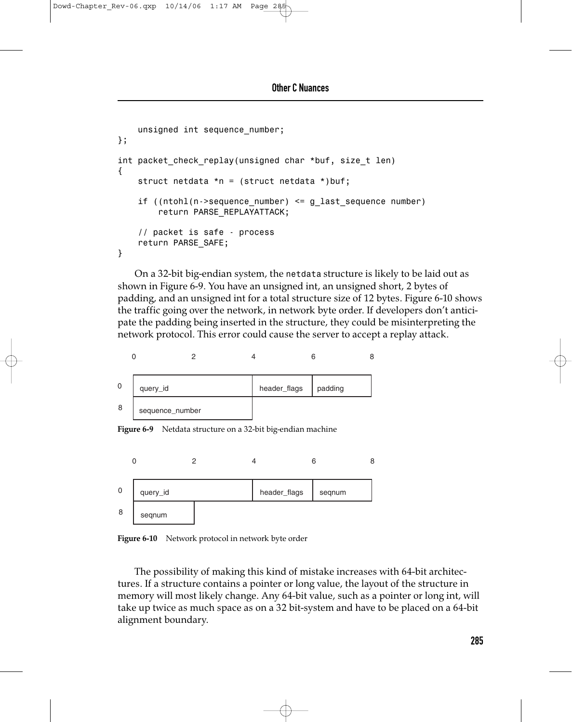```
unsigned int sequence_number;
};
int packet_check_replay(unsigned char *buf, size_t len)
{
    struct netdata *n = (struct netdata *)buf;
    if ((ntohl(n->sequence number) \leq g last sequence number)
        return PARSE_REPLAYATTACK;
    // packet is safe - process
    return PARSE_SAFE;
}
```
On a 32-bit big-endian system, the netdata structure is likely to be laid out as shown in Figure 6-9. You have an unsigned int, an unsigned short, 2 bytes of padding, and an unsigned int for a total structure size of 12 bytes. Figure 6-10 shows the traffic going over the network, in network byte order. If developers don't anticipate the padding being inserted in the structure, they could be misinterpreting the network protocol. This error could cause the server to accept a replay attack.

| 0 | query_id        |  | header_flags | padding |  |
|---|-----------------|--|--------------|---------|--|
| 8 | sequence_number |  |              |         |  |

**Figure 6-9** Netdata structure on a 32-bit big-endian machine



**Figure 6-10** Network protocol in network byte order

The possibility of making this kind of mistake increases with 64-bit architectures. If a structure contains a pointer or long value, the layout of the structure in memory will most likely change. Any 64-bit value, such as a pointer or long int, will take up twice as much space as on a 32 bit-system and have to be placed on a 64-bit alignment boundary.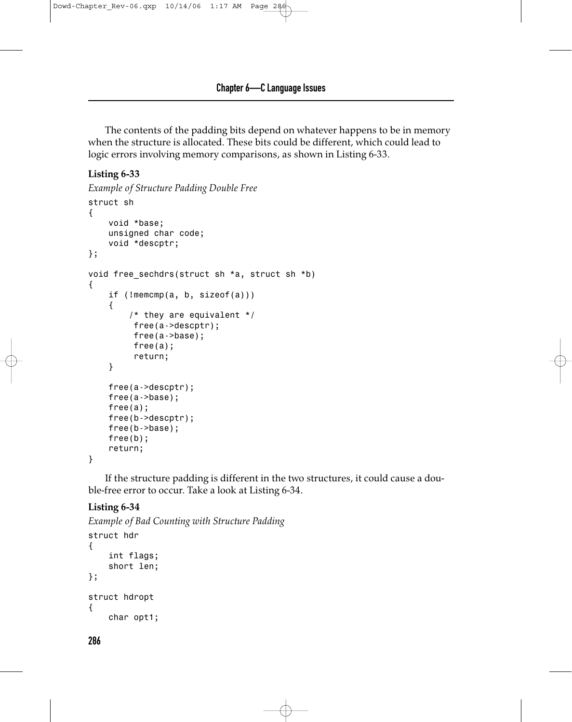The contents of the padding bits depend on whatever happens to be in memory when the structure is allocated. These bits could be different, which could lead to logic errors involving memory comparisons, as shown in Listing 6-33.

# **Listing 6-33**

```
Example of Structure Padding Double Free
struct sh
{
    void *base;
    unsigned char code;
    void *descptr;
};
void free_sechdrs(struct sh *a, struct sh *b)
{
    if (!memcmp(a, b, sizeof(a)))
    {
        /* they are equivalent */
         free(a->descptr);
         free(a->base);
         free(a);
         return;
    }
    free(a->descptr);
    free(a->base);
    free(a);
    free(b->descptr);
    free(b->base);
    free(b);
    return;
}
```
If the structure padding is different in the two structures, it could cause a double-free error to occur. Take a look at Listing 6-34.

## **Listing 6-34**

```
Example of Bad Counting with Structure Padding
struct hdr
{
    int flags;
    short len;
};
struct hdropt
{
    char opt1;
```
286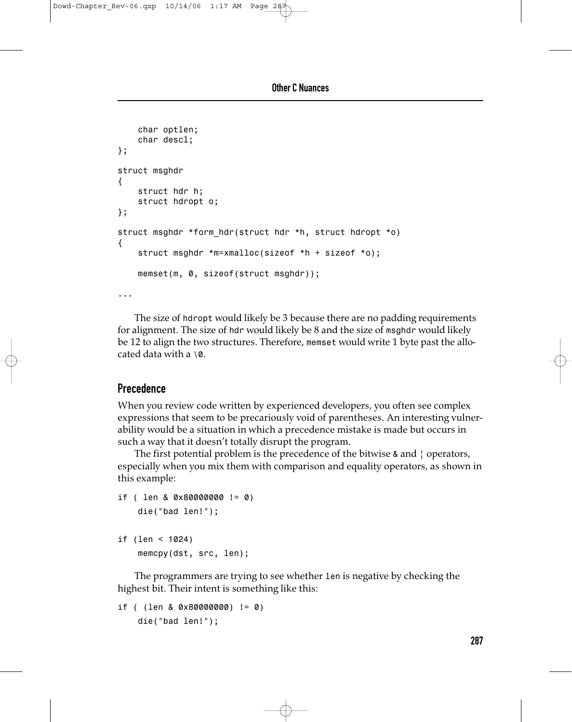```
Other C Nuances
```

```
char optlen;
    char descl;
};
struct msghdr
{
    struct hdr h;
    struct hdropt o;
};
struct msghdr *form hdr(struct hdr *h, struct hdropt *o)
{
    struct msghdr *m=xmalloc(sizeof *h + sizeof *o);
    memset(m, 0, sizeof(struct msghdr));
...
```
The size of hdropt would likely be 3 because there are no padding requirements for alignment. The size of hdr would likely be 8 and the size of msghdr would likely be 12 to align the two structures. Therefore, memset would write 1 byte past the allocated data with a  $\lozenge$ .

# Precedence

When you review code written by experienced developers, you often see complex expressions that seem to be precariously void of parentheses. An interesting vulnerability would be a situation in which a precedence mistake is made but occurs in such a way that it doesn't totally disrupt the program.

The first potential problem is the precedence of the bitwise  $\&$  and  $\frac{1}{1}$  operators, especially when you mix them with comparison and equality operators, as shown in this example:

```
if ( len & 0x80000000 != 0)
    die("bad len!");
if (len < 1024)
    memcpy(dst, src, len);
```
The programmers are trying to see whether len is negative by checking the highest bit. Their intent is something like this:

```
if ( (len & 0x80000000) != 0)
    die("bad len!");
```
287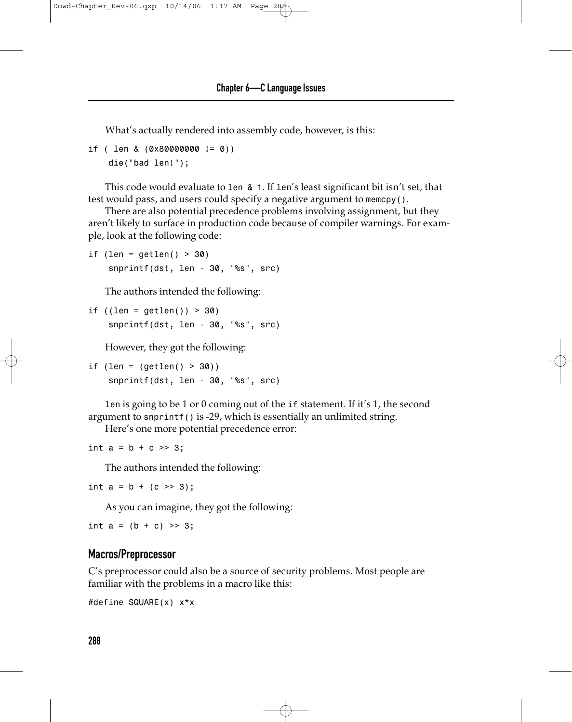What's actually rendered into assembly code, however, is this:

```
if ( len & (0x80000000 != 0))
    die("bad len!");
```
This code would evaluate to len & 1. If len's least significant bit isn't set, that test would pass, and users could specify a negative argument to memcpy().

There are also potential precedence problems involving assignment, but they aren't likely to surface in production code because of compiler warnings. For example, look at the following code:

```
if (len = getlen() > 30)
    snprintf(dst, len - 30, "%s", src)
```
The authors intended the following:

```
if ((len = getlen()) > 30)snprintf(dst, len - 30, "%s", src)
```
However, they got the following:

if (len =  $(getlen() > 30)$ ) snprintf(dst, len - 30, "%s", src)

len is going to be 1 or 0 coming out of the if statement. If it's 1, the second argument to snprintf() is -29, which is essentially an unlimited string.

Here's one more potential precedence error:

int  $a = b + c \gg 3$ ;

The authors intended the following:

int  $a = b + (c \gg 3)$ ;

As you can imagine, they got the following:

int  $a = (b + c) >> 3$ ;

# Macros/Preprocessor

C's preprocessor could also be a source of security problems. Most people are familiar with the problems in a macro like this:

#define SQUARE(x) x\*x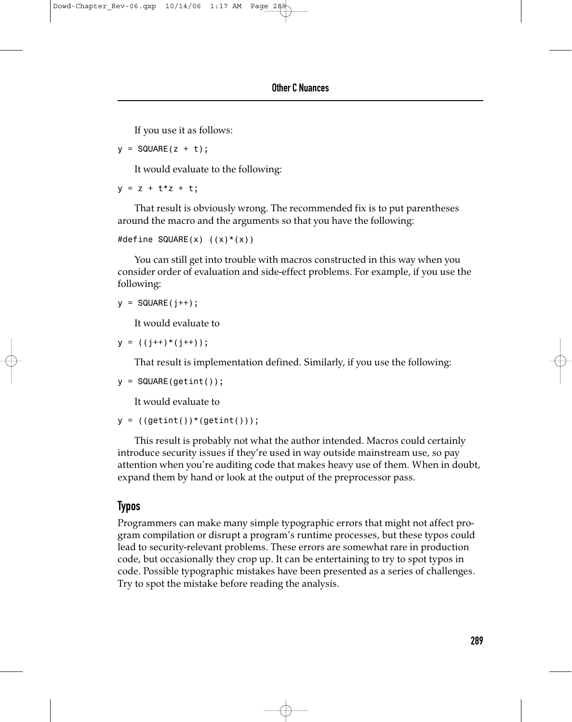If you use it as follows:

 $y = \text{SQUARE}(z + t)$ ;

It would evaluate to the following:

 $y = z + t * z + t$ ;

That result is obviously wrong. The recommended fix is to put parentheses around the macro and the arguments so that you have the following:

```
#define SQUARE(x) ((x)*(x))
```
You can still get into trouble with macros constructed in this way when you consider order of evaluation and side-effect problems. For example, if you use the following:

 $y =$  SQUARE( $j++$ );

It would evaluate to

 $y = ((j++)*(j++)$ ;

That result is implementation defined. Similarly, if you use the following:

y = SQUARE(getint());

It would evaluate to

 $y = ((getint())*(getint()));$ 

This result is probably not what the author intended. Macros could certainly introduce security issues if they're used in way outside mainstream use, so pay attention when you're auditing code that makes heavy use of them. When in doubt, expand them by hand or look at the output of the preprocessor pass.

# Typos

Programmers can make many simple typographic errors that might not affect program compilation or disrupt a program's runtime processes, but these typos could lead to security-relevant problems. These errors are somewhat rare in production code, but occasionally they crop up. It can be entertaining to try to spot typos in code. Possible typographic mistakes have been presented as a series of challenges. Try to spot the mistake before reading the analysis.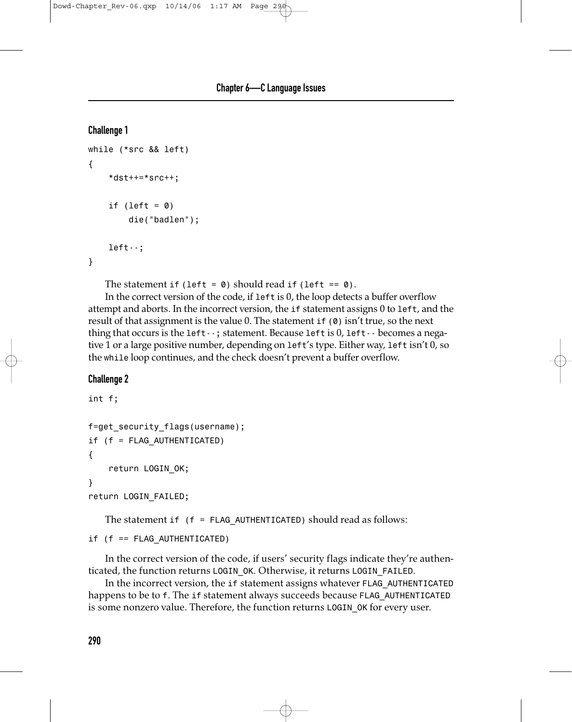# Challenge 1

```
while (*src && left)
{
    *dst++=*src++;
    if (left = \emptyset)
         die("badlen");
    left--;
}
```
The statement if (left =  $\theta$ ) should read if (left ==  $\theta$ ).

In the correct version of the code, if left is 0, the loop detects a buffer overflow attempt and aborts. In the incorrect version, the if statement assigns 0 to left, and the result of that assignment is the value 0. The statement if (0) isn't true, so the next thing that occurs is the left--; statement. Because left is 0, left-- becomes a negative 1 or a large positive number, depending on left's type. Either way, left isn't 0, so the while loop continues, and the check doesn't prevent a buffer overflow.

### Challenge 2

int f;

```
f=get_security_flags(username);
if (f = FLAG_AUTHENTICATED)
{
    return LOGIN_OK;
}
return LOGIN_FAILED;
```
The statement if  $(f = FLAG$  AUTHENTICATED) should read as follows:

```
if (f == FLAG_AUTHENTICATED)
```
In the correct version of the code, if users' security flags indicate they're authenticated, the function returns LOGIN\_OK. Otherwise, it returns LOGIN\_FAILED.

In the incorrect version, the if statement assigns whatever FLAG\_AUTHENTICATED happens to be to f. The if statement always succeeds because FLAG\_AUTHENTICATED is some nonzero value. Therefore, the function returns LOGIN\_OK for every user.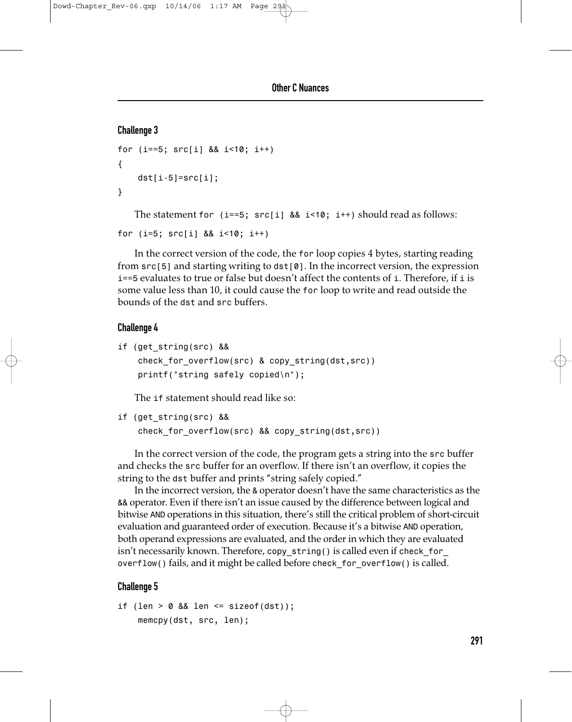# Challenge 3

```
for (i==5; src[i] && i<10; i++)
{
    dst[i-5] = src[i];}
   The statement for (i == 5; src[i] & 1 < 10; i++) should read as follows:
```

```
for (i=5; src[i] && i<10; i++)
```
In the correct version of the code, the for loop copies 4 bytes, starting reading from src[5] and starting writing to dst[0]. In the incorrect version, the expression i==5 evaluates to true or false but doesn't affect the contents of i. Therefore, if i is some value less than 10, it could cause the for loop to write and read outside the bounds of the dst and src buffers.

### Challenge 4

```
if (get_string(src) &&
   check for overflow(src) & copy string(dst,src))
   printf("string safely copied\n");
```
The if statement should read like so:

```
if (get_string(src) &&
   check_for_overflow(src) && copy_string(dst,src))
```
In the correct version of the code, the program gets a string into the src buffer and checks the src buffer for an overflow. If there isn't an overflow, it copies the string to the dst buffer and prints "string safely copied."

In the incorrect version, the & operator doesn't have the same characteristics as the && operator. Even if there isn't an issue caused by the difference between logical and bitwise AND operations in this situation, there's still the critical problem of short-circuit evaluation and guaranteed order of execution. Because it's a bitwise AND operation, both operand expressions are evaluated, and the order in which they are evaluated isn't necessarily known. Therefore, copy\_string() is called even if check\_for\_ overflow() fails, and it might be called before check\_for\_overflow() is called.

## Challenge 5

```
if (len > 0 && len \leq sizeof(dst));
    memcpy(dst, src, len);
```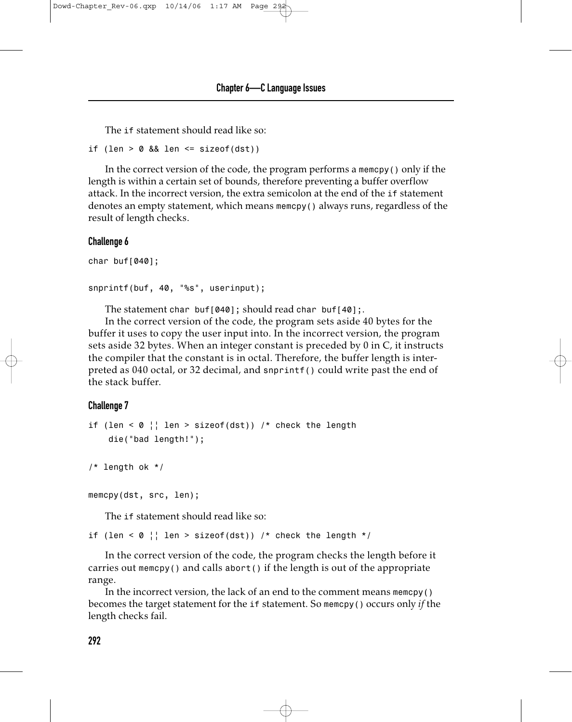The if statement should read like so:

```
if (len > 0 && len \leq sizeof(dst))
```
In the correct version of the code, the program performs a memcpy() only if the length is within a certain set of bounds, therefore preventing a buffer overflow attack. In the incorrect version, the extra semicolon at the end of the if statement denotes an empty statement, which means memcpy() always runs, regardless of the result of length checks.

### Challenge 6

```
char buf[040];
snprintf(buf, 40, "%s", userinput);
```
The statement char buf[040]; should read char buf[40];

In the correct version of the code, the program sets aside 40 bytes for the buffer it uses to copy the user input into. In the incorrect version, the program sets aside 32 bytes. When an integer constant is preceded by 0 in C, it instructs the compiler that the constant is in octal. Therefore, the buffer length is interpreted as 040 octal, or 32 decimal, and snprintf() could write past the end of the stack buffer.

### Challenge 7

```
if (len < \theta || len > sizeof(dst)) /* check the length
    die("bad length!");
```

```
/* length ok */
```
memcpy(dst, src, len);

The if statement should read like so:

if (len <  $\theta$  || len > sizeof(dst)) /\* check the length \*/

In the correct version of the code, the program checks the length before it carries out memcpy() and calls abort() if the length is out of the appropriate range.

In the incorrect version, the lack of an end to the comment means memcpy() becomes the target statement for the if statement. So memcpy() occurs only *if* the length checks fail.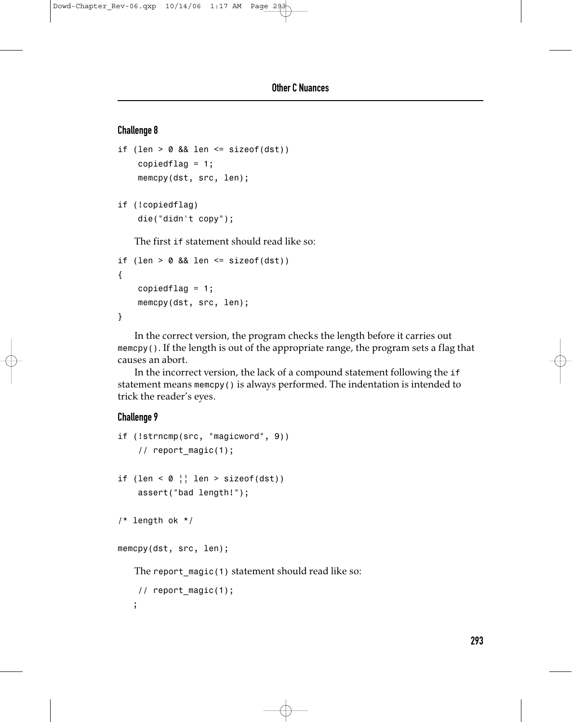# Challenge 8

```
if (len > 0 && len \leq sizeof(dst))
    copiedflag = 1;
    memcpy(dst, src, len);
if (!copiedflag)
    die("didn't copy");
   The first if statement should read like so:
if (len > 0 && len <= sizeof(dst))
{
    copiedflag = 1;
    memcpy(dst, src, len);
}
```
In the correct version, the program checks the length before it carries out memcpy(). If the length is out of the appropriate range, the program sets a flag that causes an abort.

In the incorrect version, the lack of a compound statement following the if statement means memcpy() is always performed. The indentation is intended to trick the reader's eyes.

# Challenge 9

```
if (!strncmp(src, "magicword", 9))
    // report_magic(1);
if (len < \emptyset || len > sizeof(dst))
    assert("bad length!");
/* length ok */
memcpy(dst, src, len);
   The report magic(1) statement should read like so:
    // report_magic(1);
   ;
```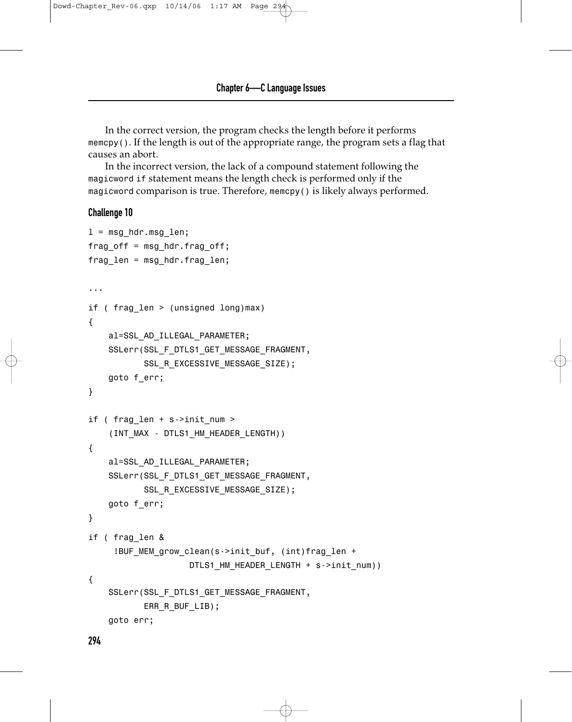In the correct version, the program checks the length before it performs memcpy(). If the length is out of the appropriate range, the program sets a flag that causes an abort.

In the incorrect version, the lack of a compound statement following the magicword if statement means the length check is performed only if the magicword comparison is true. Therefore, memcpy() is likely always performed.

# Challenge 10

```
l = msg hdr.msg len;
frag off = msg hdr.frag off;
frag len = msg hdr.frag len;
...
if ( frag len > (unsigned long)max)
{
    al=SSL_AD_ILLEGAL_PARAMETER;
    SSLerr(SSL_F_DTLS1_GET_MESSAGE_FRAGMENT,
           SSL_R_EXCESSIVE_MESSAGE_SIZE);
    goto f_err;
}
if ( frag len + s->init num >
    (INT_MAX - DTLS1_HM_HEADER_LENGTH))
{
    al=SSL_AD_ILLEGAL_PARAMETER;
    SSLerr(SSL_F_DTLS1_GET_MESSAGE_FRAGMENT,
           SSL_R_EXCESSIVE_MESSAGE_SIZE);
    goto f_err;
}
if ( frag_len &
     !BUF_MEM_grow_clean(s->init_buf, (int)frag_len +
                    DTLS1 HM HEADER LENGTH + s->init num))
{
    SSLerr(SSL_F_DTLS1_GET_MESSAGE_FRAGMENT,
           ERR_R_BUF_LIB);
    goto err;
```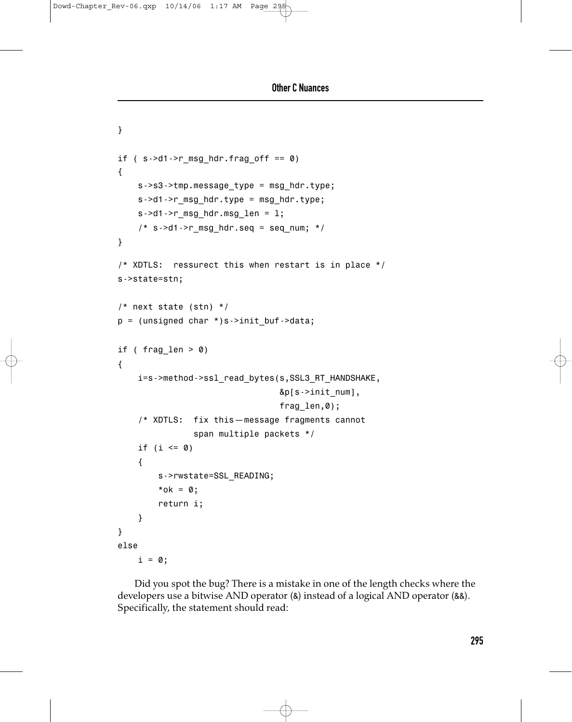

```
}
if (s->d1->r msg hdr.frag off == 0)
{
    s->s3->tmp.message_type = msg_hdr.type;
    s->d1->r_msg_hdr.type = msg_hdr.type;
    s->d1->r_msg_hdr.msg_len = 1;
    /* s->d1->r_msg_hdr.seq = seq_num; */
}
/* XDTLS: ressurect this when restart is in place */
s->state=stn;
/* next state (stn) */
p = (unsigned char * )s - >init_buf - >data;if ( frag\_len > 0)
{
    i=s->method->ssl_read_bytes(s,SSL3_RT_HANDSHAKE,
                                 &p[s->init_num],
                                 frag len,0);
    /* XDTLS: fix this—message fragments cannot
               span multiple packets */
    if (i \le 0){
        s->rwstate=SSL_READING;
        *ok = 0;
        return i;
    }
}
else
    i = 0;
```
Did you spot the bug? There is a mistake in one of the length checks where the developers use a bitwise AND operator (&) instead of a logical AND operator (&&). Specifically, the statement should read: